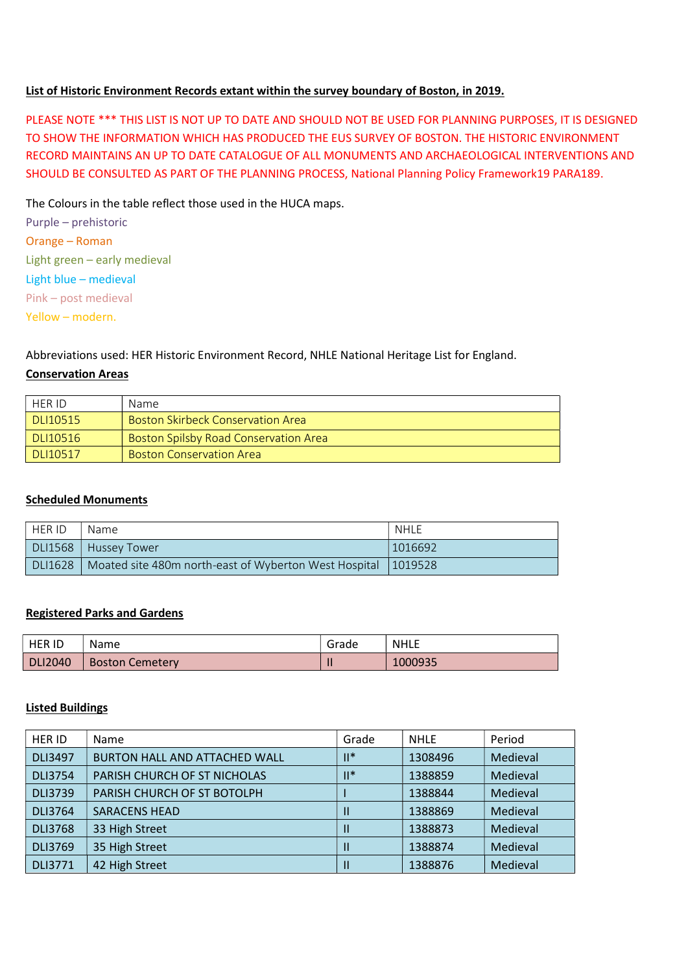#### List of Historic Environment Records extant within the survey boundary of Boston, in 2019.

PLEASE NOTE \*\*\* THIS LIST IS NOT UP TO DATE AND SHOULD NOT BE USED FOR PLANNING PURPOSES, IT IS DESIGNED TO SHOW THE INFORMATION WHICH HAS PRODUCED THE EUS SURVEY OF BOSTON. THE HISTORIC ENVIRONMENT RECORD MAINTAINS AN UP TO DATE CATALOGUE OF ALL MONUMENTS AND ARCHAEOLOGICAL INTERVENTIONS AND SHOULD BE CONSULTED AS PART OF THE PLANNING PROCESS, National Planning Policy Framework19 PARA189.

The Colours in the table reflect those used in the HUCA maps.

Purple – prehistoric Orange – Roman Light green – early medieval Light blue – medieval Pink – post medieval Yellow – modern.

# Abbreviations used: HER Historic Environment Record, NHLE National Heritage List for England.

#### Conservation Areas

| HER ID   | Name                                         |
|----------|----------------------------------------------|
| DLI10515 | <b>Boston Skirbeck Conservation Area</b>     |
| DLI10516 | <b>Boston Spilsby Road Conservation Area</b> |
| DLI10517 | <b>Boston Conservation Area</b>              |

### Scheduled Monuments

| <b>HER ID</b> | Name                                                            | NHLE    |
|---------------|-----------------------------------------------------------------|---------|
| DLI1568       | Hussey Tower                                                    | 1016692 |
| DLI1628       | Moated site 480m north-east of Wyberton West Hospital   1019528 |         |

### Registered Parks and Gardens

| <b>HER ID</b>  | Name                   | Grade | <b>NHLE</b> |
|----------------|------------------------|-------|-------------|
| <b>DLI2040</b> | <b>Boston Cemetery</b> |       | 1000935     |

#### Listed Buildings

| <b>HER ID</b>  | Name                          | Grade          | <b>NHLE</b> | Period   |
|----------------|-------------------------------|----------------|-------------|----------|
| <b>DLI3497</b> | BURTON HALL AND ATTACHED WALL | $\mathbb{H}^*$ | 1308496     | Medieval |
| <b>DLI3754</b> | PARISH CHURCH OF ST NICHOLAS  | $II^*$         | 1388859     | Medieval |
| <b>DLI3739</b> | PARISH CHURCH OF ST BOTOLPH   |                | 1388844     | Medieval |
| <b>DLI3764</b> | <b>SARACENS HEAD</b>          |                | 1388869     | Medieval |
| <b>DLI3768</b> | 33 High Street                |                | 1388873     | Medieval |
| <b>DLI3769</b> | 35 High Street                | $\mathbf{I}$   | 1388874     | Medieval |
| <b>DLI3771</b> | 42 High Street                |                | 1388876     | Medieval |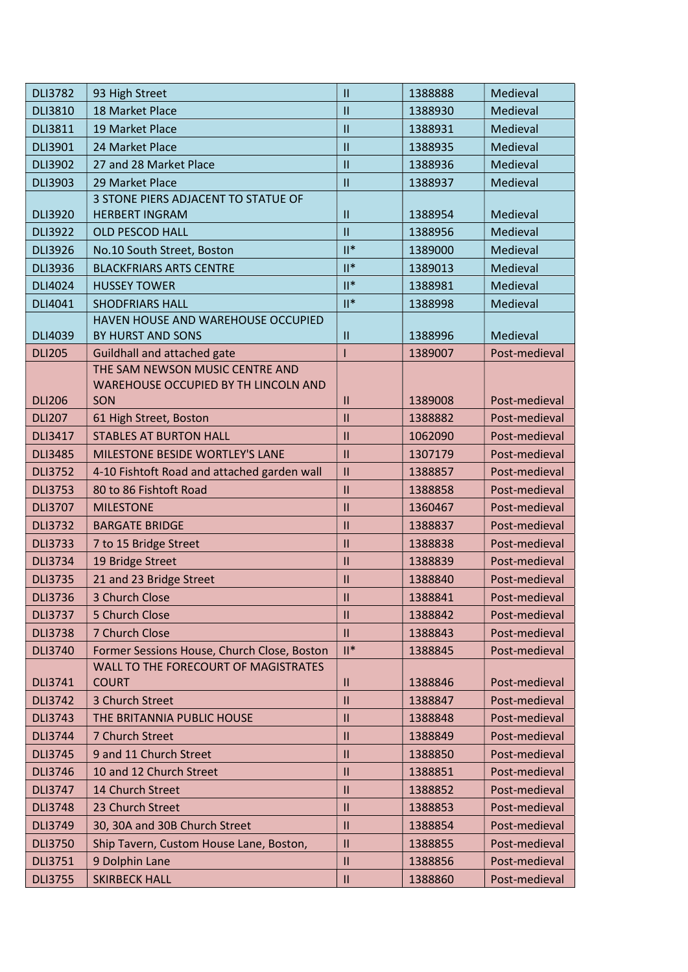| 18 Market Place<br>$\mathbf{II}$<br>Medieval<br><b>DLI3810</b><br>1388930<br><b>DLI3811</b><br>19 Market Place<br>Medieval<br>$\mathbf{II}$<br>1388931<br>$\mathbf{II}$<br>Medieval<br>DLI3901<br>24 Market Place<br>1388935<br>27 and 28 Market Place<br>$\mathbf{II}$<br>Medieval<br><b>DLI3902</b><br>1388936<br><b>DLI3903</b><br>29 Market Place<br>$\mathbf{II}$<br>Medieval<br>1388937<br>3 STONE PIERS ADJACENT TO STATUE OF<br><b>DLI3920</b><br><b>HERBERT INGRAM</b><br>1388954<br>Medieval<br>$\mathbf{II}$<br>Medieval<br><b>DLI3922</b><br><b>OLD PESCOD HALL</b><br>$\mathbf{H}$<br>1388956<br>$\mathbb{I}^*$<br>Medieval<br><b>DLI3926</b><br>No.10 South Street, Boston<br>1389000<br>$  ^*$<br><b>DLI3936</b><br><b>BLACKFRIARS ARTS CENTRE</b><br>Medieval<br>1389013<br>$\mathbb{I}^*$<br>Medieval<br><b>DLI4024</b><br><b>HUSSEY TOWER</b><br>1388981<br>$\mathbb{H}^*$<br>Medieval<br>DLI4041<br><b>SHODFRIARS HALL</b><br>1388998<br>HAVEN HOUSE AND WAREHOUSE OCCUPIED<br><b>DLI4039</b><br>1388996<br>Medieval<br>BY HURST AND SONS<br>$\mathbf{II}$<br><b>DLI205</b><br>Guildhall and attached gate<br>1389007<br>Post-medieval<br>THE SAM NEWSON MUSIC CENTRE AND<br>WAREHOUSE OCCUPIED BY TH LINCOLN AND<br>Post-medieval<br><b>DLI206</b><br>SON<br>1389008<br>$\mathbf{II}$<br>$\mathbf{II}$<br>Post-medieval<br><b>DLI207</b><br>61 High Street, Boston<br>1388882<br><b>STABLES AT BURTON HALL</b><br>Post-medieval<br><b>DLI3417</b><br>$\mathbf{II}$<br>1062090<br>MILESTONE BESIDE WORTLEY'S LANE<br><b>DLI3485</b><br>$\mathbf{H}$<br>1307179<br>Post-medieval<br>4-10 Fishtoft Road and attached garden wall<br>$\mathbf{II}$<br>Post-medieval<br><b>DLI3752</b><br>1388857<br><b>DLI3753</b><br>80 to 86 Fishtoft Road<br>Post-medieval<br>$\mathbf{H}$<br>1388858<br>$\mathbf{II}$<br>Post-medieval<br><b>DLI3707</b><br><b>MILESTONE</b><br>1360467<br>Post-medieval<br><b>DLI3732</b><br>$\mathbf{II}$<br>1388837<br><b>BARGATE BRIDGE</b><br>$\mathbf{II}$<br>Post-medieval<br><b>DLI3733</b><br>7 to 15 Bridge Street<br>1388838<br>19 Bridge Street<br>Post-medieval<br><b>DLI3734</b><br>$\mathbf{I}$<br>1388839<br>21 and 23 Bridge Street<br>Post-medieval<br><b>DLI3735</b><br>$\mathbf{II}$<br>1388840<br>3 Church Close<br><b>DLI3736</b><br>$\mathbf{H}$<br>1388841<br>Post-medieval<br><b>DLI3737</b><br>5 Church Close<br>Post-medieval<br>$\mathbf{H}$<br>1388842<br><b>DLI3738</b><br>7 Church Close<br>Post-medieval<br>$\mathbf{H}$<br>1388843<br>$\mathbb{I}^*$<br>Former Sessions House, Church Close, Boston<br><b>DLI3740</b><br>1388845<br>Post-medieval<br>WALL TO THE FORECOURT OF MAGISTRATES<br><b>DLI3741</b><br><b>COURT</b><br>1388846<br>Post-medieval<br>Ш<br>3 Church Street<br>$\mathbf{II}$<br>Post-medieval<br><b>DLI3742</b><br>1388847<br><b>DLI3743</b><br>THE BRITANNIA PUBLIC HOUSE<br>Post-medieval<br>$\mathbf{II}$<br>1388848<br><b>DLI3744</b><br>7 Church Street<br>$\mathbf{II}$<br>1388849<br>Post-medieval<br>9 and 11 Church Street<br>Post-medieval<br><b>DLI3745</b><br>1388850<br>$\mathbf{II}$<br>10 and 12 Church Street<br><b>DLI3746</b><br>$\mathbf{II}$<br>1388851<br>Post-medieval<br>14 Church Street<br>Post-medieval<br><b>DLI3747</b><br>$\mathbf{I}$<br>1388852<br>23 Church Street<br><b>DLI3748</b><br>$\mathbf{II}$<br>1388853<br>Post-medieval<br>30, 30A and 30B Church Street<br><b>DLI3749</b><br>$\mathbf{II}$<br>1388854<br>Post-medieval<br>Post-medieval<br><b>DLI3750</b><br>Ship Tavern, Custom House Lane, Boston,<br>$\mathbf{II}$<br>1388855<br><b>DLI3751</b><br>9 Dolphin Lane<br>$\mathbf{II}$<br>1388856<br>Post-medieval | <b>DLI3782</b> | 93 High Street       | $\mathbf{H}$               | 1388888 | Medieval      |
|-------------------------------------------------------------------------------------------------------------------------------------------------------------------------------------------------------------------------------------------------------------------------------------------------------------------------------------------------------------------------------------------------------------------------------------------------------------------------------------------------------------------------------------------------------------------------------------------------------------------------------------------------------------------------------------------------------------------------------------------------------------------------------------------------------------------------------------------------------------------------------------------------------------------------------------------------------------------------------------------------------------------------------------------------------------------------------------------------------------------------------------------------------------------------------------------------------------------------------------------------------------------------------------------------------------------------------------------------------------------------------------------------------------------------------------------------------------------------------------------------------------------------------------------------------------------------------------------------------------------------------------------------------------------------------------------------------------------------------------------------------------------------------------------------------------------------------------------------------------------------------------------------------------------------------------------------------------------------------------------------------------------------------------------------------------------------------------------------------------------------------------------------------------------------------------------------------------------------------------------------------------------------------------------------------------------------------------------------------------------------------------------------------------------------------------------------------------------------------------------------------------------------------------------------------------------------------------------------------------------------------------------------------------------------------------------------------------------------------------------------------------------------------------------------------------------------------------------------------------------------------------------------------------------------------------------------------------------------------------------------------------------------------------------------------------------------------------------------------------------------------------------------------------------------------------------------------------------------------------------------------------------------------------------------------------------------------------------------------------------------------------------------------------------------------------------------------------------------------------------------------------------------------------------------------------------------------------------------------------------------------------------------------|----------------|----------------------|----------------------------|---------|---------------|
|                                                                                                                                                                                                                                                                                                                                                                                                                                                                                                                                                                                                                                                                                                                                                                                                                                                                                                                                                                                                                                                                                                                                                                                                                                                                                                                                                                                                                                                                                                                                                                                                                                                                                                                                                                                                                                                                                                                                                                                                                                                                                                                                                                                                                                                                                                                                                                                                                                                                                                                                                                                                                                                                                                                                                                                                                                                                                                                                                                                                                                                                                                                                                                                                                                                                                                                                                                                                                                                                                                                                                                                                                                                       |                |                      |                            |         |               |
|                                                                                                                                                                                                                                                                                                                                                                                                                                                                                                                                                                                                                                                                                                                                                                                                                                                                                                                                                                                                                                                                                                                                                                                                                                                                                                                                                                                                                                                                                                                                                                                                                                                                                                                                                                                                                                                                                                                                                                                                                                                                                                                                                                                                                                                                                                                                                                                                                                                                                                                                                                                                                                                                                                                                                                                                                                                                                                                                                                                                                                                                                                                                                                                                                                                                                                                                                                                                                                                                                                                                                                                                                                                       |                |                      |                            |         |               |
|                                                                                                                                                                                                                                                                                                                                                                                                                                                                                                                                                                                                                                                                                                                                                                                                                                                                                                                                                                                                                                                                                                                                                                                                                                                                                                                                                                                                                                                                                                                                                                                                                                                                                                                                                                                                                                                                                                                                                                                                                                                                                                                                                                                                                                                                                                                                                                                                                                                                                                                                                                                                                                                                                                                                                                                                                                                                                                                                                                                                                                                                                                                                                                                                                                                                                                                                                                                                                                                                                                                                                                                                                                                       |                |                      |                            |         |               |
|                                                                                                                                                                                                                                                                                                                                                                                                                                                                                                                                                                                                                                                                                                                                                                                                                                                                                                                                                                                                                                                                                                                                                                                                                                                                                                                                                                                                                                                                                                                                                                                                                                                                                                                                                                                                                                                                                                                                                                                                                                                                                                                                                                                                                                                                                                                                                                                                                                                                                                                                                                                                                                                                                                                                                                                                                                                                                                                                                                                                                                                                                                                                                                                                                                                                                                                                                                                                                                                                                                                                                                                                                                                       |                |                      |                            |         |               |
|                                                                                                                                                                                                                                                                                                                                                                                                                                                                                                                                                                                                                                                                                                                                                                                                                                                                                                                                                                                                                                                                                                                                                                                                                                                                                                                                                                                                                                                                                                                                                                                                                                                                                                                                                                                                                                                                                                                                                                                                                                                                                                                                                                                                                                                                                                                                                                                                                                                                                                                                                                                                                                                                                                                                                                                                                                                                                                                                                                                                                                                                                                                                                                                                                                                                                                                                                                                                                                                                                                                                                                                                                                                       |                |                      |                            |         |               |
|                                                                                                                                                                                                                                                                                                                                                                                                                                                                                                                                                                                                                                                                                                                                                                                                                                                                                                                                                                                                                                                                                                                                                                                                                                                                                                                                                                                                                                                                                                                                                                                                                                                                                                                                                                                                                                                                                                                                                                                                                                                                                                                                                                                                                                                                                                                                                                                                                                                                                                                                                                                                                                                                                                                                                                                                                                                                                                                                                                                                                                                                                                                                                                                                                                                                                                                                                                                                                                                                                                                                                                                                                                                       |                |                      |                            |         |               |
|                                                                                                                                                                                                                                                                                                                                                                                                                                                                                                                                                                                                                                                                                                                                                                                                                                                                                                                                                                                                                                                                                                                                                                                                                                                                                                                                                                                                                                                                                                                                                                                                                                                                                                                                                                                                                                                                                                                                                                                                                                                                                                                                                                                                                                                                                                                                                                                                                                                                                                                                                                                                                                                                                                                                                                                                                                                                                                                                                                                                                                                                                                                                                                                                                                                                                                                                                                                                                                                                                                                                                                                                                                                       |                |                      |                            |         |               |
|                                                                                                                                                                                                                                                                                                                                                                                                                                                                                                                                                                                                                                                                                                                                                                                                                                                                                                                                                                                                                                                                                                                                                                                                                                                                                                                                                                                                                                                                                                                                                                                                                                                                                                                                                                                                                                                                                                                                                                                                                                                                                                                                                                                                                                                                                                                                                                                                                                                                                                                                                                                                                                                                                                                                                                                                                                                                                                                                                                                                                                                                                                                                                                                                                                                                                                                                                                                                                                                                                                                                                                                                                                                       |                |                      |                            |         |               |
|                                                                                                                                                                                                                                                                                                                                                                                                                                                                                                                                                                                                                                                                                                                                                                                                                                                                                                                                                                                                                                                                                                                                                                                                                                                                                                                                                                                                                                                                                                                                                                                                                                                                                                                                                                                                                                                                                                                                                                                                                                                                                                                                                                                                                                                                                                                                                                                                                                                                                                                                                                                                                                                                                                                                                                                                                                                                                                                                                                                                                                                                                                                                                                                                                                                                                                                                                                                                                                                                                                                                                                                                                                                       |                |                      |                            |         |               |
|                                                                                                                                                                                                                                                                                                                                                                                                                                                                                                                                                                                                                                                                                                                                                                                                                                                                                                                                                                                                                                                                                                                                                                                                                                                                                                                                                                                                                                                                                                                                                                                                                                                                                                                                                                                                                                                                                                                                                                                                                                                                                                                                                                                                                                                                                                                                                                                                                                                                                                                                                                                                                                                                                                                                                                                                                                                                                                                                                                                                                                                                                                                                                                                                                                                                                                                                                                                                                                                                                                                                                                                                                                                       |                |                      |                            |         |               |
|                                                                                                                                                                                                                                                                                                                                                                                                                                                                                                                                                                                                                                                                                                                                                                                                                                                                                                                                                                                                                                                                                                                                                                                                                                                                                                                                                                                                                                                                                                                                                                                                                                                                                                                                                                                                                                                                                                                                                                                                                                                                                                                                                                                                                                                                                                                                                                                                                                                                                                                                                                                                                                                                                                                                                                                                                                                                                                                                                                                                                                                                                                                                                                                                                                                                                                                                                                                                                                                                                                                                                                                                                                                       |                |                      |                            |         |               |
|                                                                                                                                                                                                                                                                                                                                                                                                                                                                                                                                                                                                                                                                                                                                                                                                                                                                                                                                                                                                                                                                                                                                                                                                                                                                                                                                                                                                                                                                                                                                                                                                                                                                                                                                                                                                                                                                                                                                                                                                                                                                                                                                                                                                                                                                                                                                                                                                                                                                                                                                                                                                                                                                                                                                                                                                                                                                                                                                                                                                                                                                                                                                                                                                                                                                                                                                                                                                                                                                                                                                                                                                                                                       |                |                      |                            |         |               |
|                                                                                                                                                                                                                                                                                                                                                                                                                                                                                                                                                                                                                                                                                                                                                                                                                                                                                                                                                                                                                                                                                                                                                                                                                                                                                                                                                                                                                                                                                                                                                                                                                                                                                                                                                                                                                                                                                                                                                                                                                                                                                                                                                                                                                                                                                                                                                                                                                                                                                                                                                                                                                                                                                                                                                                                                                                                                                                                                                                                                                                                                                                                                                                                                                                                                                                                                                                                                                                                                                                                                                                                                                                                       |                |                      |                            |         |               |
|                                                                                                                                                                                                                                                                                                                                                                                                                                                                                                                                                                                                                                                                                                                                                                                                                                                                                                                                                                                                                                                                                                                                                                                                                                                                                                                                                                                                                                                                                                                                                                                                                                                                                                                                                                                                                                                                                                                                                                                                                                                                                                                                                                                                                                                                                                                                                                                                                                                                                                                                                                                                                                                                                                                                                                                                                                                                                                                                                                                                                                                                                                                                                                                                                                                                                                                                                                                                                                                                                                                                                                                                                                                       |                |                      |                            |         |               |
|                                                                                                                                                                                                                                                                                                                                                                                                                                                                                                                                                                                                                                                                                                                                                                                                                                                                                                                                                                                                                                                                                                                                                                                                                                                                                                                                                                                                                                                                                                                                                                                                                                                                                                                                                                                                                                                                                                                                                                                                                                                                                                                                                                                                                                                                                                                                                                                                                                                                                                                                                                                                                                                                                                                                                                                                                                                                                                                                                                                                                                                                                                                                                                                                                                                                                                                                                                                                                                                                                                                                                                                                                                                       |                |                      |                            |         |               |
|                                                                                                                                                                                                                                                                                                                                                                                                                                                                                                                                                                                                                                                                                                                                                                                                                                                                                                                                                                                                                                                                                                                                                                                                                                                                                                                                                                                                                                                                                                                                                                                                                                                                                                                                                                                                                                                                                                                                                                                                                                                                                                                                                                                                                                                                                                                                                                                                                                                                                                                                                                                                                                                                                                                                                                                                                                                                                                                                                                                                                                                                                                                                                                                                                                                                                                                                                                                                                                                                                                                                                                                                                                                       |                |                      |                            |         |               |
|                                                                                                                                                                                                                                                                                                                                                                                                                                                                                                                                                                                                                                                                                                                                                                                                                                                                                                                                                                                                                                                                                                                                                                                                                                                                                                                                                                                                                                                                                                                                                                                                                                                                                                                                                                                                                                                                                                                                                                                                                                                                                                                                                                                                                                                                                                                                                                                                                                                                                                                                                                                                                                                                                                                                                                                                                                                                                                                                                                                                                                                                                                                                                                                                                                                                                                                                                                                                                                                                                                                                                                                                                                                       |                |                      |                            |         |               |
|                                                                                                                                                                                                                                                                                                                                                                                                                                                                                                                                                                                                                                                                                                                                                                                                                                                                                                                                                                                                                                                                                                                                                                                                                                                                                                                                                                                                                                                                                                                                                                                                                                                                                                                                                                                                                                                                                                                                                                                                                                                                                                                                                                                                                                                                                                                                                                                                                                                                                                                                                                                                                                                                                                                                                                                                                                                                                                                                                                                                                                                                                                                                                                                                                                                                                                                                                                                                                                                                                                                                                                                                                                                       |                |                      |                            |         |               |
|                                                                                                                                                                                                                                                                                                                                                                                                                                                                                                                                                                                                                                                                                                                                                                                                                                                                                                                                                                                                                                                                                                                                                                                                                                                                                                                                                                                                                                                                                                                                                                                                                                                                                                                                                                                                                                                                                                                                                                                                                                                                                                                                                                                                                                                                                                                                                                                                                                                                                                                                                                                                                                                                                                                                                                                                                                                                                                                                                                                                                                                                                                                                                                                                                                                                                                                                                                                                                                                                                                                                                                                                                                                       |                |                      |                            |         |               |
|                                                                                                                                                                                                                                                                                                                                                                                                                                                                                                                                                                                                                                                                                                                                                                                                                                                                                                                                                                                                                                                                                                                                                                                                                                                                                                                                                                                                                                                                                                                                                                                                                                                                                                                                                                                                                                                                                                                                                                                                                                                                                                                                                                                                                                                                                                                                                                                                                                                                                                                                                                                                                                                                                                                                                                                                                                                                                                                                                                                                                                                                                                                                                                                                                                                                                                                                                                                                                                                                                                                                                                                                                                                       |                |                      |                            |         |               |
|                                                                                                                                                                                                                                                                                                                                                                                                                                                                                                                                                                                                                                                                                                                                                                                                                                                                                                                                                                                                                                                                                                                                                                                                                                                                                                                                                                                                                                                                                                                                                                                                                                                                                                                                                                                                                                                                                                                                                                                                                                                                                                                                                                                                                                                                                                                                                                                                                                                                                                                                                                                                                                                                                                                                                                                                                                                                                                                                                                                                                                                                                                                                                                                                                                                                                                                                                                                                                                                                                                                                                                                                                                                       |                |                      |                            |         |               |
|                                                                                                                                                                                                                                                                                                                                                                                                                                                                                                                                                                                                                                                                                                                                                                                                                                                                                                                                                                                                                                                                                                                                                                                                                                                                                                                                                                                                                                                                                                                                                                                                                                                                                                                                                                                                                                                                                                                                                                                                                                                                                                                                                                                                                                                                                                                                                                                                                                                                                                                                                                                                                                                                                                                                                                                                                                                                                                                                                                                                                                                                                                                                                                                                                                                                                                                                                                                                                                                                                                                                                                                                                                                       |                |                      |                            |         |               |
|                                                                                                                                                                                                                                                                                                                                                                                                                                                                                                                                                                                                                                                                                                                                                                                                                                                                                                                                                                                                                                                                                                                                                                                                                                                                                                                                                                                                                                                                                                                                                                                                                                                                                                                                                                                                                                                                                                                                                                                                                                                                                                                                                                                                                                                                                                                                                                                                                                                                                                                                                                                                                                                                                                                                                                                                                                                                                                                                                                                                                                                                                                                                                                                                                                                                                                                                                                                                                                                                                                                                                                                                                                                       |                |                      |                            |         |               |
|                                                                                                                                                                                                                                                                                                                                                                                                                                                                                                                                                                                                                                                                                                                                                                                                                                                                                                                                                                                                                                                                                                                                                                                                                                                                                                                                                                                                                                                                                                                                                                                                                                                                                                                                                                                                                                                                                                                                                                                                                                                                                                                                                                                                                                                                                                                                                                                                                                                                                                                                                                                                                                                                                                                                                                                                                                                                                                                                                                                                                                                                                                                                                                                                                                                                                                                                                                                                                                                                                                                                                                                                                                                       |                |                      |                            |         |               |
|                                                                                                                                                                                                                                                                                                                                                                                                                                                                                                                                                                                                                                                                                                                                                                                                                                                                                                                                                                                                                                                                                                                                                                                                                                                                                                                                                                                                                                                                                                                                                                                                                                                                                                                                                                                                                                                                                                                                                                                                                                                                                                                                                                                                                                                                                                                                                                                                                                                                                                                                                                                                                                                                                                                                                                                                                                                                                                                                                                                                                                                                                                                                                                                                                                                                                                                                                                                                                                                                                                                                                                                                                                                       |                |                      |                            |         |               |
|                                                                                                                                                                                                                                                                                                                                                                                                                                                                                                                                                                                                                                                                                                                                                                                                                                                                                                                                                                                                                                                                                                                                                                                                                                                                                                                                                                                                                                                                                                                                                                                                                                                                                                                                                                                                                                                                                                                                                                                                                                                                                                                                                                                                                                                                                                                                                                                                                                                                                                                                                                                                                                                                                                                                                                                                                                                                                                                                                                                                                                                                                                                                                                                                                                                                                                                                                                                                                                                                                                                                                                                                                                                       |                |                      |                            |         |               |
|                                                                                                                                                                                                                                                                                                                                                                                                                                                                                                                                                                                                                                                                                                                                                                                                                                                                                                                                                                                                                                                                                                                                                                                                                                                                                                                                                                                                                                                                                                                                                                                                                                                                                                                                                                                                                                                                                                                                                                                                                                                                                                                                                                                                                                                                                                                                                                                                                                                                                                                                                                                                                                                                                                                                                                                                                                                                                                                                                                                                                                                                                                                                                                                                                                                                                                                                                                                                                                                                                                                                                                                                                                                       |                |                      |                            |         |               |
|                                                                                                                                                                                                                                                                                                                                                                                                                                                                                                                                                                                                                                                                                                                                                                                                                                                                                                                                                                                                                                                                                                                                                                                                                                                                                                                                                                                                                                                                                                                                                                                                                                                                                                                                                                                                                                                                                                                                                                                                                                                                                                                                                                                                                                                                                                                                                                                                                                                                                                                                                                                                                                                                                                                                                                                                                                                                                                                                                                                                                                                                                                                                                                                                                                                                                                                                                                                                                                                                                                                                                                                                                                                       |                |                      |                            |         |               |
|                                                                                                                                                                                                                                                                                                                                                                                                                                                                                                                                                                                                                                                                                                                                                                                                                                                                                                                                                                                                                                                                                                                                                                                                                                                                                                                                                                                                                                                                                                                                                                                                                                                                                                                                                                                                                                                                                                                                                                                                                                                                                                                                                                                                                                                                                                                                                                                                                                                                                                                                                                                                                                                                                                                                                                                                                                                                                                                                                                                                                                                                                                                                                                                                                                                                                                                                                                                                                                                                                                                                                                                                                                                       |                |                      |                            |         |               |
|                                                                                                                                                                                                                                                                                                                                                                                                                                                                                                                                                                                                                                                                                                                                                                                                                                                                                                                                                                                                                                                                                                                                                                                                                                                                                                                                                                                                                                                                                                                                                                                                                                                                                                                                                                                                                                                                                                                                                                                                                                                                                                                                                                                                                                                                                                                                                                                                                                                                                                                                                                                                                                                                                                                                                                                                                                                                                                                                                                                                                                                                                                                                                                                                                                                                                                                                                                                                                                                                                                                                                                                                                                                       |                |                      |                            |         |               |
|                                                                                                                                                                                                                                                                                                                                                                                                                                                                                                                                                                                                                                                                                                                                                                                                                                                                                                                                                                                                                                                                                                                                                                                                                                                                                                                                                                                                                                                                                                                                                                                                                                                                                                                                                                                                                                                                                                                                                                                                                                                                                                                                                                                                                                                                                                                                                                                                                                                                                                                                                                                                                                                                                                                                                                                                                                                                                                                                                                                                                                                                                                                                                                                                                                                                                                                                                                                                                                                                                                                                                                                                                                                       |                |                      |                            |         |               |
|                                                                                                                                                                                                                                                                                                                                                                                                                                                                                                                                                                                                                                                                                                                                                                                                                                                                                                                                                                                                                                                                                                                                                                                                                                                                                                                                                                                                                                                                                                                                                                                                                                                                                                                                                                                                                                                                                                                                                                                                                                                                                                                                                                                                                                                                                                                                                                                                                                                                                                                                                                                                                                                                                                                                                                                                                                                                                                                                                                                                                                                                                                                                                                                                                                                                                                                                                                                                                                                                                                                                                                                                                                                       |                |                      |                            |         |               |
|                                                                                                                                                                                                                                                                                                                                                                                                                                                                                                                                                                                                                                                                                                                                                                                                                                                                                                                                                                                                                                                                                                                                                                                                                                                                                                                                                                                                                                                                                                                                                                                                                                                                                                                                                                                                                                                                                                                                                                                                                                                                                                                                                                                                                                                                                                                                                                                                                                                                                                                                                                                                                                                                                                                                                                                                                                                                                                                                                                                                                                                                                                                                                                                                                                                                                                                                                                                                                                                                                                                                                                                                                                                       |                |                      |                            |         |               |
|                                                                                                                                                                                                                                                                                                                                                                                                                                                                                                                                                                                                                                                                                                                                                                                                                                                                                                                                                                                                                                                                                                                                                                                                                                                                                                                                                                                                                                                                                                                                                                                                                                                                                                                                                                                                                                                                                                                                                                                                                                                                                                                                                                                                                                                                                                                                                                                                                                                                                                                                                                                                                                                                                                                                                                                                                                                                                                                                                                                                                                                                                                                                                                                                                                                                                                                                                                                                                                                                                                                                                                                                                                                       |                |                      |                            |         |               |
|                                                                                                                                                                                                                                                                                                                                                                                                                                                                                                                                                                                                                                                                                                                                                                                                                                                                                                                                                                                                                                                                                                                                                                                                                                                                                                                                                                                                                                                                                                                                                                                                                                                                                                                                                                                                                                                                                                                                                                                                                                                                                                                                                                                                                                                                                                                                                                                                                                                                                                                                                                                                                                                                                                                                                                                                                                                                                                                                                                                                                                                                                                                                                                                                                                                                                                                                                                                                                                                                                                                                                                                                                                                       |                |                      |                            |         |               |
|                                                                                                                                                                                                                                                                                                                                                                                                                                                                                                                                                                                                                                                                                                                                                                                                                                                                                                                                                                                                                                                                                                                                                                                                                                                                                                                                                                                                                                                                                                                                                                                                                                                                                                                                                                                                                                                                                                                                                                                                                                                                                                                                                                                                                                                                                                                                                                                                                                                                                                                                                                                                                                                                                                                                                                                                                                                                                                                                                                                                                                                                                                                                                                                                                                                                                                                                                                                                                                                                                                                                                                                                                                                       |                |                      |                            |         |               |
|                                                                                                                                                                                                                                                                                                                                                                                                                                                                                                                                                                                                                                                                                                                                                                                                                                                                                                                                                                                                                                                                                                                                                                                                                                                                                                                                                                                                                                                                                                                                                                                                                                                                                                                                                                                                                                                                                                                                                                                                                                                                                                                                                                                                                                                                                                                                                                                                                                                                                                                                                                                                                                                                                                                                                                                                                                                                                                                                                                                                                                                                                                                                                                                                                                                                                                                                                                                                                                                                                                                                                                                                                                                       |                |                      |                            |         |               |
|                                                                                                                                                                                                                                                                                                                                                                                                                                                                                                                                                                                                                                                                                                                                                                                                                                                                                                                                                                                                                                                                                                                                                                                                                                                                                                                                                                                                                                                                                                                                                                                                                                                                                                                                                                                                                                                                                                                                                                                                                                                                                                                                                                                                                                                                                                                                                                                                                                                                                                                                                                                                                                                                                                                                                                                                                                                                                                                                                                                                                                                                                                                                                                                                                                                                                                                                                                                                                                                                                                                                                                                                                                                       |                |                      |                            |         |               |
|                                                                                                                                                                                                                                                                                                                                                                                                                                                                                                                                                                                                                                                                                                                                                                                                                                                                                                                                                                                                                                                                                                                                                                                                                                                                                                                                                                                                                                                                                                                                                                                                                                                                                                                                                                                                                                                                                                                                                                                                                                                                                                                                                                                                                                                                                                                                                                                                                                                                                                                                                                                                                                                                                                                                                                                                                                                                                                                                                                                                                                                                                                                                                                                                                                                                                                                                                                                                                                                                                                                                                                                                                                                       |                |                      |                            |         |               |
|                                                                                                                                                                                                                                                                                                                                                                                                                                                                                                                                                                                                                                                                                                                                                                                                                                                                                                                                                                                                                                                                                                                                                                                                                                                                                                                                                                                                                                                                                                                                                                                                                                                                                                                                                                                                                                                                                                                                                                                                                                                                                                                                                                                                                                                                                                                                                                                                                                                                                                                                                                                                                                                                                                                                                                                                                                                                                                                                                                                                                                                                                                                                                                                                                                                                                                                                                                                                                                                                                                                                                                                                                                                       |                |                      |                            |         |               |
|                                                                                                                                                                                                                                                                                                                                                                                                                                                                                                                                                                                                                                                                                                                                                                                                                                                                                                                                                                                                                                                                                                                                                                                                                                                                                                                                                                                                                                                                                                                                                                                                                                                                                                                                                                                                                                                                                                                                                                                                                                                                                                                                                                                                                                                                                                                                                                                                                                                                                                                                                                                                                                                                                                                                                                                                                                                                                                                                                                                                                                                                                                                                                                                                                                                                                                                                                                                                                                                                                                                                                                                                                                                       |                |                      |                            |         |               |
|                                                                                                                                                                                                                                                                                                                                                                                                                                                                                                                                                                                                                                                                                                                                                                                                                                                                                                                                                                                                                                                                                                                                                                                                                                                                                                                                                                                                                                                                                                                                                                                                                                                                                                                                                                                                                                                                                                                                                                                                                                                                                                                                                                                                                                                                                                                                                                                                                                                                                                                                                                                                                                                                                                                                                                                                                                                                                                                                                                                                                                                                                                                                                                                                                                                                                                                                                                                                                                                                                                                                                                                                                                                       |                |                      |                            |         |               |
|                                                                                                                                                                                                                                                                                                                                                                                                                                                                                                                                                                                                                                                                                                                                                                                                                                                                                                                                                                                                                                                                                                                                                                                                                                                                                                                                                                                                                                                                                                                                                                                                                                                                                                                                                                                                                                                                                                                                                                                                                                                                                                                                                                                                                                                                                                                                                                                                                                                                                                                                                                                                                                                                                                                                                                                                                                                                                                                                                                                                                                                                                                                                                                                                                                                                                                                                                                                                                                                                                                                                                                                                                                                       |                |                      |                            |         |               |
|                                                                                                                                                                                                                                                                                                                                                                                                                                                                                                                                                                                                                                                                                                                                                                                                                                                                                                                                                                                                                                                                                                                                                                                                                                                                                                                                                                                                                                                                                                                                                                                                                                                                                                                                                                                                                                                                                                                                                                                                                                                                                                                                                                                                                                                                                                                                                                                                                                                                                                                                                                                                                                                                                                                                                                                                                                                                                                                                                                                                                                                                                                                                                                                                                                                                                                                                                                                                                                                                                                                                                                                                                                                       | <b>DLI3755</b> | <b>SKIRBECK HALL</b> | $\ensuremath{\mathsf{II}}$ | 1388860 | Post-medieval |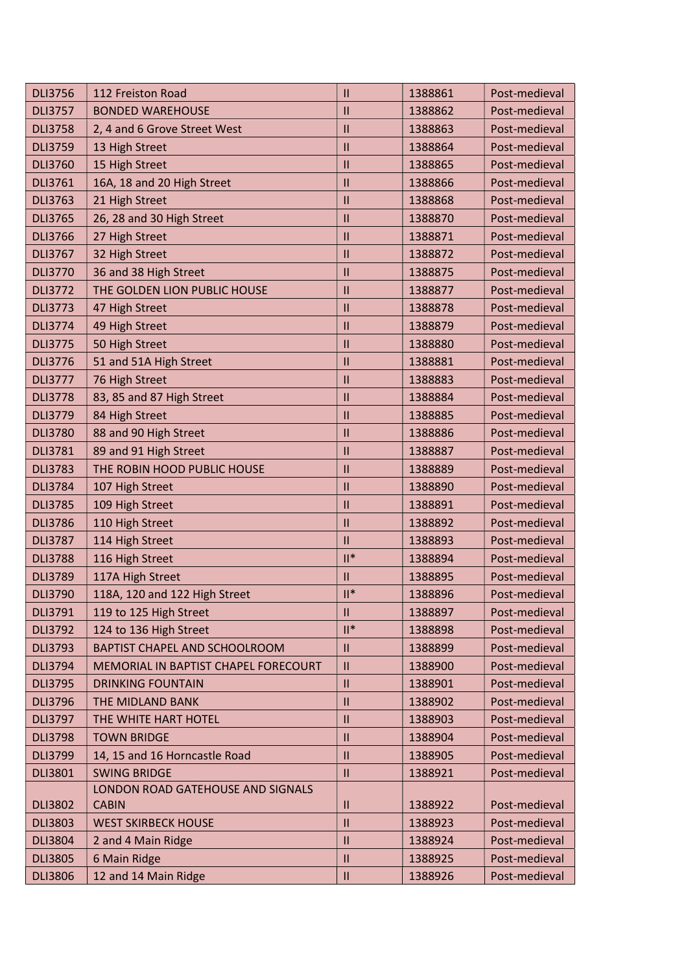| <b>DLI3756</b> | 112 Freiston Road                    | $\mathbf{I}$    | 1388861 | Post-medieval |
|----------------|--------------------------------------|-----------------|---------|---------------|
| <b>DLI3757</b> | <b>BONDED WAREHOUSE</b>              | $\mathbf{II}$   | 1388862 | Post-medieval |
| <b>DLI3758</b> | 2, 4 and 6 Grove Street West         | Ш               | 1388863 | Post-medieval |
| <b>DLI3759</b> | 13 High Street                       | $\mathbf{II}$   | 1388864 | Post-medieval |
| <b>DLI3760</b> | 15 High Street                       | $\mathbf{II}$   | 1388865 | Post-medieval |
| <b>DLI3761</b> | 16A, 18 and 20 High Street           | $\mathbf{II}$   | 1388866 | Post-medieval |
| <b>DLI3763</b> | 21 High Street                       | Ш               | 1388868 | Post-medieval |
| <b>DLI3765</b> | 26, 28 and 30 High Street            | $\mathbf{II}$   | 1388870 | Post-medieval |
| <b>DLI3766</b> | 27 High Street                       | $\mathbf{II}$   | 1388871 | Post-medieval |
| <b>DLI3767</b> | 32 High Street                       | $\mathbf{II}$   | 1388872 | Post-medieval |
| <b>DLI3770</b> | 36 and 38 High Street                | $\mathbf{II}$   | 1388875 | Post-medieval |
| <b>DLI3772</b> | THE GOLDEN LION PUBLIC HOUSE         | $\mathbf{II}$   | 1388877 | Post-medieval |
| <b>DLI3773</b> | 47 High Street                       | $\mathbf{II}$   | 1388878 | Post-medieval |
| <b>DLI3774</b> | 49 High Street                       | Ш               | 1388879 | Post-medieval |
| <b>DLI3775</b> | 50 High Street                       | $\mathbf{II}$   | 1388880 | Post-medieval |
| <b>DLI3776</b> | 51 and 51A High Street               | $\mathbf{II}$   | 1388881 | Post-medieval |
| <b>DLI3777</b> | 76 High Street                       | $\mathbf{II}$   | 1388883 | Post-medieval |
| <b>DLI3778</b> | 83, 85 and 87 High Street            | $\mathbf{II}$   | 1388884 | Post-medieval |
| <b>DLI3779</b> | 84 High Street                       | Ш               | 1388885 | Post-medieval |
| <b>DLI3780</b> | 88 and 90 High Street                | $\mathbf{II}$   | 1388886 | Post-medieval |
| <b>DLI3781</b> | 89 and 91 High Street                | Ш               | 1388887 | Post-medieval |
| <b>DLI3783</b> | THE ROBIN HOOD PUBLIC HOUSE          | $\mathbf{II}$   | 1388889 | Post-medieval |
| <b>DLI3784</b> | 107 High Street                      | $\mathbf{II}$   | 1388890 | Post-medieval |
| <b>DLI3785</b> | 109 High Street                      | $\mathbf{II}$   | 1388891 | Post-medieval |
| <b>DLI3786</b> | 110 High Street                      | $\mathbf{II}$   | 1388892 | Post-medieval |
| <b>DLI3787</b> | 114 High Street                      | $\mathbf{II}$   | 1388893 | Post-medieval |
| <b>DLI3788</b> | 116 High Street                      | $\mathsf{II}^*$ | 1388894 | Post-medieval |
| <b>DLI3789</b> | 117A High Street                     | Ш               | 1388895 | Post-medieval |
| <b>DLI3790</b> | 118A, 120 and 122 High Street        | $  ^*$          | 1388896 | Post-medieval |
| DLI3791        | 119 to 125 High Street               | Ш               | 1388897 | Post-medieval |
| <b>DLI3792</b> | 124 to 136 High Street               | $\mathsf{II}^*$ | 1388898 | Post-medieval |
| <b>DLI3793</b> | BAPTIST CHAPEL AND SCHOOLROOM        | $\mathbf{II}$   | 1388899 | Post-medieval |
| <b>DLI3794</b> | MEMORIAL IN BAPTIST CHAPEL FORECOURT | $\mathbf{II}$   | 1388900 | Post-medieval |
| <b>DLI3795</b> | <b>DRINKING FOUNTAIN</b>             | $\mathbf{II}$   | 1388901 | Post-medieval |
| <b>DLI3796</b> | THE MIDLAND BANK                     | $\mathbf{II}$   | 1388902 | Post-medieval |
| <b>DLI3797</b> | THE WHITE HART HOTEL                 | $\mathbf{II}$   | 1388903 | Post-medieval |
| <b>DLI3798</b> | <b>TOWN BRIDGE</b>                   | $\mathbf{I}$    | 1388904 | Post-medieval |
| <b>DLI3799</b> | 14, 15 and 16 Horncastle Road        | $\mathbf{II}$   | 1388905 | Post-medieval |
| <b>DLI3801</b> | <b>SWING BRIDGE</b>                  | $\mathbf{II}$   | 1388921 | Post-medieval |
|                | LONDON ROAD GATEHOUSE AND SIGNALS    |                 |         |               |
| <b>DLI3802</b> | <b>CABIN</b>                         | Ш               | 1388922 | Post-medieval |
| <b>DLI3803</b> | <b>WEST SKIRBECK HOUSE</b>           | $\mathbf{II}$   | 1388923 | Post-medieval |
| <b>DLI3804</b> | 2 and 4 Main Ridge                   | $\mathbf{II}$   | 1388924 | Post-medieval |
| <b>DLI3805</b> | 6 Main Ridge                         | $\mathbf{II}$   | 1388925 | Post-medieval |
| <b>DLI3806</b> | 12 and 14 Main Ridge                 | Ш               | 1388926 | Post-medieval |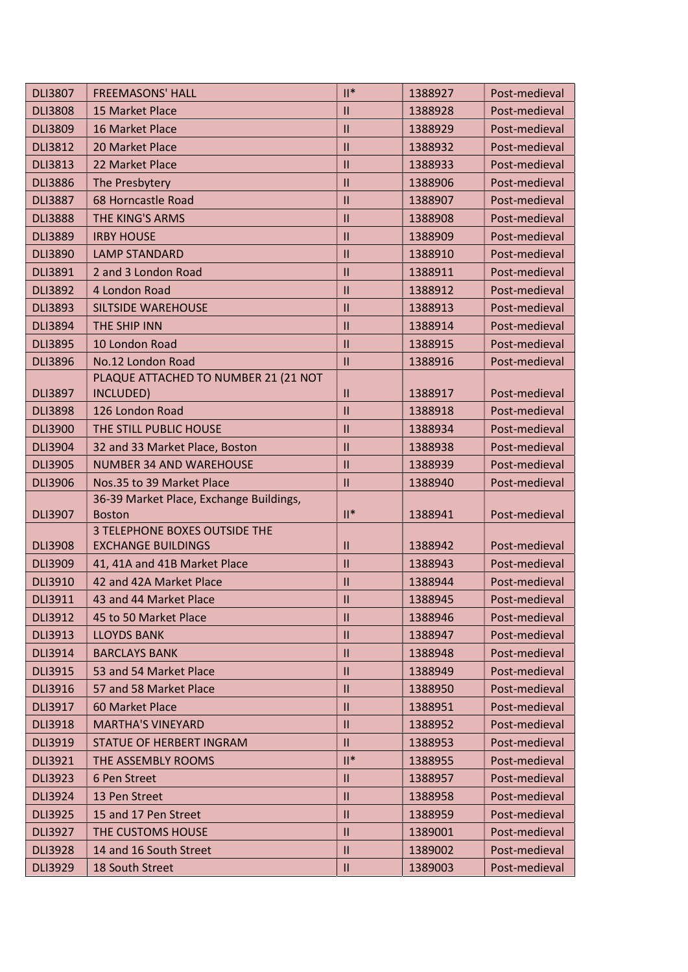| <b>DLI3807</b> | <b>FREEMASONS' HALL</b>                                  | $\mathbb{I}^*$ | 1388927 | Post-medieval |
|----------------|----------------------------------------------------------|----------------|---------|---------------|
| <b>DLI3808</b> | 15 Market Place                                          | Ш              | 1388928 | Post-medieval |
| <b>DLI3809</b> | 16 Market Place                                          | $\mathbf{H}$   | 1388929 | Post-medieval |
| <b>DLI3812</b> | 20 Market Place                                          | $\mathbf{II}$  | 1388932 | Post-medieval |
| <b>DLI3813</b> | 22 Market Place                                          | $\mathbf{II}$  | 1388933 | Post-medieval |
| <b>DLI3886</b> | The Presbytery                                           | $\mathbf{II}$  | 1388906 | Post-medieval |
| <b>DLI3887</b> | 68 Horncastle Road                                       | $\mathbf{II}$  | 1388907 | Post-medieval |
| <b>DLI3888</b> | THE KING'S ARMS                                          | $\mathbf{II}$  | 1388908 | Post-medieval |
| <b>DLI3889</b> | <b>IRBY HOUSE</b>                                        | $\mathbf{II}$  | 1388909 | Post-medieval |
| <b>DLI3890</b> | <b>LAMP STANDARD</b>                                     | $\mathbf{II}$  | 1388910 | Post-medieval |
| <b>DLI3891</b> | 2 and 3 London Road                                      | $\mathbf{II}$  | 1388911 | Post-medieval |
| <b>DLI3892</b> | 4 London Road                                            | $\mathbf{II}$  | 1388912 | Post-medieval |
| <b>DLI3893</b> | <b>SILTSIDE WAREHOUSE</b>                                | $\mathbf{II}$  | 1388913 | Post-medieval |
| <b>DLI3894</b> | THE SHIP INN                                             | Ш              | 1388914 | Post-medieval |
| <b>DLI3895</b> | 10 London Road                                           | $\mathbf{II}$  | 1388915 | Post-medieval |
| <b>DLI3896</b> | No.12 London Road                                        | $\mathbf{H}$   | 1388916 | Post-medieval |
|                | PLAQUE ATTACHED TO NUMBER 21 (21 NOT                     |                |         |               |
| <b>DLI3897</b> | INCLUDED)                                                | $\mathbf{H}$   | 1388917 | Post-medieval |
| <b>DLI3898</b> | 126 London Road                                          | $\mathbf{II}$  | 1388918 | Post-medieval |
| <b>DLI3900</b> | THE STILL PUBLIC HOUSE                                   | $\mathbf{II}$  | 1388934 | Post-medieval |
| <b>DLI3904</b> | 32 and 33 Market Place, Boston                           | $\mathbf{II}$  | 1388938 | Post-medieval |
| <b>DLI3905</b> | <b>NUMBER 34 AND WAREHOUSE</b>                           | $\mathbf{II}$  | 1388939 | Post-medieval |
| <b>DLI3906</b> | Nos.35 to 39 Market Place                                | $\mathbf{II}$  | 1388940 | Post-medieval |
| <b>DLI3907</b> | 36-39 Market Place, Exchange Buildings,<br><b>Boston</b> | $  $ *         | 1388941 | Post-medieval |
|                | <b>3 TELEPHONE BOXES OUTSIDE THE</b>                     |                |         |               |
| <b>DLI3908</b> | <b>EXCHANGE BUILDINGS</b>                                | Ш              | 1388942 | Post-medieval |
| <b>DLI3909</b> | 41, 41A and 41B Market Place                             | $\mathbf{II}$  | 1388943 | Post-medieval |
| <b>DLI3910</b> | 42 and 42A Market Place                                  | $\mathbf{II}$  | 1388944 | Post-medieval |
| <b>DLI3911</b> | 43 and 44 Market Place                                   | $\mathbf{II}$  | 1388945 | Post-medieval |
| <b>DLI3912</b> | 45 to 50 Market Place                                    | $\mathbf{H}$   | 1388946 | Post-medieval |
| <b>DLI3913</b> | <b>LLOYDS BANK</b>                                       | Ш              | 1388947 | Post-medieval |
| <b>DLI3914</b> | <b>BARCLAYS BANK</b>                                     | $\mathbf{II}$  | 1388948 | Post-medieval |
| <b>DLI3915</b> | 53 and 54 Market Place                                   | $\mathbf{II}$  | 1388949 | Post-medieval |
| <b>DLI3916</b> | 57 and 58 Market Place                                   | $\mathbf{II}$  | 1388950 | Post-medieval |
| <b>DLI3917</b> | 60 Market Place                                          | Ш              | 1388951 | Post-medieval |
| <b>DLI3918</b> | <b>MARTHA'S VINEYARD</b>                                 | Ш              | 1388952 | Post-medieval |
| <b>DLI3919</b> | STATUE OF HERBERT INGRAM                                 | $\mathbf{II}$  | 1388953 | Post-medieval |
| <b>DLI3921</b> | THE ASSEMBLY ROOMS                                       | $  $ *         | 1388955 | Post-medieval |
| <b>DLI3923</b> | 6 Pen Street                                             | Ш              | 1388957 | Post-medieval |
| <b>DLI3924</b> | 13 Pen Street                                            | $\mathbf{II}$  | 1388958 | Post-medieval |
| <b>DLI3925</b> | 15 and 17 Pen Street                                     | $\mathbf{H}$   | 1388959 | Post-medieval |
| <b>DLI3927</b> | THE CUSTOMS HOUSE                                        | Ш              | 1389001 | Post-medieval |
| <b>DLI3928</b> | 14 and 16 South Street                                   | $\mathbf{II}$  | 1389002 | Post-medieval |
| <b>DLI3929</b> | 18 South Street                                          | $\mathbf{II}$  | 1389003 | Post-medieval |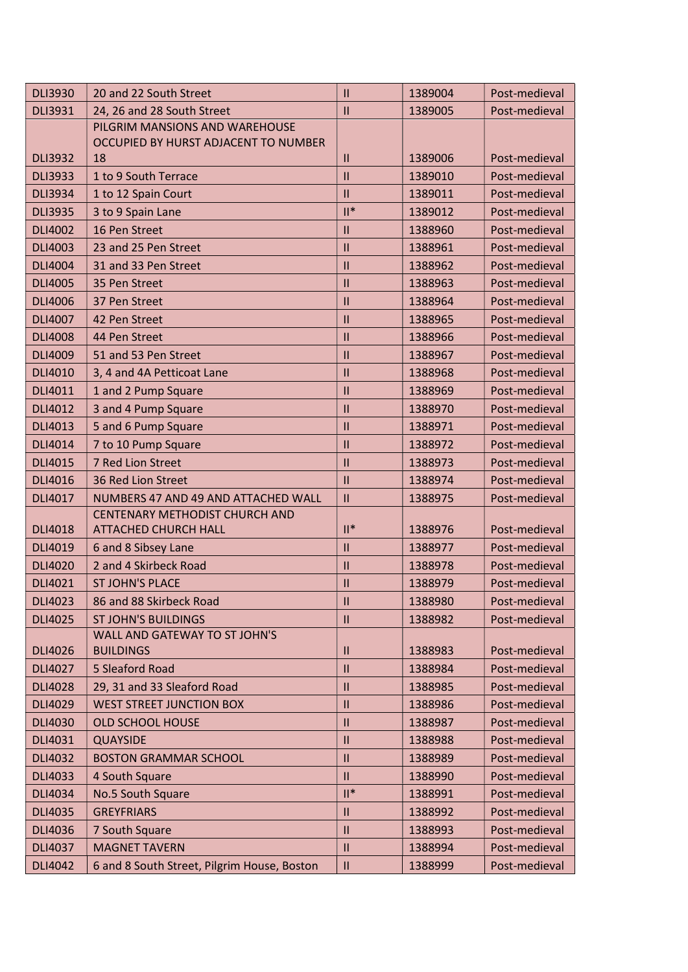| <b>DLI3930</b> | 20 and 22 South Street                      | $\mathbf{II}$                      | 1389004 | Post-medieval |
|----------------|---------------------------------------------|------------------------------------|---------|---------------|
| <b>DLI3931</b> | 24, 26 and 28 South Street                  | $\mathbf{H}$                       | 1389005 | Post-medieval |
|                | PILGRIM MANSIONS AND WAREHOUSE              |                                    |         |               |
|                | OCCUPIED BY HURST ADJACENT TO NUMBER        |                                    |         |               |
| <b>DLI3932</b> | 18                                          | $\mathbf{II}$                      | 1389006 | Post-medieval |
| <b>DLI3933</b> | 1 to 9 South Terrace                        | $\mathbf{II}$                      | 1389010 | Post-medieval |
| <b>DLI3934</b> | 1 to 12 Spain Court                         | $\mathbf{II}$                      | 1389011 | Post-medieval |
| <b>DLI3935</b> | 3 to 9 Spain Lane                           | $  $ *                             | 1389012 | Post-medieval |
| <b>DLI4002</b> | 16 Pen Street                               | $\mathbf{II}$                      | 1388960 | Post-medieval |
| DLI4003        | 23 and 25 Pen Street                        | $\mathbf{II}$                      | 1388961 | Post-medieval |
| <b>DLI4004</b> | 31 and 33 Pen Street                        | $\mathbf{II}$                      | 1388962 | Post-medieval |
| <b>DLI4005</b> | 35 Pen Street                               | $\mathbf{II}$                      | 1388963 | Post-medieval |
| <b>DLI4006</b> | 37 Pen Street                               | $\mathbf{II}$                      | 1388964 | Post-medieval |
| <b>DLI4007</b> | 42 Pen Street                               | $\mathbf{II}$                      | 1388965 | Post-medieval |
| <b>DLI4008</b> | 44 Pen Street                               | $\mathbf{II}$                      | 1388966 | Post-medieval |
| <b>DLI4009</b> | 51 and 53 Pen Street                        | $\mathbf{II}$                      | 1388967 | Post-medieval |
| DLI4010        | 3, 4 and 4A Petticoat Lane                  | $\mathbf{II}$                      | 1388968 | Post-medieval |
| DLI4011        | 1 and 2 Pump Square                         | $\mathbf{II}$                      | 1388969 | Post-medieval |
| <b>DLI4012</b> | 3 and 4 Pump Square                         | $\mathbf{II}$                      | 1388970 | Post-medieval |
| DLI4013        | 5 and 6 Pump Square                         | $\mathbf{II}$                      | 1388971 | Post-medieval |
| DLI4014        | 7 to 10 Pump Square                         | $\mathbf{II}$                      | 1388972 | Post-medieval |
| DLI4015        | 7 Red Lion Street                           | $\mathbf{II}$                      | 1388973 | Post-medieval |
| DLI4016        | 36 Red Lion Street                          | $\mathbf{II}$                      | 1388974 | Post-medieval |
| <b>DLI4017</b> | NUMBERS 47 AND 49 AND ATTACHED WALL         | $\mathbf{II}$                      | 1388975 | Post-medieval |
|                | <b>CENTENARY METHODIST CHURCH AND</b>       |                                    |         |               |
| <b>DLI4018</b> | <b>ATTACHED CHURCH HALL</b>                 | $\mathbb{I}^*$                     | 1388976 | Post-medieval |
| <b>DLI4019</b> | 6 and 8 Sibsey Lane                         | $\mathbf{II}$                      | 1388977 | Post-medieval |
| <b>DLI4020</b> | 2 and 4 Skirbeck Road                       | $\mathbf{  }$                      | 1388978 | Post-medieval |
| DLI4021        | <b>ST JOHN'S PLACE</b>                      | $\mathbf{II}$                      | 1388979 | Post-medieval |
| <b>DLI4023</b> | 86 and 88 Skirbeck Road                     | $\ensuremath{\mathsf{III}}\xspace$ | 1388980 | Post-medieval |
| <b>DLI4025</b> | <b>ST JOHN'S BUILDINGS</b>                  | $\mathbf{H}$                       | 1388982 | Post-medieval |
|                | WALL AND GATEWAY TO ST JOHN'S               |                                    |         |               |
| <b>DLI4026</b> | <b>BUILDINGS</b>                            | $\mathbf{II}$                      | 1388983 | Post-medieval |
| DLI4027        | 5 Sleaford Road                             | $\mathbf{II}$                      | 1388984 | Post-medieval |
| <b>DLI4028</b> | 29, 31 and 33 Sleaford Road                 | $\mathbf{II}$                      | 1388985 | Post-medieval |
| DLI4029        | <b>WEST STREET JUNCTION BOX</b>             | $\mathbf{H}$                       | 1388986 | Post-medieval |
| <b>DLI4030</b> | <b>OLD SCHOOL HOUSE</b>                     | $\mathbf{II}$                      | 1388987 | Post-medieval |
| DLI4031        | <b>QUAYSIDE</b>                             | $\mathbf{II}$                      | 1388988 | Post-medieval |
| <b>DLI4032</b> | <b>BOSTON GRAMMAR SCHOOL</b>                | $\mathbf{II}$                      | 1388989 | Post-medieval |
| DLI4033        | 4 South Square                              | $\mathbf{II}$                      | 1388990 | Post-medieval |
| <b>DLI4034</b> | No.5 South Square                           | $\mathsf{II}^*$                    | 1388991 | Post-medieval |
| <b>DLI4035</b> | <b>GREYFRIARS</b>                           | $\mathbf{II}$                      | 1388992 | Post-medieval |
| <b>DLI4036</b> | 7 South Square                              | $\mathbf{  }$                      | 1388993 | Post-medieval |
| <b>DLI4037</b> | <b>MAGNET TAVERN</b>                        | $\mathbf{II}$                      | 1388994 | Post-medieval |
| <b>DLI4042</b> | 6 and 8 South Street, Pilgrim House, Boston | $\ensuremath{\mathsf{II}}$         | 1388999 | Post-medieval |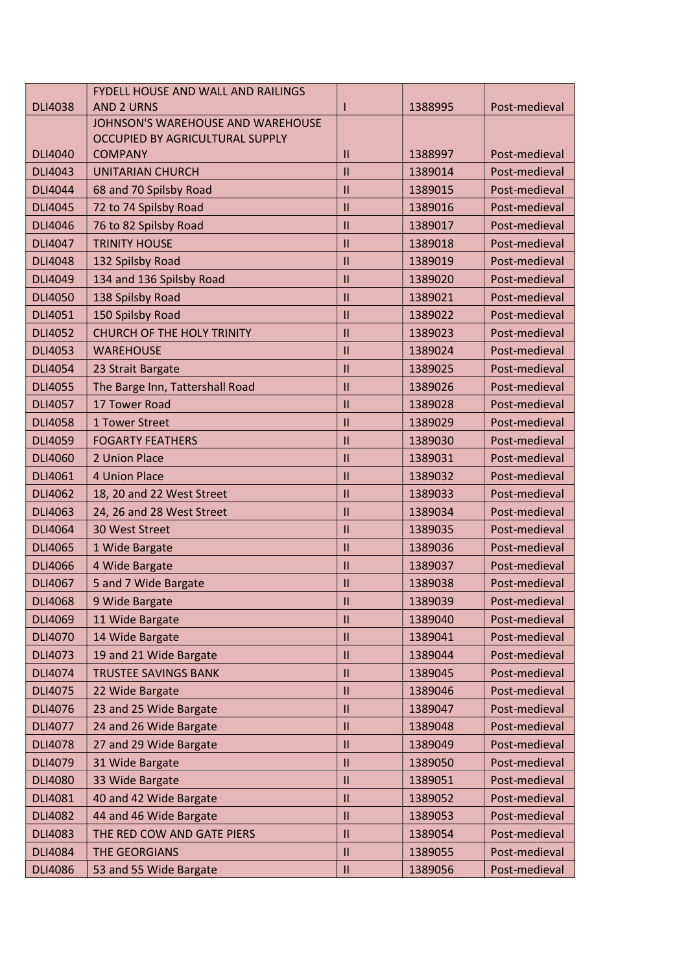|                | <b>FYDELL HOUSE AND WALL AND RAILINGS</b> |               |         |               |
|----------------|-------------------------------------------|---------------|---------|---------------|
| <b>DLI4038</b> | <b>AND 2 URNS</b>                         |               | 1388995 | Post-medieval |
|                | JOHNSON'S WAREHOUSE AND WAREHOUSE         |               |         |               |
|                | OCCUPIED BY AGRICULTURAL SUPPLY           |               |         |               |
| <b>DLI4040</b> | <b>COMPANY</b>                            | Ш             | 1388997 | Post-medieval |
| <b>DLI4043</b> | <b>UNITARIAN CHURCH</b>                   | $\mathbf{II}$ | 1389014 | Post-medieval |
| DLI4044        | 68 and 70 Spilsby Road                    | $\mathbf{II}$ | 1389015 | Post-medieval |
| <b>DLI4045</b> | 72 to 74 Spilsby Road                     | $\mathbf{II}$ | 1389016 | Post-medieval |
| <b>DLI4046</b> | 76 to 82 Spilsby Road                     | $\mathbf{II}$ | 1389017 | Post-medieval |
| DLI4047        | <b>TRINITY HOUSE</b>                      | $\mathbf{II}$ | 1389018 | Post-medieval |
| <b>DLI4048</b> | 132 Spilsby Road                          | $\mathbf{II}$ | 1389019 | Post-medieval |
| DLI4049        | 134 and 136 Spilsby Road                  | $\mathbf{II}$ | 1389020 | Post-medieval |
| <b>DLI4050</b> | 138 Spilsby Road                          | Ш             | 1389021 | Post-medieval |
| DLI4051        | 150 Spilsby Road                          | $\mathbf{II}$ | 1389022 | Post-medieval |
| <b>DLI4052</b> | <b>CHURCH OF THE HOLY TRINITY</b>         | $\mathbf{II}$ | 1389023 | Post-medieval |
| <b>DLI4053</b> | <b>WAREHOUSE</b>                          | $\mathbf{II}$ | 1389024 | Post-medieval |
| <b>DLI4054</b> | 23 Strait Bargate                         | $\mathbf{II}$ | 1389025 | Post-medieval |
| <b>DLI4055</b> | The Barge Inn, Tattershall Road           | $\mathbf{II}$ | 1389026 | Post-medieval |
| <b>DLI4057</b> | 17 Tower Road                             | $\mathbf{II}$ | 1389028 | Post-medieval |
| <b>DLI4058</b> | 1 Tower Street                            | $\mathbf{II}$ | 1389029 | Post-medieval |
| <b>DLI4059</b> | <b>FOGARTY FEATHERS</b>                   | $\mathbf{II}$ | 1389030 | Post-medieval |
| <b>DLI4060</b> | 2 Union Place                             | $\mathbf{II}$ | 1389031 | Post-medieval |
| DLI4061        | 4 Union Place                             | $\mathbf{II}$ | 1389032 | Post-medieval |
| <b>DLI4062</b> | 18, 20 and 22 West Street                 | $\mathbf{II}$ | 1389033 | Post-medieval |
| <b>DLI4063</b> | 24, 26 and 28 West Street                 | $\mathbf{II}$ | 1389034 | Post-medieval |
| <b>DLI4064</b> | 30 West Street                            | $\mathbf{II}$ | 1389035 | Post-medieval |
| <b>DLI4065</b> | 1 Wide Bargate                            | $\mathbf{II}$ | 1389036 | Post-medieval |
| <b>DLI4066</b> | 4 Wide Bargate                            | $\mathbf{II}$ | 1389037 | Post-medieval |
| <b>DLI4067</b> | 5 and 7 Wide Bargate                      | $\mathbf{II}$ | 1389038 | Post-medieval |
| <b>DLI4068</b> | 9 Wide Bargate                            | $\mathbf{II}$ | 1389039 | Post-medieval |
| <b>DLI4069</b> | 11 Wide Bargate                           | $\mathbf{II}$ | 1389040 | Post-medieval |
| <b>DLI4070</b> | 14 Wide Bargate                           | $\mathbf{II}$ | 1389041 | Post-medieval |
| DLI4073        | 19 and 21 Wide Bargate                    | $\mathbf{II}$ | 1389044 | Post-medieval |
| DLI4074        | <b>TRUSTEE SAVINGS BANK</b>               | $\mathbf{II}$ | 1389045 | Post-medieval |
| <b>DLI4075</b> | 22 Wide Bargate                           | Ш             | 1389046 | Post-medieval |
| DLI4076        | 23 and 25 Wide Bargate                    | $\mathbf{II}$ | 1389047 | Post-medieval |
| <b>DLI4077</b> | 24 and 26 Wide Bargate                    | $\mathbf{II}$ | 1389048 | Post-medieval |
| <b>DLI4078</b> | 27 and 29 Wide Bargate                    | Ш             | 1389049 | Post-medieval |
| DLI4079        | 31 Wide Bargate                           | $\mathbf{II}$ | 1389050 | Post-medieval |
| <b>DLI4080</b> | 33 Wide Bargate                           | $\mathbf{II}$ | 1389051 | Post-medieval |
| <b>DLI4081</b> | 40 and 42 Wide Bargate                    | $\mathbf{II}$ | 1389052 | Post-medieval |
| <b>DLI4082</b> | 44 and 46 Wide Bargate                    | $\mathbf{II}$ | 1389053 | Post-medieval |
|                |                                           |               |         |               |
| <b>DLI4083</b> | THE RED COW AND GATE PIERS                | Ш             | 1389054 | Post-medieval |
| <b>DLI4084</b> | <b>THE GEORGIANS</b>                      | $\mathbf{II}$ | 1389055 | Post-medieval |
| <b>DLI4086</b> | 53 and 55 Wide Bargate                    | $\mathbf{H}$  | 1389056 | Post-medieval |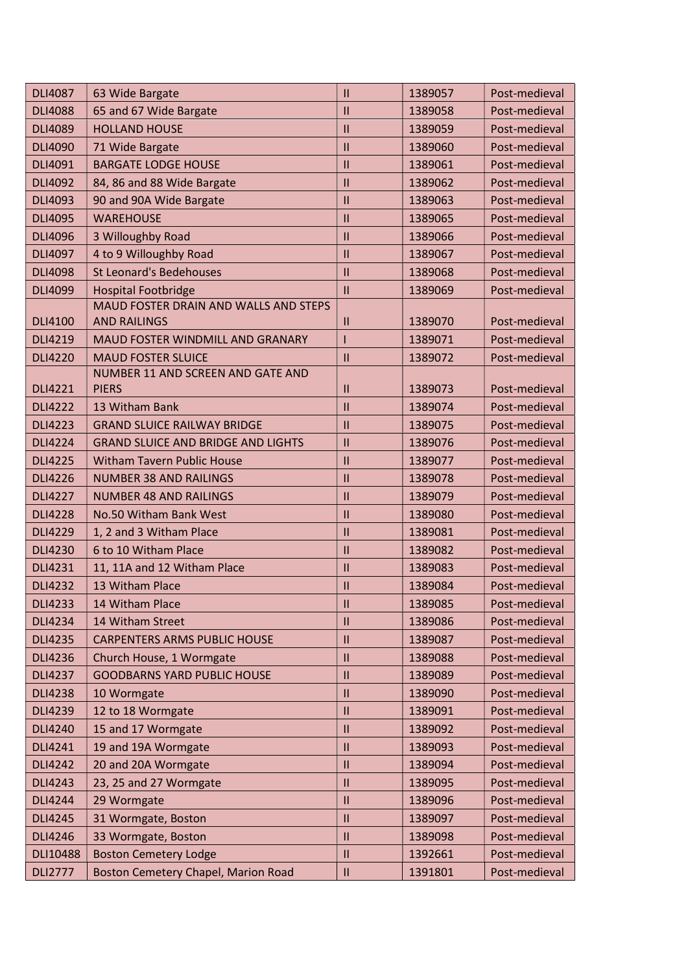| <b>DLI4087</b> | 63 Wide Bargate                            | $\mathbf{II}$             | 1389057 | Post-medieval |
|----------------|--------------------------------------------|---------------------------|---------|---------------|
| <b>DLI4088</b> | 65 and 67 Wide Bargate                     | $\mathbf{II}$             | 1389058 | Post-medieval |
| <b>DLI4089</b> | <b>HOLLAND HOUSE</b>                       | $\mathbf{II}$             | 1389059 | Post-medieval |
| <b>DLI4090</b> | 71 Wide Bargate                            | $\mathbf{II}$             | 1389060 | Post-medieval |
| DLI4091        | <b>BARGATE LODGE HOUSE</b>                 | $\mathbf{II}$             | 1389061 | Post-medieval |
| <b>DLI4092</b> | 84, 86 and 88 Wide Bargate                 | $\mathbf{II}$             | 1389062 | Post-medieval |
| <b>DLI4093</b> | 90 and 90A Wide Bargate                    | $\mathbf{II}$             | 1389063 | Post-medieval |
| <b>DLI4095</b> | <b>WAREHOUSE</b>                           | $\mathbf{II}$             | 1389065 | Post-medieval |
| <b>DLI4096</b> | 3 Willoughby Road                          | Ш                         | 1389066 | Post-medieval |
| <b>DLI4097</b> | 4 to 9 Willoughby Road                     | $\mathbf{II}$             | 1389067 | Post-medieval |
| <b>DLI4098</b> | <b>St Leonard's Bedehouses</b>             | $\mathbf{II}$             | 1389068 | Post-medieval |
| <b>DLI4099</b> | <b>Hospital Footbridge</b>                 | $\mathbf{II}$             | 1389069 | Post-medieval |
|                | MAUD FOSTER DRAIN AND WALLS AND STEPS      |                           |         |               |
| <b>DLI4100</b> | <b>AND RAILINGS</b>                        | $\mathbf{H}$              | 1389070 | Post-medieval |
| <b>DLI4219</b> | MAUD FOSTER WINDMILL AND GRANARY           |                           | 1389071 | Post-medieval |
| <b>DLI4220</b> | <b>MAUD FOSTER SLUICE</b>                  | $\mathbf{II}$             | 1389072 | Post-medieval |
|                | NUMBER 11 AND SCREEN AND GATE AND          |                           |         |               |
| <b>DLI4221</b> | <b>PIERS</b>                               | $\mathsf{II}$             | 1389073 | Post-medieval |
| <b>DLI4222</b> | 13 Witham Bank                             | $\mathbf{H}$              | 1389074 | Post-medieval |
| <b>DLI4223</b> | <b>GRAND SLUICE RAILWAY BRIDGE</b>         | $\mathbf{II}$             | 1389075 | Post-medieval |
| <b>DLI4224</b> | <b>GRAND SLUICE AND BRIDGE AND LIGHTS</b>  | $\mathbf{II}$             | 1389076 | Post-medieval |
| <b>DLI4225</b> | <b>Witham Tavern Public House</b>          | $\mathbf{II}$             | 1389077 | Post-medieval |
| <b>DLI4226</b> | <b>NUMBER 38 AND RAILINGS</b>              | $\mathbf{II}$             | 1389078 | Post-medieval |
| <b>DLI4227</b> | <b>NUMBER 48 AND RAILINGS</b>              | $\mathbf{II}$             | 1389079 | Post-medieval |
| <b>DLI4228</b> | No.50 Witham Bank West                     | $\mathbf{II}$             | 1389080 | Post-medieval |
| <b>DLI4229</b> | 1, 2 and 3 Witham Place                    | $\mathbf{II}$             | 1389081 | Post-medieval |
| <b>DLI4230</b> | 6 to 10 Witham Place                       | $\mathbf{II}$             | 1389082 | Post-medieval |
| <b>DLI4231</b> | 11, 11A and 12 Witham Place                | Ш                         | 1389083 | Post-medieval |
| <b>DLI4232</b> | 13 Witham Place                            | $\mathbf{II}$             | 1389084 | Post-medieval |
| <b>DLI4233</b> | 14 Witham Place                            | $\ensuremath{\mathsf{H}}$ | 1389085 | Post-medieval |
| <b>DLI4234</b> | 14 Witham Street                           | $\mathbf{II}$             | 1389086 | Post-medieval |
| <b>DLI4235</b> | <b>CARPENTERS ARMS PUBLIC HOUSE</b>        | $\mathbf{II}$             | 1389087 | Post-medieval |
| <b>DLI4236</b> | Church House, 1 Wormgate                   | $\mathbf{II}$             | 1389088 | Post-medieval |
| <b>DLI4237</b> | <b>GOODBARNS YARD PUBLIC HOUSE</b>         | $\mathbf{I}$              | 1389089 | Post-medieval |
| <b>DLI4238</b> | 10 Wormgate                                | $\mathbf{II}$             | 1389090 | Post-medieval |
| <b>DLI4239</b> | 12 to 18 Wormgate                          | $\mathbf{II}$             | 1389091 | Post-medieval |
| <b>DLI4240</b> | 15 and 17 Wormgate                         | $\mathbf{II}$             | 1389092 | Post-medieval |
| DLI4241        | 19 and 19A Wormgate                        | $\mathbf{II}$             | 1389093 | Post-medieval |
| <b>DLI4242</b> | 20 and 20A Wormgate                        | $\mathbf{II}$             | 1389094 | Post-medieval |
| <b>DLI4243</b> | 23, 25 and 27 Wormgate                     | Ш                         | 1389095 | Post-medieval |
| <b>DLI4244</b> | 29 Wormgate                                | $\mathbf{II}$             | 1389096 | Post-medieval |
| <b>DLI4245</b> | 31 Wormgate, Boston                        | $\mathbf{II}$             | 1389097 | Post-medieval |
| <b>DLI4246</b> | 33 Wormgate, Boston                        | $\mathbf{II}$             | 1389098 | Post-medieval |
| DLI10488       | <b>Boston Cemetery Lodge</b>               | $\mathbf{II}$             | 1392661 | Post-medieval |
| <b>DLI2777</b> | <b>Boston Cemetery Chapel, Marion Road</b> | $\mathbf{II}$             | 1391801 | Post-medieval |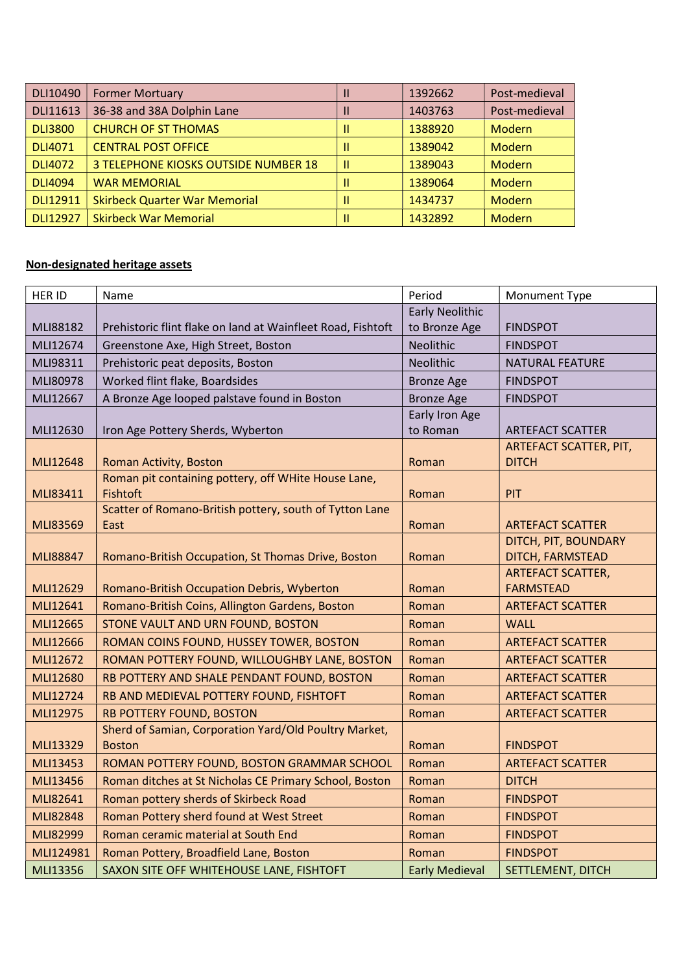| DLI10490        | <b>Former Mortuary</b>               | 1392662 | Post-medieval |
|-----------------|--------------------------------------|---------|---------------|
| DLI11613        | 36-38 and 38A Dolphin Lane           | 1403763 | Post-medieval |
| <b>DLI3800</b>  | <b>CHURCH OF ST THOMAS</b>           | 1388920 | Modern        |
| <b>DLI4071</b>  | <b>CENTRAL POST OFFICE</b>           | 1389042 | Modern        |
| <b>DLI4072</b>  | 3 TELEPHONE KIOSKS OUTSIDE NUMBER 18 | 1389043 | Modern        |
| <b>DLI4094</b>  | <b>WAR MEMORIAL</b>                  | 1389064 | Modern        |
| DLI12911        | <b>Skirbeck Quarter War Memorial</b> | 1434737 | <b>Modern</b> |
| <b>DLI12927</b> | <b>Skirbeck War Memorial</b>         | 1432892 | Modern        |

## Non-designated heritage assets

| HER ID          | Name                                                        | Period                 | Monument Type                            |
|-----------------|-------------------------------------------------------------|------------------------|------------------------------------------|
|                 |                                                             | <b>Early Neolithic</b> |                                          |
| MLI88182        | Prehistoric flint flake on land at Wainfleet Road, Fishtoft | to Bronze Age          | <b>FINDSPOT</b>                          |
| MLI12674        | Greenstone Axe, High Street, Boston                         | Neolithic              | <b>FINDSPOT</b>                          |
| MLI98311        | Prehistoric peat deposits, Boston                           | Neolithic              | <b>NATURAL FEATURE</b>                   |
| MLI80978        | Worked flint flake, Boardsides                              | <b>Bronze Age</b>      | <b>FINDSPOT</b>                          |
| MLI12667        | A Bronze Age looped palstave found in Boston                | <b>Bronze Age</b>      | <b>FINDSPOT</b>                          |
|                 |                                                             | Early Iron Age         |                                          |
| MLI12630        | Iron Age Pottery Sherds, Wyberton                           | to Roman               | <b>ARTEFACT SCATTER</b>                  |
|                 |                                                             |                        | ARTEFACT SCATTER, PIT,                   |
| MLI12648        | Roman Activity, Boston                                      | Roman                  | <b>DITCH</b>                             |
|                 | Roman pit containing pottery, off WHite House Lane,         |                        |                                          |
| MLI83411        | Fishtoft                                                    | Roman                  | PIT                                      |
|                 | Scatter of Romano-British pottery, south of Tytton Lane     |                        |                                          |
| <b>MLI83569</b> | East                                                        | Roman                  | <b>ARTEFACT SCATTER</b>                  |
| <b>MLI88847</b> | Romano-British Occupation, St Thomas Drive, Boston          |                        | DITCH, PIT, BOUNDARY<br>DITCH, FARMSTEAD |
|                 |                                                             | Roman                  | <b>ARTEFACT SCATTER,</b>                 |
| MLI12629        | Romano-British Occupation Debris, Wyberton                  | Roman                  | <b>FARMSTEAD</b>                         |
| MLI12641        | Romano-British Coins, Allington Gardens, Boston             | Roman                  | <b>ARTEFACT SCATTER</b>                  |
| MLI12665        | STONE VAULT AND URN FOUND, BOSTON                           | Roman                  | <b>WALL</b>                              |
| MLI12666        | ROMAN COINS FOUND, HUSSEY TOWER, BOSTON                     | Roman                  | <b>ARTEFACT SCATTER</b>                  |
| MLI12672        | ROMAN POTTERY FOUND, WILLOUGHBY LANE, BOSTON                | Roman                  | <b>ARTEFACT SCATTER</b>                  |
| <b>MLI12680</b> | RB POTTERY AND SHALE PENDANT FOUND, BOSTON                  | Roman                  | <b>ARTEFACT SCATTER</b>                  |
| MLI12724        | RB AND MEDIEVAL POTTERY FOUND, FISHTOFT                     | Roman                  | <b>ARTEFACT SCATTER</b>                  |
| MLI12975        | <b>RB POTTERY FOUND, BOSTON</b>                             | Roman                  | <b>ARTEFACT SCATTER</b>                  |
|                 | Sherd of Samian, Corporation Yard/Old Poultry Market,       |                        |                                          |
| MLI13329        | <b>Boston</b>                                               | Roman                  | <b>FINDSPOT</b>                          |
| MLI13453        | ROMAN POTTERY FOUND, BOSTON GRAMMAR SCHOOL                  | Roman                  | <b>ARTEFACT SCATTER</b>                  |
| MLI13456        | Roman ditches at St Nicholas CE Primary School, Boston      | Roman                  | <b>DITCH</b>                             |
| MLI82641        | Roman pottery sherds of Skirbeck Road                       | Roman                  | <b>FINDSPOT</b>                          |
| <b>MLI82848</b> | Roman Pottery sherd found at West Street                    | Roman                  | <b>FINDSPOT</b>                          |
| MLI82999        | Roman ceramic material at South End                         | Roman                  | <b>FINDSPOT</b>                          |
| MLI124981       | Roman Pottery, Broadfield Lane, Boston                      | Roman                  | <b>FINDSPOT</b>                          |
| MLI13356        | SAXON SITE OFF WHITEHOUSE LANE, FISHTOFT                    | <b>Early Medieval</b>  | SETTLEMENT, DITCH                        |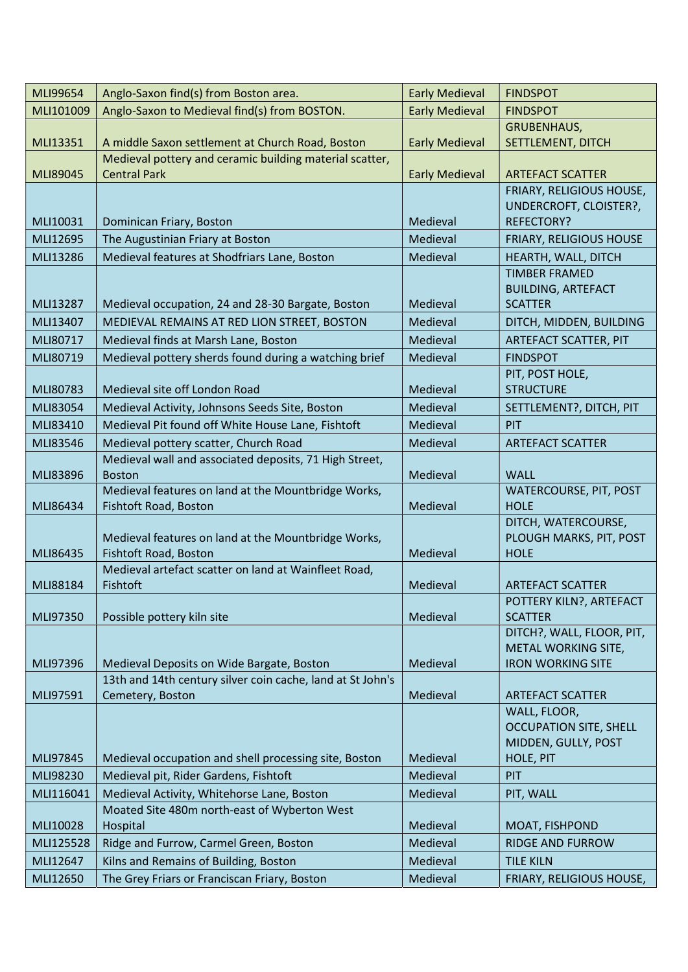| Anglo-Saxon to Medieval find(s) from BOSTON.<br>MLI101009<br><b>Early Medieval</b><br><b>FINDSPOT</b><br><b>GRUBENHAUS,</b><br>A middle Saxon settlement at Church Road, Boston<br><b>Early Medieval</b><br>SETTLEMENT, DITCH<br>MLI13351<br>Medieval pottery and ceramic building material scatter,<br><b>Central Park</b><br><b>Early Medieval</b><br><b>ARTEFACT SCATTER</b><br>MLI89045<br>FRIARY, RELIGIOUS HOUSE,<br>UNDERCROFT, CLOISTER?,<br>MLI10031<br>Dominican Friary, Boston<br>Medieval<br><b>REFECTORY?</b><br>The Augustinian Friary at Boston<br>Medieval<br>MLI12695<br><b>FRIARY, RELIGIOUS HOUSE</b><br>MLI13286<br>Medieval features at Shodfriars Lane, Boston<br>Medieval<br>HEARTH, WALL, DITCH<br><b>TIMBER FRAMED</b><br><b>BUILDING, ARTEFACT</b><br>MLI13287<br>Medieval occupation, 24 and 28-30 Bargate, Boston<br>Medieval<br><b>SCATTER</b><br>MEDIEVAL REMAINS AT RED LION STREET, BOSTON<br>MLI13407<br>Medieval<br>DITCH, MIDDEN, BUILDING<br>Medieval finds at Marsh Lane, Boston<br>MLI80717<br>Medieval<br><b>ARTEFACT SCATTER, PIT</b><br>Medieval pottery sherds found during a watching brief<br>MLI80719<br>Medieval<br><b>FINDSPOT</b><br>PIT, POST HOLE,<br>Medieval site off London Road<br><b>STRUCTURE</b><br>MLI80783<br>Medieval<br>MLI83054<br>Medieval Activity, Johnsons Seeds Site, Boston<br>Medieval<br>SETTLEMENT?, DITCH, PIT<br>Medieval Pit found off White House Lane, Fishtoft<br>MLI83410<br>Medieval<br>PIT<br>MLI83546<br>Medieval pottery scatter, Church Road<br>Medieval<br><b>ARTEFACT SCATTER</b><br>Medieval wall and associated deposits, 71 High Street,<br><b>WALL</b><br>MLI83896<br><b>Boston</b><br>Medieval<br>Medieval features on land at the Mountbridge Works,<br><b>WATERCOURSE, PIT, POST</b><br><b>HOLE</b><br>Fishtoft Road, Boston<br>Medieval<br>MLI86434<br>DITCH, WATERCOURSE,<br>Medieval features on land at the Mountbridge Works,<br>PLOUGH MARKS, PIT, POST<br>Fishtoft Road, Boston<br>Medieval<br><b>HOLE</b><br>MLI86435<br>Medieval artefact scatter on land at Wainfleet Road,<br>Fishtoft<br>Medieval<br>MLI88184<br><b>ARTEFACT SCATTER</b><br>POTTERY KILN?, ARTEFACT<br>MLI97350<br>Possible pottery kiln site<br>Medieval<br><b>SCATTER</b><br>DITCH?, WALL, FLOOR, PIT,<br>METAL WORKING SITE,<br>MLI97396<br>Medieval Deposits on Wide Bargate, Boston<br>Medieval<br><b>IRON WORKING SITE</b><br>13th and 14th century silver coin cache, land at St John's<br>Cemetery, Boston<br>Medieval<br>MLI97591<br><b>ARTEFACT SCATTER</b><br>WALL, FLOOR,<br><b>OCCUPATION SITE, SHELL</b><br>MIDDEN, GULLY, POST<br>MLI97845<br>Medieval occupation and shell processing site, Boston<br>Medieval<br>HOLE, PIT<br>MLI98230<br>Medieval pit, Rider Gardens, Fishtoft<br>Medieval<br>PIT<br>Medieval Activity, Whitehorse Lane, Boston<br>Medieval<br>MLI116041<br>PIT, WALL<br>Moated Site 480m north-east of Wyberton West<br>Medieval<br>MLI10028<br>Hospital<br>MOAT, FISHPOND<br>MLI125528<br>Ridge and Furrow, Carmel Green, Boston<br>Medieval<br><b>RIDGE AND FURROW</b><br>MLI12647<br>Kilns and Remains of Building, Boston<br>Medieval<br><b>TILE KILN</b> | MLI99654 | Anglo-Saxon find(s) from Boston area.        | <b>Early Medieval</b> | <b>FINDSPOT</b>          |
|--------------------------------------------------------------------------------------------------------------------------------------------------------------------------------------------------------------------------------------------------------------------------------------------------------------------------------------------------------------------------------------------------------------------------------------------------------------------------------------------------------------------------------------------------------------------------------------------------------------------------------------------------------------------------------------------------------------------------------------------------------------------------------------------------------------------------------------------------------------------------------------------------------------------------------------------------------------------------------------------------------------------------------------------------------------------------------------------------------------------------------------------------------------------------------------------------------------------------------------------------------------------------------------------------------------------------------------------------------------------------------------------------------------------------------------------------------------------------------------------------------------------------------------------------------------------------------------------------------------------------------------------------------------------------------------------------------------------------------------------------------------------------------------------------------------------------------------------------------------------------------------------------------------------------------------------------------------------------------------------------------------------------------------------------------------------------------------------------------------------------------------------------------------------------------------------------------------------------------------------------------------------------------------------------------------------------------------------------------------------------------------------------------------------------------------------------------------------------------------------------------------------------------------------------------------------------------------------------------------------------------------------------------------------------------------------------------------------------------------------------------------------------------------------------------------------------------------------------------------------------------------------------------------------------------------------------------------------------------------------------------------------------------------------------------------------------------------------------------------------------------------------------------------------------|----------|----------------------------------------------|-----------------------|--------------------------|
|                                                                                                                                                                                                                                                                                                                                                                                                                                                                                                                                                                                                                                                                                                                                                                                                                                                                                                                                                                                                                                                                                                                                                                                                                                                                                                                                                                                                                                                                                                                                                                                                                                                                                                                                                                                                                                                                                                                                                                                                                                                                                                                                                                                                                                                                                                                                                                                                                                                                                                                                                                                                                                                                                                                                                                                                                                                                                                                                                                                                                                                                                                                                                                          |          |                                              |                       |                          |
|                                                                                                                                                                                                                                                                                                                                                                                                                                                                                                                                                                                                                                                                                                                                                                                                                                                                                                                                                                                                                                                                                                                                                                                                                                                                                                                                                                                                                                                                                                                                                                                                                                                                                                                                                                                                                                                                                                                                                                                                                                                                                                                                                                                                                                                                                                                                                                                                                                                                                                                                                                                                                                                                                                                                                                                                                                                                                                                                                                                                                                                                                                                                                                          |          |                                              |                       |                          |
|                                                                                                                                                                                                                                                                                                                                                                                                                                                                                                                                                                                                                                                                                                                                                                                                                                                                                                                                                                                                                                                                                                                                                                                                                                                                                                                                                                                                                                                                                                                                                                                                                                                                                                                                                                                                                                                                                                                                                                                                                                                                                                                                                                                                                                                                                                                                                                                                                                                                                                                                                                                                                                                                                                                                                                                                                                                                                                                                                                                                                                                                                                                                                                          |          |                                              |                       |                          |
|                                                                                                                                                                                                                                                                                                                                                                                                                                                                                                                                                                                                                                                                                                                                                                                                                                                                                                                                                                                                                                                                                                                                                                                                                                                                                                                                                                                                                                                                                                                                                                                                                                                                                                                                                                                                                                                                                                                                                                                                                                                                                                                                                                                                                                                                                                                                                                                                                                                                                                                                                                                                                                                                                                                                                                                                                                                                                                                                                                                                                                                                                                                                                                          |          |                                              |                       |                          |
|                                                                                                                                                                                                                                                                                                                                                                                                                                                                                                                                                                                                                                                                                                                                                                                                                                                                                                                                                                                                                                                                                                                                                                                                                                                                                                                                                                                                                                                                                                                                                                                                                                                                                                                                                                                                                                                                                                                                                                                                                                                                                                                                                                                                                                                                                                                                                                                                                                                                                                                                                                                                                                                                                                                                                                                                                                                                                                                                                                                                                                                                                                                                                                          |          |                                              |                       |                          |
|                                                                                                                                                                                                                                                                                                                                                                                                                                                                                                                                                                                                                                                                                                                                                                                                                                                                                                                                                                                                                                                                                                                                                                                                                                                                                                                                                                                                                                                                                                                                                                                                                                                                                                                                                                                                                                                                                                                                                                                                                                                                                                                                                                                                                                                                                                                                                                                                                                                                                                                                                                                                                                                                                                                                                                                                                                                                                                                                                                                                                                                                                                                                                                          |          |                                              |                       |                          |
|                                                                                                                                                                                                                                                                                                                                                                                                                                                                                                                                                                                                                                                                                                                                                                                                                                                                                                                                                                                                                                                                                                                                                                                                                                                                                                                                                                                                                                                                                                                                                                                                                                                                                                                                                                                                                                                                                                                                                                                                                                                                                                                                                                                                                                                                                                                                                                                                                                                                                                                                                                                                                                                                                                                                                                                                                                                                                                                                                                                                                                                                                                                                                                          |          |                                              |                       |                          |
|                                                                                                                                                                                                                                                                                                                                                                                                                                                                                                                                                                                                                                                                                                                                                                                                                                                                                                                                                                                                                                                                                                                                                                                                                                                                                                                                                                                                                                                                                                                                                                                                                                                                                                                                                                                                                                                                                                                                                                                                                                                                                                                                                                                                                                                                                                                                                                                                                                                                                                                                                                                                                                                                                                                                                                                                                                                                                                                                                                                                                                                                                                                                                                          |          |                                              |                       |                          |
|                                                                                                                                                                                                                                                                                                                                                                                                                                                                                                                                                                                                                                                                                                                                                                                                                                                                                                                                                                                                                                                                                                                                                                                                                                                                                                                                                                                                                                                                                                                                                                                                                                                                                                                                                                                                                                                                                                                                                                                                                                                                                                                                                                                                                                                                                                                                                                                                                                                                                                                                                                                                                                                                                                                                                                                                                                                                                                                                                                                                                                                                                                                                                                          |          |                                              |                       |                          |
|                                                                                                                                                                                                                                                                                                                                                                                                                                                                                                                                                                                                                                                                                                                                                                                                                                                                                                                                                                                                                                                                                                                                                                                                                                                                                                                                                                                                                                                                                                                                                                                                                                                                                                                                                                                                                                                                                                                                                                                                                                                                                                                                                                                                                                                                                                                                                                                                                                                                                                                                                                                                                                                                                                                                                                                                                                                                                                                                                                                                                                                                                                                                                                          |          |                                              |                       |                          |
|                                                                                                                                                                                                                                                                                                                                                                                                                                                                                                                                                                                                                                                                                                                                                                                                                                                                                                                                                                                                                                                                                                                                                                                                                                                                                                                                                                                                                                                                                                                                                                                                                                                                                                                                                                                                                                                                                                                                                                                                                                                                                                                                                                                                                                                                                                                                                                                                                                                                                                                                                                                                                                                                                                                                                                                                                                                                                                                                                                                                                                                                                                                                                                          |          |                                              |                       |                          |
|                                                                                                                                                                                                                                                                                                                                                                                                                                                                                                                                                                                                                                                                                                                                                                                                                                                                                                                                                                                                                                                                                                                                                                                                                                                                                                                                                                                                                                                                                                                                                                                                                                                                                                                                                                                                                                                                                                                                                                                                                                                                                                                                                                                                                                                                                                                                                                                                                                                                                                                                                                                                                                                                                                                                                                                                                                                                                                                                                                                                                                                                                                                                                                          |          |                                              |                       |                          |
|                                                                                                                                                                                                                                                                                                                                                                                                                                                                                                                                                                                                                                                                                                                                                                                                                                                                                                                                                                                                                                                                                                                                                                                                                                                                                                                                                                                                                                                                                                                                                                                                                                                                                                                                                                                                                                                                                                                                                                                                                                                                                                                                                                                                                                                                                                                                                                                                                                                                                                                                                                                                                                                                                                                                                                                                                                                                                                                                                                                                                                                                                                                                                                          |          |                                              |                       |                          |
|                                                                                                                                                                                                                                                                                                                                                                                                                                                                                                                                                                                                                                                                                                                                                                                                                                                                                                                                                                                                                                                                                                                                                                                                                                                                                                                                                                                                                                                                                                                                                                                                                                                                                                                                                                                                                                                                                                                                                                                                                                                                                                                                                                                                                                                                                                                                                                                                                                                                                                                                                                                                                                                                                                                                                                                                                                                                                                                                                                                                                                                                                                                                                                          |          |                                              |                       |                          |
|                                                                                                                                                                                                                                                                                                                                                                                                                                                                                                                                                                                                                                                                                                                                                                                                                                                                                                                                                                                                                                                                                                                                                                                                                                                                                                                                                                                                                                                                                                                                                                                                                                                                                                                                                                                                                                                                                                                                                                                                                                                                                                                                                                                                                                                                                                                                                                                                                                                                                                                                                                                                                                                                                                                                                                                                                                                                                                                                                                                                                                                                                                                                                                          |          |                                              |                       |                          |
|                                                                                                                                                                                                                                                                                                                                                                                                                                                                                                                                                                                                                                                                                                                                                                                                                                                                                                                                                                                                                                                                                                                                                                                                                                                                                                                                                                                                                                                                                                                                                                                                                                                                                                                                                                                                                                                                                                                                                                                                                                                                                                                                                                                                                                                                                                                                                                                                                                                                                                                                                                                                                                                                                                                                                                                                                                                                                                                                                                                                                                                                                                                                                                          |          |                                              |                       |                          |
|                                                                                                                                                                                                                                                                                                                                                                                                                                                                                                                                                                                                                                                                                                                                                                                                                                                                                                                                                                                                                                                                                                                                                                                                                                                                                                                                                                                                                                                                                                                                                                                                                                                                                                                                                                                                                                                                                                                                                                                                                                                                                                                                                                                                                                                                                                                                                                                                                                                                                                                                                                                                                                                                                                                                                                                                                                                                                                                                                                                                                                                                                                                                                                          |          |                                              |                       |                          |
|                                                                                                                                                                                                                                                                                                                                                                                                                                                                                                                                                                                                                                                                                                                                                                                                                                                                                                                                                                                                                                                                                                                                                                                                                                                                                                                                                                                                                                                                                                                                                                                                                                                                                                                                                                                                                                                                                                                                                                                                                                                                                                                                                                                                                                                                                                                                                                                                                                                                                                                                                                                                                                                                                                                                                                                                                                                                                                                                                                                                                                                                                                                                                                          |          |                                              |                       |                          |
|                                                                                                                                                                                                                                                                                                                                                                                                                                                                                                                                                                                                                                                                                                                                                                                                                                                                                                                                                                                                                                                                                                                                                                                                                                                                                                                                                                                                                                                                                                                                                                                                                                                                                                                                                                                                                                                                                                                                                                                                                                                                                                                                                                                                                                                                                                                                                                                                                                                                                                                                                                                                                                                                                                                                                                                                                                                                                                                                                                                                                                                                                                                                                                          |          |                                              |                       |                          |
|                                                                                                                                                                                                                                                                                                                                                                                                                                                                                                                                                                                                                                                                                                                                                                                                                                                                                                                                                                                                                                                                                                                                                                                                                                                                                                                                                                                                                                                                                                                                                                                                                                                                                                                                                                                                                                                                                                                                                                                                                                                                                                                                                                                                                                                                                                                                                                                                                                                                                                                                                                                                                                                                                                                                                                                                                                                                                                                                                                                                                                                                                                                                                                          |          |                                              |                       |                          |
|                                                                                                                                                                                                                                                                                                                                                                                                                                                                                                                                                                                                                                                                                                                                                                                                                                                                                                                                                                                                                                                                                                                                                                                                                                                                                                                                                                                                                                                                                                                                                                                                                                                                                                                                                                                                                                                                                                                                                                                                                                                                                                                                                                                                                                                                                                                                                                                                                                                                                                                                                                                                                                                                                                                                                                                                                                                                                                                                                                                                                                                                                                                                                                          |          |                                              |                       |                          |
|                                                                                                                                                                                                                                                                                                                                                                                                                                                                                                                                                                                                                                                                                                                                                                                                                                                                                                                                                                                                                                                                                                                                                                                                                                                                                                                                                                                                                                                                                                                                                                                                                                                                                                                                                                                                                                                                                                                                                                                                                                                                                                                                                                                                                                                                                                                                                                                                                                                                                                                                                                                                                                                                                                                                                                                                                                                                                                                                                                                                                                                                                                                                                                          |          |                                              |                       |                          |
|                                                                                                                                                                                                                                                                                                                                                                                                                                                                                                                                                                                                                                                                                                                                                                                                                                                                                                                                                                                                                                                                                                                                                                                                                                                                                                                                                                                                                                                                                                                                                                                                                                                                                                                                                                                                                                                                                                                                                                                                                                                                                                                                                                                                                                                                                                                                                                                                                                                                                                                                                                                                                                                                                                                                                                                                                                                                                                                                                                                                                                                                                                                                                                          |          |                                              |                       |                          |
|                                                                                                                                                                                                                                                                                                                                                                                                                                                                                                                                                                                                                                                                                                                                                                                                                                                                                                                                                                                                                                                                                                                                                                                                                                                                                                                                                                                                                                                                                                                                                                                                                                                                                                                                                                                                                                                                                                                                                                                                                                                                                                                                                                                                                                                                                                                                                                                                                                                                                                                                                                                                                                                                                                                                                                                                                                                                                                                                                                                                                                                                                                                                                                          |          |                                              |                       |                          |
|                                                                                                                                                                                                                                                                                                                                                                                                                                                                                                                                                                                                                                                                                                                                                                                                                                                                                                                                                                                                                                                                                                                                                                                                                                                                                                                                                                                                                                                                                                                                                                                                                                                                                                                                                                                                                                                                                                                                                                                                                                                                                                                                                                                                                                                                                                                                                                                                                                                                                                                                                                                                                                                                                                                                                                                                                                                                                                                                                                                                                                                                                                                                                                          |          |                                              |                       |                          |
|                                                                                                                                                                                                                                                                                                                                                                                                                                                                                                                                                                                                                                                                                                                                                                                                                                                                                                                                                                                                                                                                                                                                                                                                                                                                                                                                                                                                                                                                                                                                                                                                                                                                                                                                                                                                                                                                                                                                                                                                                                                                                                                                                                                                                                                                                                                                                                                                                                                                                                                                                                                                                                                                                                                                                                                                                                                                                                                                                                                                                                                                                                                                                                          |          |                                              |                       |                          |
|                                                                                                                                                                                                                                                                                                                                                                                                                                                                                                                                                                                                                                                                                                                                                                                                                                                                                                                                                                                                                                                                                                                                                                                                                                                                                                                                                                                                                                                                                                                                                                                                                                                                                                                                                                                                                                                                                                                                                                                                                                                                                                                                                                                                                                                                                                                                                                                                                                                                                                                                                                                                                                                                                                                                                                                                                                                                                                                                                                                                                                                                                                                                                                          |          |                                              |                       |                          |
|                                                                                                                                                                                                                                                                                                                                                                                                                                                                                                                                                                                                                                                                                                                                                                                                                                                                                                                                                                                                                                                                                                                                                                                                                                                                                                                                                                                                                                                                                                                                                                                                                                                                                                                                                                                                                                                                                                                                                                                                                                                                                                                                                                                                                                                                                                                                                                                                                                                                                                                                                                                                                                                                                                                                                                                                                                                                                                                                                                                                                                                                                                                                                                          |          |                                              |                       |                          |
|                                                                                                                                                                                                                                                                                                                                                                                                                                                                                                                                                                                                                                                                                                                                                                                                                                                                                                                                                                                                                                                                                                                                                                                                                                                                                                                                                                                                                                                                                                                                                                                                                                                                                                                                                                                                                                                                                                                                                                                                                                                                                                                                                                                                                                                                                                                                                                                                                                                                                                                                                                                                                                                                                                                                                                                                                                                                                                                                                                                                                                                                                                                                                                          |          |                                              |                       |                          |
|                                                                                                                                                                                                                                                                                                                                                                                                                                                                                                                                                                                                                                                                                                                                                                                                                                                                                                                                                                                                                                                                                                                                                                                                                                                                                                                                                                                                                                                                                                                                                                                                                                                                                                                                                                                                                                                                                                                                                                                                                                                                                                                                                                                                                                                                                                                                                                                                                                                                                                                                                                                                                                                                                                                                                                                                                                                                                                                                                                                                                                                                                                                                                                          |          |                                              |                       |                          |
|                                                                                                                                                                                                                                                                                                                                                                                                                                                                                                                                                                                                                                                                                                                                                                                                                                                                                                                                                                                                                                                                                                                                                                                                                                                                                                                                                                                                                                                                                                                                                                                                                                                                                                                                                                                                                                                                                                                                                                                                                                                                                                                                                                                                                                                                                                                                                                                                                                                                                                                                                                                                                                                                                                                                                                                                                                                                                                                                                                                                                                                                                                                                                                          |          |                                              |                       |                          |
|                                                                                                                                                                                                                                                                                                                                                                                                                                                                                                                                                                                                                                                                                                                                                                                                                                                                                                                                                                                                                                                                                                                                                                                                                                                                                                                                                                                                                                                                                                                                                                                                                                                                                                                                                                                                                                                                                                                                                                                                                                                                                                                                                                                                                                                                                                                                                                                                                                                                                                                                                                                                                                                                                                                                                                                                                                                                                                                                                                                                                                                                                                                                                                          |          |                                              |                       |                          |
|                                                                                                                                                                                                                                                                                                                                                                                                                                                                                                                                                                                                                                                                                                                                                                                                                                                                                                                                                                                                                                                                                                                                                                                                                                                                                                                                                                                                                                                                                                                                                                                                                                                                                                                                                                                                                                                                                                                                                                                                                                                                                                                                                                                                                                                                                                                                                                                                                                                                                                                                                                                                                                                                                                                                                                                                                                                                                                                                                                                                                                                                                                                                                                          |          |                                              |                       |                          |
|                                                                                                                                                                                                                                                                                                                                                                                                                                                                                                                                                                                                                                                                                                                                                                                                                                                                                                                                                                                                                                                                                                                                                                                                                                                                                                                                                                                                                                                                                                                                                                                                                                                                                                                                                                                                                                                                                                                                                                                                                                                                                                                                                                                                                                                                                                                                                                                                                                                                                                                                                                                                                                                                                                                                                                                                                                                                                                                                                                                                                                                                                                                                                                          |          |                                              |                       |                          |
|                                                                                                                                                                                                                                                                                                                                                                                                                                                                                                                                                                                                                                                                                                                                                                                                                                                                                                                                                                                                                                                                                                                                                                                                                                                                                                                                                                                                                                                                                                                                                                                                                                                                                                                                                                                                                                                                                                                                                                                                                                                                                                                                                                                                                                                                                                                                                                                                                                                                                                                                                                                                                                                                                                                                                                                                                                                                                                                                                                                                                                                                                                                                                                          |          |                                              |                       |                          |
|                                                                                                                                                                                                                                                                                                                                                                                                                                                                                                                                                                                                                                                                                                                                                                                                                                                                                                                                                                                                                                                                                                                                                                                                                                                                                                                                                                                                                                                                                                                                                                                                                                                                                                                                                                                                                                                                                                                                                                                                                                                                                                                                                                                                                                                                                                                                                                                                                                                                                                                                                                                                                                                                                                                                                                                                                                                                                                                                                                                                                                                                                                                                                                          |          |                                              |                       |                          |
|                                                                                                                                                                                                                                                                                                                                                                                                                                                                                                                                                                                                                                                                                                                                                                                                                                                                                                                                                                                                                                                                                                                                                                                                                                                                                                                                                                                                                                                                                                                                                                                                                                                                                                                                                                                                                                                                                                                                                                                                                                                                                                                                                                                                                                                                                                                                                                                                                                                                                                                                                                                                                                                                                                                                                                                                                                                                                                                                                                                                                                                                                                                                                                          |          |                                              |                       |                          |
|                                                                                                                                                                                                                                                                                                                                                                                                                                                                                                                                                                                                                                                                                                                                                                                                                                                                                                                                                                                                                                                                                                                                                                                                                                                                                                                                                                                                                                                                                                                                                                                                                                                                                                                                                                                                                                                                                                                                                                                                                                                                                                                                                                                                                                                                                                                                                                                                                                                                                                                                                                                                                                                                                                                                                                                                                                                                                                                                                                                                                                                                                                                                                                          |          |                                              |                       |                          |
|                                                                                                                                                                                                                                                                                                                                                                                                                                                                                                                                                                                                                                                                                                                                                                                                                                                                                                                                                                                                                                                                                                                                                                                                                                                                                                                                                                                                                                                                                                                                                                                                                                                                                                                                                                                                                                                                                                                                                                                                                                                                                                                                                                                                                                                                                                                                                                                                                                                                                                                                                                                                                                                                                                                                                                                                                                                                                                                                                                                                                                                                                                                                                                          |          |                                              |                       |                          |
|                                                                                                                                                                                                                                                                                                                                                                                                                                                                                                                                                                                                                                                                                                                                                                                                                                                                                                                                                                                                                                                                                                                                                                                                                                                                                                                                                                                                                                                                                                                                                                                                                                                                                                                                                                                                                                                                                                                                                                                                                                                                                                                                                                                                                                                                                                                                                                                                                                                                                                                                                                                                                                                                                                                                                                                                                                                                                                                                                                                                                                                                                                                                                                          |          |                                              |                       |                          |
|                                                                                                                                                                                                                                                                                                                                                                                                                                                                                                                                                                                                                                                                                                                                                                                                                                                                                                                                                                                                                                                                                                                                                                                                                                                                                                                                                                                                                                                                                                                                                                                                                                                                                                                                                                                                                                                                                                                                                                                                                                                                                                                                                                                                                                                                                                                                                                                                                                                                                                                                                                                                                                                                                                                                                                                                                                                                                                                                                                                                                                                                                                                                                                          |          |                                              |                       |                          |
|                                                                                                                                                                                                                                                                                                                                                                                                                                                                                                                                                                                                                                                                                                                                                                                                                                                                                                                                                                                                                                                                                                                                                                                                                                                                                                                                                                                                                                                                                                                                                                                                                                                                                                                                                                                                                                                                                                                                                                                                                                                                                                                                                                                                                                                                                                                                                                                                                                                                                                                                                                                                                                                                                                                                                                                                                                                                                                                                                                                                                                                                                                                                                                          |          |                                              |                       |                          |
|                                                                                                                                                                                                                                                                                                                                                                                                                                                                                                                                                                                                                                                                                                                                                                                                                                                                                                                                                                                                                                                                                                                                                                                                                                                                                                                                                                                                                                                                                                                                                                                                                                                                                                                                                                                                                                                                                                                                                                                                                                                                                                                                                                                                                                                                                                                                                                                                                                                                                                                                                                                                                                                                                                                                                                                                                                                                                                                                                                                                                                                                                                                                                                          |          |                                              |                       |                          |
|                                                                                                                                                                                                                                                                                                                                                                                                                                                                                                                                                                                                                                                                                                                                                                                                                                                                                                                                                                                                                                                                                                                                                                                                                                                                                                                                                                                                                                                                                                                                                                                                                                                                                                                                                                                                                                                                                                                                                                                                                                                                                                                                                                                                                                                                                                                                                                                                                                                                                                                                                                                                                                                                                                                                                                                                                                                                                                                                                                                                                                                                                                                                                                          |          |                                              |                       |                          |
|                                                                                                                                                                                                                                                                                                                                                                                                                                                                                                                                                                                                                                                                                                                                                                                                                                                                                                                                                                                                                                                                                                                                                                                                                                                                                                                                                                                                                                                                                                                                                                                                                                                                                                                                                                                                                                                                                                                                                                                                                                                                                                                                                                                                                                                                                                                                                                                                                                                                                                                                                                                                                                                                                                                                                                                                                                                                                                                                                                                                                                                                                                                                                                          | MLI12650 | The Grey Friars or Franciscan Friary, Boston | Medieval              | FRIARY, RELIGIOUS HOUSE, |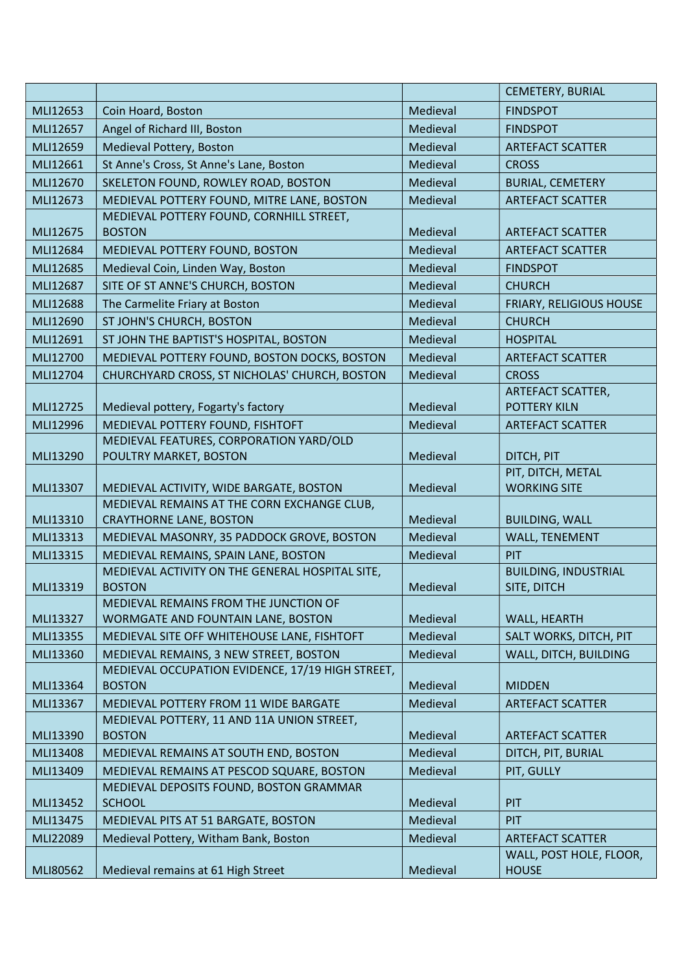|          |                                                             |          | <b>CEMETERY, BURIAL</b>                  |
|----------|-------------------------------------------------------------|----------|------------------------------------------|
| MLI12653 | Coin Hoard, Boston                                          | Medieval | <b>FINDSPOT</b>                          |
| MLI12657 | Angel of Richard III, Boston                                | Medieval | <b>FINDSPOT</b>                          |
| MLI12659 | Medieval Pottery, Boston                                    | Medieval | <b>ARTEFACT SCATTER</b>                  |
| MLI12661 | St Anne's Cross, St Anne's Lane, Boston                     | Medieval | <b>CROSS</b>                             |
| MLI12670 | SKELETON FOUND, ROWLEY ROAD, BOSTON                         | Medieval | <b>BURIAL, CEMETERY</b>                  |
| MLI12673 | MEDIEVAL POTTERY FOUND, MITRE LANE, BOSTON                  | Medieval | <b>ARTEFACT SCATTER</b>                  |
|          | MEDIEVAL POTTERY FOUND, CORNHILL STREET,                    |          |                                          |
| MLI12675 | <b>BOSTON</b>                                               | Medieval | <b>ARTEFACT SCATTER</b>                  |
| MLI12684 | MEDIEVAL POTTERY FOUND, BOSTON                              | Medieval | <b>ARTEFACT SCATTER</b>                  |
| MLI12685 | Medieval Coin, Linden Way, Boston                           | Medieval | <b>FINDSPOT</b>                          |
| MLI12687 | SITE OF ST ANNE'S CHURCH, BOSTON                            | Medieval | <b>CHURCH</b>                            |
| MLI12688 | The Carmelite Friary at Boston                              | Medieval | FRIARY, RELIGIOUS HOUSE                  |
| MLI12690 | ST JOHN'S CHURCH, BOSTON                                    | Medieval | <b>CHURCH</b>                            |
| MLI12691 | ST JOHN THE BAPTIST'S HOSPITAL, BOSTON                      | Medieval | <b>HOSPITAL</b>                          |
| MLI12700 | MEDIEVAL POTTERY FOUND, BOSTON DOCKS, BOSTON                | Medieval | <b>ARTEFACT SCATTER</b>                  |
| MLI12704 | CHURCHYARD CROSS, ST NICHOLAS' CHURCH, BOSTON               | Medieval | <b>CROSS</b>                             |
|          |                                                             |          | <b>ARTEFACT SCATTER,</b>                 |
| MLI12725 | Medieval pottery, Fogarty's factory                         | Medieval | <b>POTTERY KILN</b>                      |
| MLI12996 | MEDIEVAL POTTERY FOUND, FISHTOFT                            | Medieval | <b>ARTEFACT SCATTER</b>                  |
|          | MEDIEVAL FEATURES, CORPORATION YARD/OLD                     |          |                                          |
| MLI13290 | POULTRY MARKET, BOSTON                                      | Medieval | DITCH, PIT                               |
| MLI13307 | MEDIEVAL ACTIVITY, WIDE BARGATE, BOSTON                     | Medieval | PIT, DITCH, METAL<br><b>WORKING SITE</b> |
|          | MEDIEVAL REMAINS AT THE CORN EXCHANGE CLUB,                 |          |                                          |
| MLI13310 | <b>CRAYTHORNE LANE, BOSTON</b>                              | Medieval | <b>BUILDING, WALL</b>                    |
| MLI13313 | MEDIEVAL MASONRY, 35 PADDOCK GROVE, BOSTON                  | Medieval | <b>WALL, TENEMENT</b>                    |
| MLI13315 | MEDIEVAL REMAINS, SPAIN LANE, BOSTON                        | Medieval | PIT                                      |
|          | MEDIEVAL ACTIVITY ON THE GENERAL HOSPITAL SITE,             |          | <b>BUILDING, INDUSTRIAL</b>              |
| MLI13319 | <b>BOSTON</b>                                               | Medieval | SITE, DITCH                              |
|          | MEDIEVAL REMAINS FROM THE JUNCTION OF                       |          |                                          |
| MLI13327 | WORMGATE AND FOUNTAIN LANE, BOSTON                          | Medieval | WALL, HEARTH                             |
| MLI13355 | MEDIEVAL SITE OFF WHITEHOUSE LANE, FISHTOFT                 | Medieval | SALT WORKS, DITCH, PIT                   |
| MLI13360 | MEDIEVAL REMAINS, 3 NEW STREET, BOSTON                      | Medieval | WALL, DITCH, BUILDING                    |
|          | MEDIEVAL OCCUPATION EVIDENCE, 17/19 HIGH STREET,            |          |                                          |
| MLI13364 | <b>BOSTON</b>                                               | Medieval | <b>MIDDEN</b>                            |
| MLI13367 | MEDIEVAL POTTERY FROM 11 WIDE BARGATE                       | Medieval | <b>ARTEFACT SCATTER</b>                  |
| MLI13390 | MEDIEVAL POTTERY, 11 AND 11A UNION STREET,<br><b>BOSTON</b> | Medieval | <b>ARTEFACT SCATTER</b>                  |
| MLI13408 | MEDIEVAL REMAINS AT SOUTH END, BOSTON                       | Medieval | DITCH, PIT, BURIAL                       |
| MLI13409 | MEDIEVAL REMAINS AT PESCOD SQUARE, BOSTON                   | Medieval | PIT, GULLY                               |
|          | MEDIEVAL DEPOSITS FOUND, BOSTON GRAMMAR                     |          |                                          |
| MLI13452 | <b>SCHOOL</b>                                               | Medieval | PIT                                      |
| MLI13475 | MEDIEVAL PITS AT 51 BARGATE, BOSTON                         | Medieval | PIT                                      |
| MLI22089 | Medieval Pottery, Witham Bank, Boston                       | Medieval | <b>ARTEFACT SCATTER</b>                  |
|          |                                                             |          | WALL, POST HOLE, FLOOR,                  |
| MLI80562 | Medieval remains at 61 High Street                          | Medieval | <b>HOUSE</b>                             |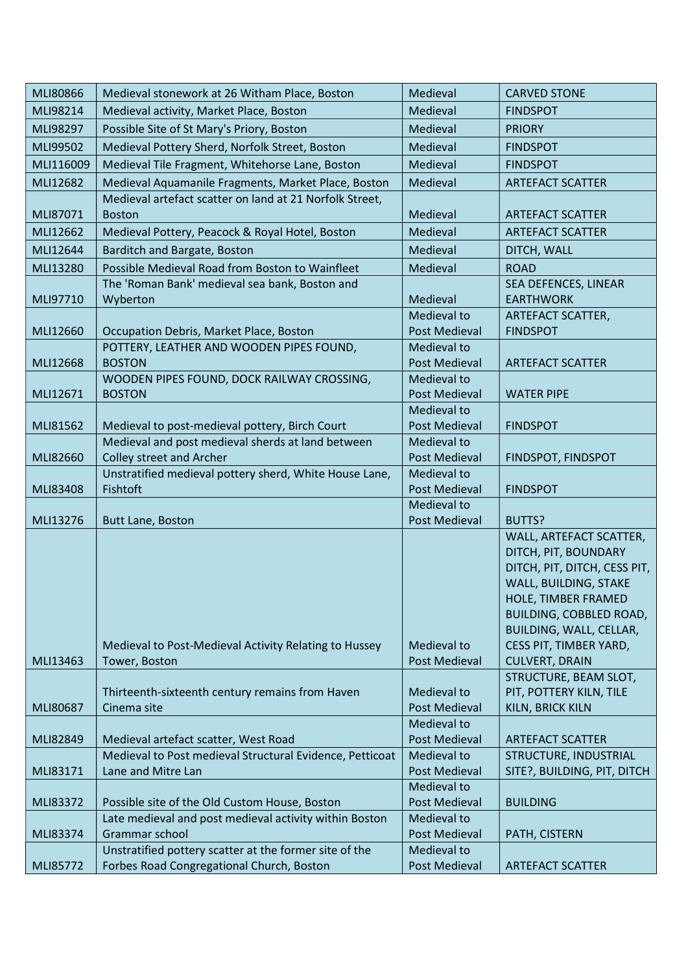| MLI80866  | Medieval stonework at 26 Witham Place, Boston                      | Medieval                     | <b>CARVED STONE</b>          |
|-----------|--------------------------------------------------------------------|------------------------------|------------------------------|
| MLI98214  | Medieval activity, Market Place, Boston                            | Medieval                     | <b>FINDSPOT</b>              |
| MLI98297  | Possible Site of St Mary's Priory, Boston                          | Medieval                     | <b>PRIORY</b>                |
| MLI99502  | Medieval Pottery Sherd, Norfolk Street, Boston                     | Medieval                     | <b>FINDSPOT</b>              |
| MLI116009 | Medieval Tile Fragment, Whitehorse Lane, Boston                    | Medieval                     | <b>FINDSPOT</b>              |
| MLI12682  | Medieval Aquamanile Fragments, Market Place, Boston                | Medieval                     | <b>ARTEFACT SCATTER</b>      |
|           | Medieval artefact scatter on land at 21 Norfolk Street,            |                              |                              |
| MLI87071  | <b>Boston</b>                                                      | Medieval                     | <b>ARTEFACT SCATTER</b>      |
| MLI12662  | Medieval Pottery, Peacock & Royal Hotel, Boston                    | Medieval                     | <b>ARTEFACT SCATTER</b>      |
| MLI12644  | Barditch and Bargate, Boston                                       | Medieval                     | DITCH, WALL                  |
| MLI13280  | Possible Medieval Road from Boston to Wainfleet                    | Medieval                     | <b>ROAD</b>                  |
|           | The 'Roman Bank' medieval sea bank, Boston and                     |                              | SEA DEFENCES, LINEAR         |
| MLI97710  | Wyberton                                                           | Medieval                     | <b>EARTHWORK</b>             |
|           |                                                                    | Medieval to                  | ARTEFACT SCATTER,            |
| MLI12660  | Occupation Debris, Market Place, Boston                            | <b>Post Medieval</b>         | <b>FINDSPOT</b>              |
|           | POTTERY, LEATHER AND WOODEN PIPES FOUND,                           | Medieval to                  |                              |
| MLI12668  | <b>BOSTON</b>                                                      | Post Medieval                | <b>ARTEFACT SCATTER</b>      |
|           | WOODEN PIPES FOUND, DOCK RAILWAY CROSSING,                         | Medieval to                  |                              |
| MLI12671  | <b>BOSTON</b>                                                      | Post Medieval                | <b>WATER PIPE</b>            |
|           |                                                                    | Medieval to                  |                              |
| MLI81562  | Medieval to post-medieval pottery, Birch Court                     | Post Medieval                | <b>FINDSPOT</b>              |
|           | Medieval and post medieval sherds at land between                  | Medieval to                  |                              |
| MLI82660  | <b>Colley street and Archer</b>                                    | Post Medieval<br>Medieval to | FINDSPOT, FINDSPOT           |
| MLI83408  | Unstratified medieval pottery sherd, White House Lane,<br>Fishtoft | Post Medieval                | <b>FINDSPOT</b>              |
|           |                                                                    | Medieval to                  |                              |
| MLI13276  | Butt Lane, Boston                                                  | Post Medieval                | BUTTS?                       |
|           |                                                                    |                              | WALL, ARTEFACT SCATTER,      |
|           |                                                                    |                              | DITCH, PIT, BOUNDARY         |
|           |                                                                    |                              | DITCH, PIT, DITCH, CESS PIT, |
|           |                                                                    |                              | WALL, BUILDING, STAKE        |
|           |                                                                    |                              | HOLE, TIMBER FRAMED          |
|           |                                                                    |                              | BUILDING, COBBLED ROAD,      |
|           |                                                                    |                              | BUILDING, WALL, CELLAR,      |
|           | Medieval to Post-Medieval Activity Relating to Hussey              | Medieval to                  | CESS PIT, TIMBER YARD,       |
| MLI13463  | Tower, Boston                                                      | Post Medieval                | <b>CULVERT, DRAIN</b>        |
|           |                                                                    |                              | STRUCTURE, BEAM SLOT,        |
| MLI80687  | Thirteenth-sixteenth century remains from Haven<br>Cinema site     | Medieval to<br>Post Medieval | PIT, POTTERY KILN, TILE      |
|           |                                                                    | Medieval to                  | KILN, BRICK KILN             |
| MLI82849  | Medieval artefact scatter, West Road                               | Post Medieval                | <b>ARTEFACT SCATTER</b>      |
|           | Medieval to Post medieval Structural Evidence, Petticoat           | Medieval to                  | STRUCTURE, INDUSTRIAL        |
| MLI83171  | Lane and Mitre Lan                                                 | <b>Post Medieval</b>         | SITE?, BUILDING, PIT, DITCH  |
|           |                                                                    | Medieval to                  |                              |
| MLI83372  | Possible site of the Old Custom House, Boston                      | Post Medieval                | <b>BUILDING</b>              |
|           | Late medieval and post medieval activity within Boston             | Medieval to                  |                              |
| MLI83374  | Grammar school                                                     | Post Medieval                | PATH, CISTERN                |
|           | Unstratified pottery scatter at the former site of the             | Medieval to                  |                              |
| MLI85772  | Forbes Road Congregational Church, Boston                          | Post Medieval                | <b>ARTEFACT SCATTER</b>      |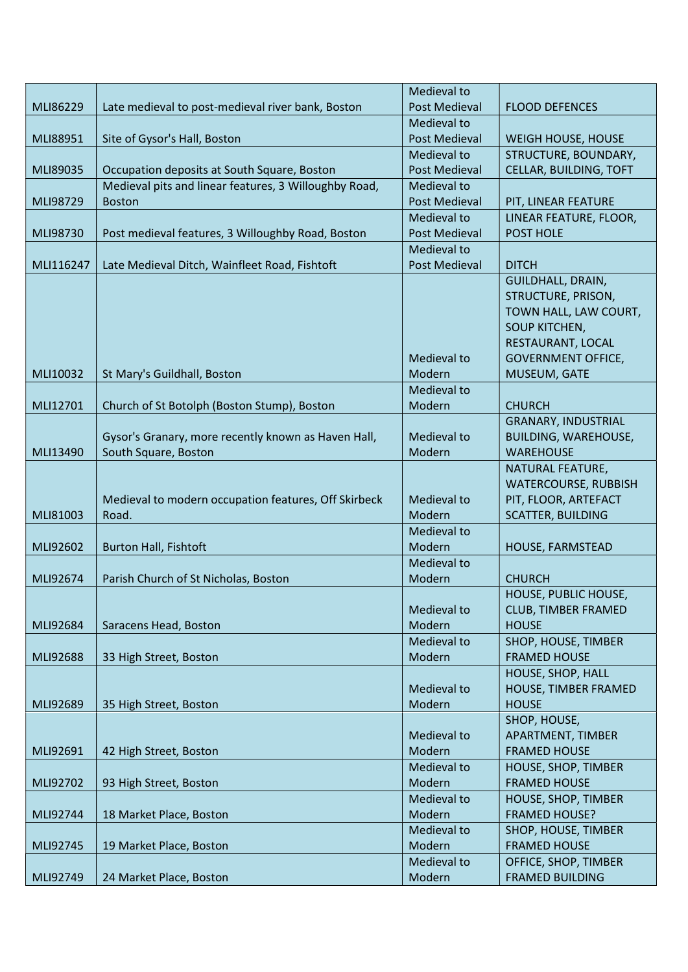|           |                                                       | Medieval to          |                             |
|-----------|-------------------------------------------------------|----------------------|-----------------------------|
| MLI86229  | Late medieval to post-medieval river bank, Boston     | <b>Post Medieval</b> | <b>FLOOD DEFENCES</b>       |
|           |                                                       | Medieval to          |                             |
| MLI88951  | Site of Gysor's Hall, Boston                          | <b>Post Medieval</b> | WEIGH HOUSE, HOUSE          |
|           |                                                       | Medieval to          | STRUCTURE, BOUNDARY,        |
| MLI89035  | Occupation deposits at South Square, Boston           | <b>Post Medieval</b> | CELLAR, BUILDING, TOFT      |
|           | Medieval pits and linear features, 3 Willoughby Road, | Medieval to          |                             |
| MLI98729  | <b>Boston</b>                                         | <b>Post Medieval</b> | PIT, LINEAR FEATURE         |
|           |                                                       | Medieval to          | LINEAR FEATURE, FLOOR,      |
| MLI98730  | Post medieval features, 3 Willoughby Road, Boston     | <b>Post Medieval</b> | <b>POST HOLE</b>            |
|           |                                                       | Medieval to          |                             |
| MLI116247 | Late Medieval Ditch, Wainfleet Road, Fishtoft         | <b>Post Medieval</b> | <b>DITCH</b>                |
|           |                                                       |                      | <b>GUILDHALL, DRAIN,</b>    |
|           |                                                       |                      | STRUCTURE, PRISON,          |
|           |                                                       |                      | TOWN HALL, LAW COURT,       |
|           |                                                       |                      | <b>SOUP KITCHEN,</b>        |
|           |                                                       |                      | RESTAURANT, LOCAL           |
|           |                                                       | Medieval to          | <b>GOVERNMENT OFFICE,</b>   |
| MLI10032  | St Mary's Guildhall, Boston                           | Modern               | MUSEUM, GATE                |
|           |                                                       | Medieval to          |                             |
| MLI12701  | Church of St Botolph (Boston Stump), Boston           | Modern               | <b>CHURCH</b>               |
|           |                                                       |                      | <b>GRANARY, INDUSTRIAL</b>  |
|           | Gysor's Granary, more recently known as Haven Hall,   | Medieval to          | <b>BUILDING, WAREHOUSE,</b> |
| MLI13490  | South Square, Boston                                  | Modern               | <b>WAREHOUSE</b>            |
|           |                                                       |                      | NATURAL FEATURE,            |
|           |                                                       |                      | <b>WATERCOURSE, RUBBISH</b> |
|           | Medieval to modern occupation features, Off Skirbeck  | Medieval to          | PIT, FLOOR, ARTEFACT        |
| MLI81003  | Road.                                                 | Modern               | <b>SCATTER, BUILDING</b>    |
|           |                                                       | Medieval to          |                             |
| MLI92602  | <b>Burton Hall, Fishtoft</b>                          | Modern               | HOUSE, FARMSTEAD            |
|           |                                                       | Medieval to          |                             |
| MLI92674  | Parish Church of St Nicholas, Boston                  | Modern               | <b>CHURCH</b>               |
|           |                                                       |                      | HOUSE, PUBLIC HOUSE,        |
|           |                                                       | Medieval to          | CLUB, TIMBER FRAMED         |
| MLI92684  | Saracens Head, Boston                                 | Modern               | <b>HOUSE</b>                |
|           |                                                       | Medieval to          | SHOP, HOUSE, TIMBER         |
| MLI92688  | 33 High Street, Boston                                | Modern               | <b>FRAMED HOUSE</b>         |
|           |                                                       |                      | HOUSE, SHOP, HALL           |
|           |                                                       | Medieval to          | HOUSE, TIMBER FRAMED        |
| MLI92689  | 35 High Street, Boston                                | Modern               | <b>HOUSE</b>                |
|           |                                                       |                      | SHOP, HOUSE,                |
|           |                                                       | Medieval to          | APARTMENT, TIMBER           |
| MLI92691  | 42 High Street, Boston                                | Modern               | <b>FRAMED HOUSE</b>         |
|           |                                                       | Medieval to          | HOUSE, SHOP, TIMBER         |
| MLI92702  | 93 High Street, Boston                                | Modern               | <b>FRAMED HOUSE</b>         |
|           |                                                       | Medieval to          | HOUSE, SHOP, TIMBER         |
| MLI92744  | 18 Market Place, Boston                               | Modern               | <b>FRAMED HOUSE?</b>        |
|           |                                                       | Medieval to          | SHOP, HOUSE, TIMBER         |
| MLI92745  | 19 Market Place, Boston                               | Modern               | <b>FRAMED HOUSE</b>         |
|           |                                                       | Medieval to          | OFFICE, SHOP, TIMBER        |
| MLI92749  | 24 Market Place, Boston                               | Modern               | <b>FRAMED BUILDING</b>      |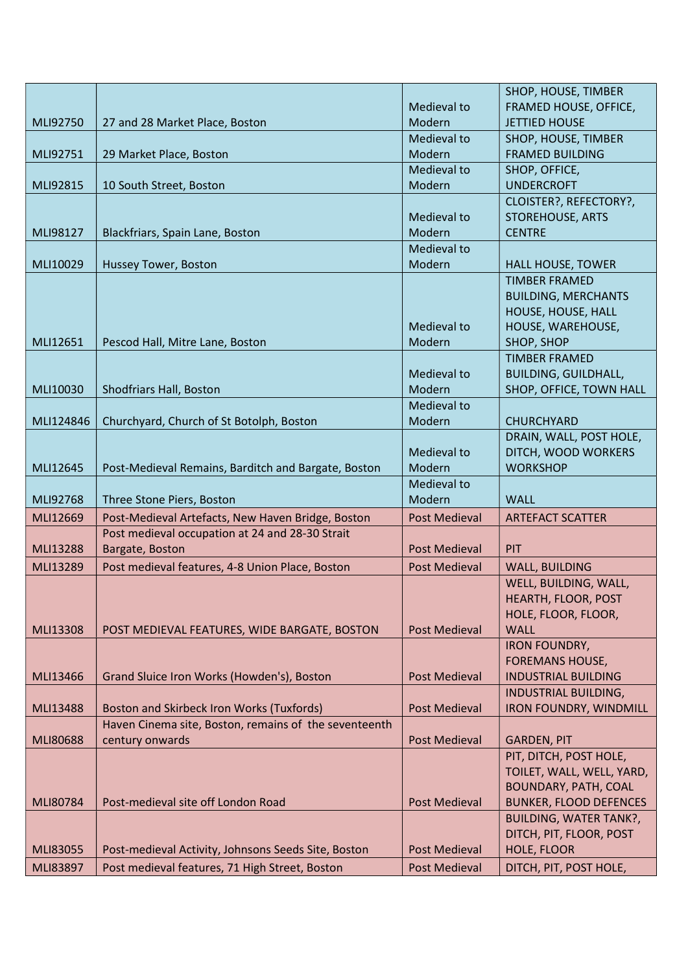|                      |                                                                                                       |                                       | SHOP, HOUSE, TIMBER                          |
|----------------------|-------------------------------------------------------------------------------------------------------|---------------------------------------|----------------------------------------------|
|                      |                                                                                                       | Medieval to                           | FRAMED HOUSE, OFFICE,                        |
| MLI92750             | 27 and 28 Market Place, Boston                                                                        | Modern                                | <b>JETTIED HOUSE</b>                         |
|                      |                                                                                                       | Medieval to                           | SHOP, HOUSE, TIMBER                          |
| MLI92751             | 29 Market Place, Boston                                                                               | Modern                                | <b>FRAMED BUILDING</b>                       |
|                      |                                                                                                       | Medieval to                           | SHOP, OFFICE,                                |
| MLI92815             | 10 South Street, Boston                                                                               | Modern                                | <b>UNDERCROFT</b>                            |
|                      |                                                                                                       |                                       | CLOISTER?, REFECTORY?,                       |
|                      |                                                                                                       | Medieval to                           | <b>STOREHOUSE, ARTS</b>                      |
| MLI98127             | Blackfriars, Spain Lane, Boston                                                                       | Modern                                | <b>CENTRE</b>                                |
|                      |                                                                                                       | Medieval to                           |                                              |
| MLI10029             | Hussey Tower, Boston                                                                                  | Modern                                | <b>HALL HOUSE, TOWER</b>                     |
|                      |                                                                                                       |                                       | <b>TIMBER FRAMED</b>                         |
|                      |                                                                                                       |                                       | <b>BUILDING, MERCHANTS</b>                   |
|                      |                                                                                                       |                                       | HOUSE, HOUSE, HALL                           |
|                      |                                                                                                       | Medieval to                           | HOUSE, WAREHOUSE,                            |
| MLI12651             | Pescod Hall, Mitre Lane, Boston                                                                       | Modern                                | SHOP, SHOP                                   |
|                      |                                                                                                       |                                       | <b>TIMBER FRAMED</b>                         |
|                      |                                                                                                       | Medieval to                           | <b>BUILDING, GUILDHALL,</b>                  |
| MLI10030             | Shodfriars Hall, Boston                                                                               | Modern                                | SHOP, OFFICE, TOWN HALL                      |
|                      |                                                                                                       | Medieval to                           |                                              |
| MLI124846            | Churchyard, Church of St Botolph, Boston                                                              | Modern                                | <b>CHURCHYARD</b>                            |
|                      |                                                                                                       |                                       | DRAIN, WALL, POST HOLE,                      |
|                      |                                                                                                       | Medieval to                           | DITCH, WOOD WORKERS                          |
| MLI12645             | Post-Medieval Remains, Barditch and Bargate, Boston                                                   | Modern                                | <b>WORKSHOP</b>                              |
|                      |                                                                                                       |                                       |                                              |
|                      |                                                                                                       | Medieval to                           |                                              |
| MLI92768             | Three Stone Piers, Boston                                                                             | Modern                                | <b>WALL</b>                                  |
| MLI12669             | Post-Medieval Artefacts, New Haven Bridge, Boston                                                     | <b>Post Medieval</b>                  | <b>ARTEFACT SCATTER</b>                      |
|                      | Post medieval occupation at 24 and 28-30 Strait                                                       |                                       |                                              |
| <b>MLI13288</b>      | Bargate, Boston                                                                                       | Post Medieval                         | PIT                                          |
| MLI13289             | Post medieval features, 4-8 Union Place, Boston                                                       | Post Medieval                         | <b>WALL, BUILDING</b>                        |
|                      |                                                                                                       |                                       | WELL, BUILDING, WALL,                        |
|                      |                                                                                                       |                                       | HEARTH, FLOOR, POST                          |
|                      |                                                                                                       |                                       | HOLE, FLOOR, FLOOR,                          |
| MLI13308             | POST MEDIEVAL FEATURES, WIDE BARGATE, BOSTON                                                          | <b>Post Medieval</b>                  | <b>WALL</b>                                  |
|                      |                                                                                                       |                                       | <b>IRON FOUNDRY,</b>                         |
|                      |                                                                                                       |                                       | <b>FOREMANS HOUSE,</b>                       |
| MLI13466             | Grand Sluice Iron Works (Howden's), Boston                                                            | <b>Post Medieval</b>                  | <b>INDUSTRIAL BUILDING</b>                   |
|                      |                                                                                                       |                                       | <b>INDUSTRIAL BUILDING,</b>                  |
| MLI13488             | <b>Boston and Skirbeck Iron Works (Tuxfords)</b>                                                      | <b>Post Medieval</b>                  | <b>IRON FOUNDRY, WINDMILL</b>                |
|                      | Haven Cinema site, Boston, remains of the seventeenth                                                 |                                       |                                              |
| MLI80688             | century onwards                                                                                       | <b>Post Medieval</b>                  | <b>GARDEN, PIT</b>                           |
|                      |                                                                                                       |                                       | PIT, DITCH, POST HOLE,                       |
|                      |                                                                                                       |                                       | TOILET, WALL, WELL, YARD,                    |
|                      |                                                                                                       |                                       | BOUNDARY, PATH, COAL                         |
| MLI80784             | Post-medieval site off London Road                                                                    | <b>Post Medieval</b>                  | <b>BUNKER, FLOOD DEFENCES</b>                |
|                      |                                                                                                       |                                       | <b>BUILDING, WATER TANK?,</b>                |
|                      |                                                                                                       |                                       | DITCH, PIT, FLOOR, POST                      |
| MLI83055<br>MLI83897 | Post-medieval Activity, Johnsons Seeds Site, Boston<br>Post medieval features, 71 High Street, Boston | <b>Post Medieval</b><br>Post Medieval | <b>HOLE, FLOOR</b><br>DITCH, PIT, POST HOLE, |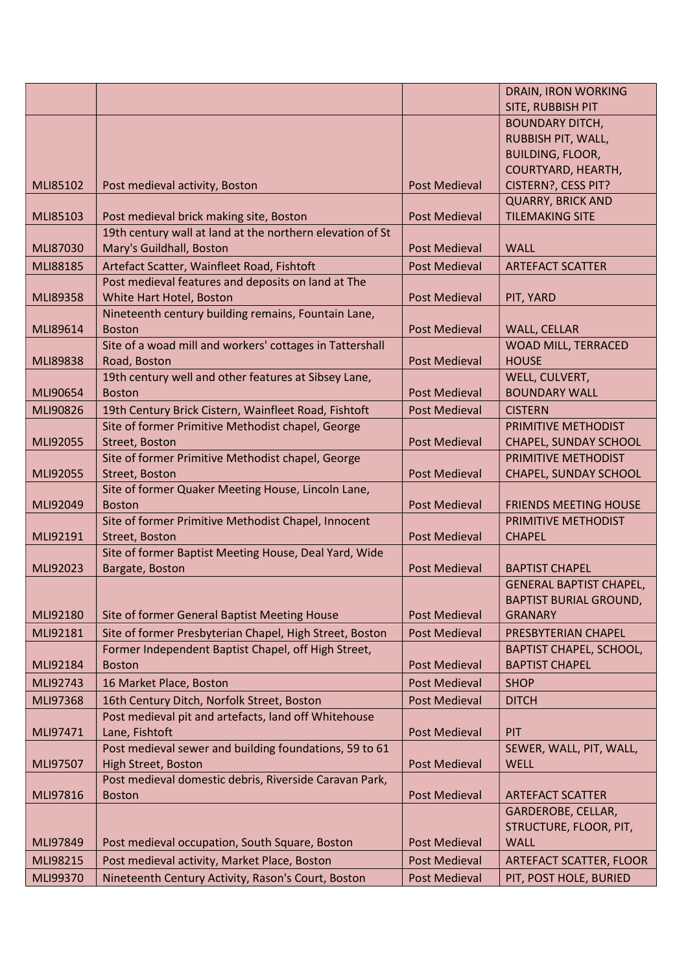|          |                                                                        |                      | <b>DRAIN, IRON WORKING</b>             |
|----------|------------------------------------------------------------------------|----------------------|----------------------------------------|
|          |                                                                        |                      | SITE, RUBBISH PIT                      |
|          |                                                                        |                      | <b>BOUNDARY DITCH,</b>                 |
|          |                                                                        |                      | RUBBISH PIT, WALL,                     |
|          |                                                                        |                      | <b>BUILDING, FLOOR,</b>                |
|          |                                                                        |                      | COURTYARD, HEARTH,                     |
| MLI85102 | Post medieval activity, Boston                                         | <b>Post Medieval</b> | CISTERN?, CESS PIT?                    |
|          |                                                                        |                      | <b>QUARRY, BRICK AND</b>               |
| MLI85103 | Post medieval brick making site, Boston                                | Post Medieval        | <b>TILEMAKING SITE</b>                 |
|          | 19th century wall at land at the northern elevation of St              |                      |                                        |
| MLI87030 | Mary's Guildhall, Boston                                               | <b>Post Medieval</b> | <b>WALL</b>                            |
| MLI88185 | Artefact Scatter, Wainfleet Road, Fishtoft                             | <b>Post Medieval</b> | <b>ARTEFACT SCATTER</b>                |
|          | Post medieval features and deposits on land at The                     |                      |                                        |
| MLI89358 | White Hart Hotel, Boston                                               | Post Medieval        | PIT, YARD                              |
|          | Nineteenth century building remains, Fountain Lane,                    |                      |                                        |
| MLI89614 | <b>Boston</b>                                                          | Post Medieval        | <b>WALL, CELLAR</b>                    |
|          | Site of a woad mill and workers' cottages in Tattershall               |                      | <b>WOAD MILL, TERRACED</b>             |
| MLI89838 | Road, Boston                                                           | <b>Post Medieval</b> | <b>HOUSE</b>                           |
| MLI90654 | 19th century well and other features at Sibsey Lane,<br><b>Boston</b>  | <b>Post Medieval</b> | WELL, CULVERT,<br><b>BOUNDARY WALL</b> |
|          |                                                                        |                      |                                        |
| MLI90826 | 19th Century Brick Cistern, Wainfleet Road, Fishtoft                   | <b>Post Medieval</b> | <b>CISTERN</b>                         |
|          | Site of former Primitive Methodist chapel, George                      |                      | PRIMITIVE METHODIST                    |
| MLI92055 | Street, Boston                                                         | <b>Post Medieval</b> | CHAPEL, SUNDAY SCHOOL                  |
|          | Site of former Primitive Methodist chapel, George                      |                      | PRIMITIVE METHODIST                    |
| MLI92055 | Street, Boston                                                         | <b>Post Medieval</b> | CHAPEL, SUNDAY SCHOOL                  |
| MLI92049 | Site of former Quaker Meeting House, Lincoln Lane,<br><b>Boston</b>    | <b>Post Medieval</b> | <b>FRIENDS MEETING HOUSE</b>           |
|          | Site of former Primitive Methodist Chapel, Innocent                    |                      | PRIMITIVE METHODIST                    |
| MLI92191 | Street, Boston                                                         | <b>Post Medieval</b> | <b>CHAPEL</b>                          |
|          | Site of former Baptist Meeting House, Deal Yard, Wide                  |                      |                                        |
| MLI92023 | Bargate, Boston                                                        | <b>Post Medieval</b> | <b>BAPTIST CHAPEL</b>                  |
|          |                                                                        |                      | <b>GENERAL BAPTIST CHAPEL,</b>         |
|          |                                                                        |                      | <b>BAPTIST BURIAL GROUND,</b>          |
| MLI92180 | Site of former General Baptist Meeting House                           | <b>Post Medieval</b> | <b>GRANARY</b>                         |
| MLI92181 | Site of former Presbyterian Chapel, High Street, Boston                | <b>Post Medieval</b> | PRESBYTERIAN CHAPEL                    |
|          | Former Independent Baptist Chapel, off High Street,                    |                      | <b>BAPTIST CHAPEL, SCHOOL,</b>         |
| MLI92184 | <b>Boston</b>                                                          | Post Medieval        | <b>BAPTIST CHAPEL</b>                  |
| MLI92743 | 16 Market Place, Boston                                                | <b>Post Medieval</b> | <b>SHOP</b>                            |
| MLI97368 | 16th Century Ditch, Norfolk Street, Boston                             | Post Medieval        | <b>DITCH</b>                           |
|          |                                                                        |                      |                                        |
| MLI97471 | Post medieval pit and artefacts, land off Whitehouse<br>Lane, Fishtoft | <b>Post Medieval</b> | <b>PIT</b>                             |
|          | Post medieval sewer and building foundations, 59 to 61                 |                      | SEWER, WALL, PIT, WALL,                |
| MLI97507 | High Street, Boston                                                    | Post Medieval        | <b>WELL</b>                            |
|          | Post medieval domestic debris, Riverside Caravan Park,                 |                      |                                        |
| MLI97816 | <b>Boston</b>                                                          | Post Medieval        | <b>ARTEFACT SCATTER</b>                |
|          |                                                                        |                      | GARDEROBE, CELLAR,                     |
|          |                                                                        |                      | STRUCTURE, FLOOR, PIT,                 |
| MLI97849 | Post medieval occupation, South Square, Boston                         | <b>Post Medieval</b> | <b>WALL</b>                            |
| MLI98215 | Post medieval activity, Market Place, Boston                           | Post Medieval        | <b>ARTEFACT SCATTER, FLOOR</b>         |
| MLI99370 | Nineteenth Century Activity, Rason's Court, Boston                     | Post Medieval        | PIT, POST HOLE, BURIED                 |
|          |                                                                        |                      |                                        |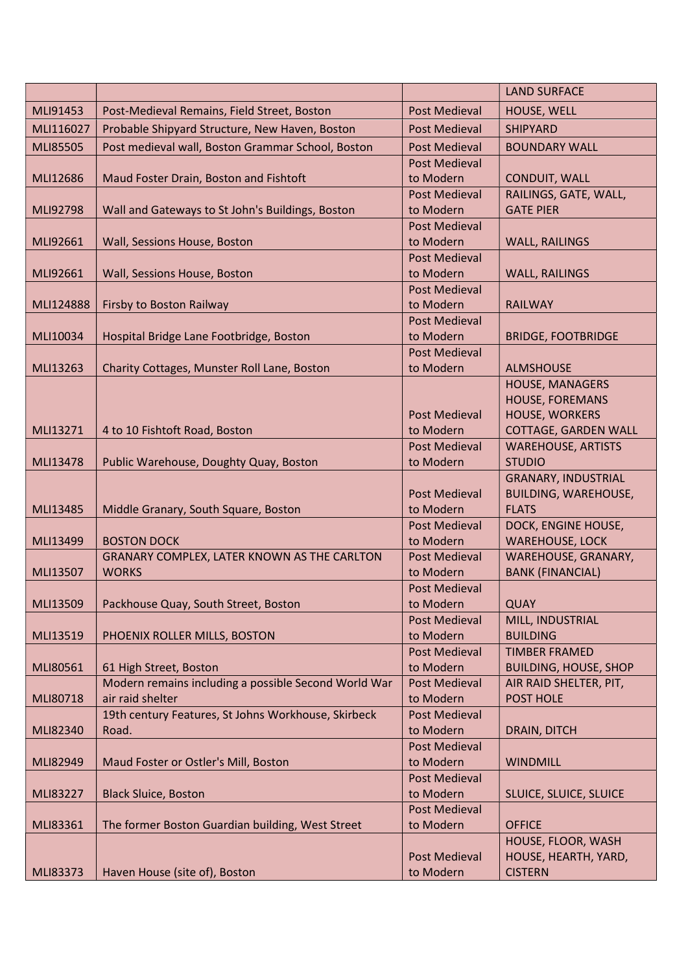| MLI91453<br>Post-Medieval Remains, Field Street, Boston<br><b>Post Medieval</b><br>HOUSE, WELL<br>MLI116027<br>Probable Shipyard Structure, New Haven, Boston<br><b>SHIPYARD</b><br><b>Post Medieval</b><br>Post medieval wall, Boston Grammar School, Boston<br><b>MLI85505</b><br><b>Post Medieval</b><br><b>BOUNDARY WALL</b><br><b>Post Medieval</b><br>Maud Foster Drain, Boston and Fishtoft<br><b>CONDUIT, WALL</b><br>MLI12686<br>to Modern<br>RAILINGS, GATE, WALL,<br><b>Post Medieval</b><br>Wall and Gateways to St John's Buildings, Boston<br><b>GATE PIER</b><br>MLI92798<br>to Modern<br><b>Post Medieval</b><br>to Modern<br>Wall, Sessions House, Boston<br><b>WALL, RAILINGS</b><br>MLI92661<br><b>Post Medieval</b><br>Wall, Sessions House, Boston<br>to Modern<br>MLI92661<br>WALL, RAILINGS<br><b>Post Medieval</b><br>Firsby to Boston Railway<br>to Modern<br>MLI124888<br><b>RAILWAY</b><br><b>Post Medieval</b><br>MLI10034<br>Hospital Bridge Lane Footbridge, Boston<br>to Modern<br><b>BRIDGE, FOOTBRIDGE</b><br><b>Post Medieval</b><br>Charity Cottages, Munster Roll Lane, Boston<br>MLI13263<br>to Modern<br><b>ALMSHOUSE</b><br><b>HOUSE, MANAGERS</b><br><b>HOUSE, FOREMANS</b><br><b>Post Medieval</b><br>HOUSE, WORKERS<br>MLI13271<br>4 to 10 Fishtoft Road, Boston<br>to Modern<br><b>COTTAGE, GARDEN WALL</b><br><b>Post Medieval</b><br><b>WAREHOUSE, ARTISTS</b><br><b>STUDIO</b><br>Public Warehouse, Doughty Quay, Boston<br>MLI13478<br>to Modern<br><b>GRANARY, INDUSTRIAL</b><br><b>Post Medieval</b><br><b>BUILDING, WAREHOUSE,</b><br>MLI13485<br>Middle Granary, South Square, Boston<br>to Modern<br><b>FLATS</b><br><b>Post Medieval</b><br>DOCK, ENGINE HOUSE,<br>MLI13499<br><b>BOSTON DOCK</b><br><b>WAREHOUSE, LOCK</b><br>to Modern<br>GRANARY COMPLEX, LATER KNOWN AS THE CARLTON<br><b>Post Medieval</b><br>WAREHOUSE, GRANARY,<br><b>BANK (FINANCIAL)</b><br><b>WORKS</b><br>to Modern<br>MLI13507<br><b>Post Medieval</b><br>Packhouse Quay, South Street, Boston<br><b>QUAY</b><br>MLI13509<br>to Modern<br><b>Post Medieval</b><br>MILL, INDUSTRIAL<br><b>BUILDING</b><br>MLI13519<br>PHOENIX ROLLER MILLS, BOSTON<br>to Modern<br><b>Post Medieval</b><br><b>TIMBER FRAMED</b><br>MLI80561<br>61 High Street, Boston<br>to Modern<br><b>BUILDING, HOUSE, SHOP</b><br>Modern remains including a possible Second World War<br><b>Post Medieval</b><br>AIR RAID SHELTER, PIT,<br>air raid shelter<br><b>POST HOLE</b><br>MLI80718<br>to Modern<br>19th century Features, St Johns Workhouse, Skirbeck<br><b>Post Medieval</b><br>MLI82340<br>Road.<br>to Modern<br>DRAIN, DITCH<br><b>Post Medieval</b><br>to Modern<br>MLI82949<br>Maud Foster or Ostler's Mill, Boston<br><b>WINDMILL</b><br><b>Post Medieval</b><br>to Modern<br>MLI83227<br><b>Black Sluice, Boston</b><br>SLUICE, SLUICE, SLUICE<br><b>Post Medieval</b><br>The former Boston Guardian building, West Street<br>to Modern<br>MLI83361<br><b>OFFICE</b><br>HOUSE, FLOOR, WASH<br><b>Post Medieval</b><br>HOUSE, HEARTH, YARD,<br>to Modern<br><b>CISTERN</b><br>MLI83373<br>Haven House (site of), Boston |  | <b>LAND SURFACE</b> |
|----------------------------------------------------------------------------------------------------------------------------------------------------------------------------------------------------------------------------------------------------------------------------------------------------------------------------------------------------------------------------------------------------------------------------------------------------------------------------------------------------------------------------------------------------------------------------------------------------------------------------------------------------------------------------------------------------------------------------------------------------------------------------------------------------------------------------------------------------------------------------------------------------------------------------------------------------------------------------------------------------------------------------------------------------------------------------------------------------------------------------------------------------------------------------------------------------------------------------------------------------------------------------------------------------------------------------------------------------------------------------------------------------------------------------------------------------------------------------------------------------------------------------------------------------------------------------------------------------------------------------------------------------------------------------------------------------------------------------------------------------------------------------------------------------------------------------------------------------------------------------------------------------------------------------------------------------------------------------------------------------------------------------------------------------------------------------------------------------------------------------------------------------------------------------------------------------------------------------------------------------------------------------------------------------------------------------------------------------------------------------------------------------------------------------------------------------------------------------------------------------------------------------------------------------------------------------------------------------------------------------------------------------------------------------------------------------------------------------------------------------------------------------------------------------------------------------------------------------------------------------------------------------------------------------------------------------------------------------------------------------------------------------------------------------------------------------------------------------------------------------------------------|--|---------------------|
|                                                                                                                                                                                                                                                                                                                                                                                                                                                                                                                                                                                                                                                                                                                                                                                                                                                                                                                                                                                                                                                                                                                                                                                                                                                                                                                                                                                                                                                                                                                                                                                                                                                                                                                                                                                                                                                                                                                                                                                                                                                                                                                                                                                                                                                                                                                                                                                                                                                                                                                                                                                                                                                                                                                                                                                                                                                                                                                                                                                                                                                                                                                                              |  |                     |
|                                                                                                                                                                                                                                                                                                                                                                                                                                                                                                                                                                                                                                                                                                                                                                                                                                                                                                                                                                                                                                                                                                                                                                                                                                                                                                                                                                                                                                                                                                                                                                                                                                                                                                                                                                                                                                                                                                                                                                                                                                                                                                                                                                                                                                                                                                                                                                                                                                                                                                                                                                                                                                                                                                                                                                                                                                                                                                                                                                                                                                                                                                                                              |  |                     |
|                                                                                                                                                                                                                                                                                                                                                                                                                                                                                                                                                                                                                                                                                                                                                                                                                                                                                                                                                                                                                                                                                                                                                                                                                                                                                                                                                                                                                                                                                                                                                                                                                                                                                                                                                                                                                                                                                                                                                                                                                                                                                                                                                                                                                                                                                                                                                                                                                                                                                                                                                                                                                                                                                                                                                                                                                                                                                                                                                                                                                                                                                                                                              |  |                     |
|                                                                                                                                                                                                                                                                                                                                                                                                                                                                                                                                                                                                                                                                                                                                                                                                                                                                                                                                                                                                                                                                                                                                                                                                                                                                                                                                                                                                                                                                                                                                                                                                                                                                                                                                                                                                                                                                                                                                                                                                                                                                                                                                                                                                                                                                                                                                                                                                                                                                                                                                                                                                                                                                                                                                                                                                                                                                                                                                                                                                                                                                                                                                              |  |                     |
|                                                                                                                                                                                                                                                                                                                                                                                                                                                                                                                                                                                                                                                                                                                                                                                                                                                                                                                                                                                                                                                                                                                                                                                                                                                                                                                                                                                                                                                                                                                                                                                                                                                                                                                                                                                                                                                                                                                                                                                                                                                                                                                                                                                                                                                                                                                                                                                                                                                                                                                                                                                                                                                                                                                                                                                                                                                                                                                                                                                                                                                                                                                                              |  |                     |
|                                                                                                                                                                                                                                                                                                                                                                                                                                                                                                                                                                                                                                                                                                                                                                                                                                                                                                                                                                                                                                                                                                                                                                                                                                                                                                                                                                                                                                                                                                                                                                                                                                                                                                                                                                                                                                                                                                                                                                                                                                                                                                                                                                                                                                                                                                                                                                                                                                                                                                                                                                                                                                                                                                                                                                                                                                                                                                                                                                                                                                                                                                                                              |  |                     |
|                                                                                                                                                                                                                                                                                                                                                                                                                                                                                                                                                                                                                                                                                                                                                                                                                                                                                                                                                                                                                                                                                                                                                                                                                                                                                                                                                                                                                                                                                                                                                                                                                                                                                                                                                                                                                                                                                                                                                                                                                                                                                                                                                                                                                                                                                                                                                                                                                                                                                                                                                                                                                                                                                                                                                                                                                                                                                                                                                                                                                                                                                                                                              |  |                     |
|                                                                                                                                                                                                                                                                                                                                                                                                                                                                                                                                                                                                                                                                                                                                                                                                                                                                                                                                                                                                                                                                                                                                                                                                                                                                                                                                                                                                                                                                                                                                                                                                                                                                                                                                                                                                                                                                                                                                                                                                                                                                                                                                                                                                                                                                                                                                                                                                                                                                                                                                                                                                                                                                                                                                                                                                                                                                                                                                                                                                                                                                                                                                              |  |                     |
|                                                                                                                                                                                                                                                                                                                                                                                                                                                                                                                                                                                                                                                                                                                                                                                                                                                                                                                                                                                                                                                                                                                                                                                                                                                                                                                                                                                                                                                                                                                                                                                                                                                                                                                                                                                                                                                                                                                                                                                                                                                                                                                                                                                                                                                                                                                                                                                                                                                                                                                                                                                                                                                                                                                                                                                                                                                                                                                                                                                                                                                                                                                                              |  |                     |
|                                                                                                                                                                                                                                                                                                                                                                                                                                                                                                                                                                                                                                                                                                                                                                                                                                                                                                                                                                                                                                                                                                                                                                                                                                                                                                                                                                                                                                                                                                                                                                                                                                                                                                                                                                                                                                                                                                                                                                                                                                                                                                                                                                                                                                                                                                                                                                                                                                                                                                                                                                                                                                                                                                                                                                                                                                                                                                                                                                                                                                                                                                                                              |  |                     |
|                                                                                                                                                                                                                                                                                                                                                                                                                                                                                                                                                                                                                                                                                                                                                                                                                                                                                                                                                                                                                                                                                                                                                                                                                                                                                                                                                                                                                                                                                                                                                                                                                                                                                                                                                                                                                                                                                                                                                                                                                                                                                                                                                                                                                                                                                                                                                                                                                                                                                                                                                                                                                                                                                                                                                                                                                                                                                                                                                                                                                                                                                                                                              |  |                     |
|                                                                                                                                                                                                                                                                                                                                                                                                                                                                                                                                                                                                                                                                                                                                                                                                                                                                                                                                                                                                                                                                                                                                                                                                                                                                                                                                                                                                                                                                                                                                                                                                                                                                                                                                                                                                                                                                                                                                                                                                                                                                                                                                                                                                                                                                                                                                                                                                                                                                                                                                                                                                                                                                                                                                                                                                                                                                                                                                                                                                                                                                                                                                              |  |                     |
|                                                                                                                                                                                                                                                                                                                                                                                                                                                                                                                                                                                                                                                                                                                                                                                                                                                                                                                                                                                                                                                                                                                                                                                                                                                                                                                                                                                                                                                                                                                                                                                                                                                                                                                                                                                                                                                                                                                                                                                                                                                                                                                                                                                                                                                                                                                                                                                                                                                                                                                                                                                                                                                                                                                                                                                                                                                                                                                                                                                                                                                                                                                                              |  |                     |
|                                                                                                                                                                                                                                                                                                                                                                                                                                                                                                                                                                                                                                                                                                                                                                                                                                                                                                                                                                                                                                                                                                                                                                                                                                                                                                                                                                                                                                                                                                                                                                                                                                                                                                                                                                                                                                                                                                                                                                                                                                                                                                                                                                                                                                                                                                                                                                                                                                                                                                                                                                                                                                                                                                                                                                                                                                                                                                                                                                                                                                                                                                                                              |  |                     |
|                                                                                                                                                                                                                                                                                                                                                                                                                                                                                                                                                                                                                                                                                                                                                                                                                                                                                                                                                                                                                                                                                                                                                                                                                                                                                                                                                                                                                                                                                                                                                                                                                                                                                                                                                                                                                                                                                                                                                                                                                                                                                                                                                                                                                                                                                                                                                                                                                                                                                                                                                                                                                                                                                                                                                                                                                                                                                                                                                                                                                                                                                                                                              |  |                     |
|                                                                                                                                                                                                                                                                                                                                                                                                                                                                                                                                                                                                                                                                                                                                                                                                                                                                                                                                                                                                                                                                                                                                                                                                                                                                                                                                                                                                                                                                                                                                                                                                                                                                                                                                                                                                                                                                                                                                                                                                                                                                                                                                                                                                                                                                                                                                                                                                                                                                                                                                                                                                                                                                                                                                                                                                                                                                                                                                                                                                                                                                                                                                              |  |                     |
|                                                                                                                                                                                                                                                                                                                                                                                                                                                                                                                                                                                                                                                                                                                                                                                                                                                                                                                                                                                                                                                                                                                                                                                                                                                                                                                                                                                                                                                                                                                                                                                                                                                                                                                                                                                                                                                                                                                                                                                                                                                                                                                                                                                                                                                                                                                                                                                                                                                                                                                                                                                                                                                                                                                                                                                                                                                                                                                                                                                                                                                                                                                                              |  |                     |
|                                                                                                                                                                                                                                                                                                                                                                                                                                                                                                                                                                                                                                                                                                                                                                                                                                                                                                                                                                                                                                                                                                                                                                                                                                                                                                                                                                                                                                                                                                                                                                                                                                                                                                                                                                                                                                                                                                                                                                                                                                                                                                                                                                                                                                                                                                                                                                                                                                                                                                                                                                                                                                                                                                                                                                                                                                                                                                                                                                                                                                                                                                                                              |  |                     |
|                                                                                                                                                                                                                                                                                                                                                                                                                                                                                                                                                                                                                                                                                                                                                                                                                                                                                                                                                                                                                                                                                                                                                                                                                                                                                                                                                                                                                                                                                                                                                                                                                                                                                                                                                                                                                                                                                                                                                                                                                                                                                                                                                                                                                                                                                                                                                                                                                                                                                                                                                                                                                                                                                                                                                                                                                                                                                                                                                                                                                                                                                                                                              |  |                     |
|                                                                                                                                                                                                                                                                                                                                                                                                                                                                                                                                                                                                                                                                                                                                                                                                                                                                                                                                                                                                                                                                                                                                                                                                                                                                                                                                                                                                                                                                                                                                                                                                                                                                                                                                                                                                                                                                                                                                                                                                                                                                                                                                                                                                                                                                                                                                                                                                                                                                                                                                                                                                                                                                                                                                                                                                                                                                                                                                                                                                                                                                                                                                              |  |                     |
|                                                                                                                                                                                                                                                                                                                                                                                                                                                                                                                                                                                                                                                                                                                                                                                                                                                                                                                                                                                                                                                                                                                                                                                                                                                                                                                                                                                                                                                                                                                                                                                                                                                                                                                                                                                                                                                                                                                                                                                                                                                                                                                                                                                                                                                                                                                                                                                                                                                                                                                                                                                                                                                                                                                                                                                                                                                                                                                                                                                                                                                                                                                                              |  |                     |
|                                                                                                                                                                                                                                                                                                                                                                                                                                                                                                                                                                                                                                                                                                                                                                                                                                                                                                                                                                                                                                                                                                                                                                                                                                                                                                                                                                                                                                                                                                                                                                                                                                                                                                                                                                                                                                                                                                                                                                                                                                                                                                                                                                                                                                                                                                                                                                                                                                                                                                                                                                                                                                                                                                                                                                                                                                                                                                                                                                                                                                                                                                                                              |  |                     |
|                                                                                                                                                                                                                                                                                                                                                                                                                                                                                                                                                                                                                                                                                                                                                                                                                                                                                                                                                                                                                                                                                                                                                                                                                                                                                                                                                                                                                                                                                                                                                                                                                                                                                                                                                                                                                                                                                                                                                                                                                                                                                                                                                                                                                                                                                                                                                                                                                                                                                                                                                                                                                                                                                                                                                                                                                                                                                                                                                                                                                                                                                                                                              |  |                     |
|                                                                                                                                                                                                                                                                                                                                                                                                                                                                                                                                                                                                                                                                                                                                                                                                                                                                                                                                                                                                                                                                                                                                                                                                                                                                                                                                                                                                                                                                                                                                                                                                                                                                                                                                                                                                                                                                                                                                                                                                                                                                                                                                                                                                                                                                                                                                                                                                                                                                                                                                                                                                                                                                                                                                                                                                                                                                                                                                                                                                                                                                                                                                              |  |                     |
|                                                                                                                                                                                                                                                                                                                                                                                                                                                                                                                                                                                                                                                                                                                                                                                                                                                                                                                                                                                                                                                                                                                                                                                                                                                                                                                                                                                                                                                                                                                                                                                                                                                                                                                                                                                                                                                                                                                                                                                                                                                                                                                                                                                                                                                                                                                                                                                                                                                                                                                                                                                                                                                                                                                                                                                                                                                                                                                                                                                                                                                                                                                                              |  |                     |
|                                                                                                                                                                                                                                                                                                                                                                                                                                                                                                                                                                                                                                                                                                                                                                                                                                                                                                                                                                                                                                                                                                                                                                                                                                                                                                                                                                                                                                                                                                                                                                                                                                                                                                                                                                                                                                                                                                                                                                                                                                                                                                                                                                                                                                                                                                                                                                                                                                                                                                                                                                                                                                                                                                                                                                                                                                                                                                                                                                                                                                                                                                                                              |  |                     |
|                                                                                                                                                                                                                                                                                                                                                                                                                                                                                                                                                                                                                                                                                                                                                                                                                                                                                                                                                                                                                                                                                                                                                                                                                                                                                                                                                                                                                                                                                                                                                                                                                                                                                                                                                                                                                                                                                                                                                                                                                                                                                                                                                                                                                                                                                                                                                                                                                                                                                                                                                                                                                                                                                                                                                                                                                                                                                                                                                                                                                                                                                                                                              |  |                     |
|                                                                                                                                                                                                                                                                                                                                                                                                                                                                                                                                                                                                                                                                                                                                                                                                                                                                                                                                                                                                                                                                                                                                                                                                                                                                                                                                                                                                                                                                                                                                                                                                                                                                                                                                                                                                                                                                                                                                                                                                                                                                                                                                                                                                                                                                                                                                                                                                                                                                                                                                                                                                                                                                                                                                                                                                                                                                                                                                                                                                                                                                                                                                              |  |                     |
|                                                                                                                                                                                                                                                                                                                                                                                                                                                                                                                                                                                                                                                                                                                                                                                                                                                                                                                                                                                                                                                                                                                                                                                                                                                                                                                                                                                                                                                                                                                                                                                                                                                                                                                                                                                                                                                                                                                                                                                                                                                                                                                                                                                                                                                                                                                                                                                                                                                                                                                                                                                                                                                                                                                                                                                                                                                                                                                                                                                                                                                                                                                                              |  |                     |
|                                                                                                                                                                                                                                                                                                                                                                                                                                                                                                                                                                                                                                                                                                                                                                                                                                                                                                                                                                                                                                                                                                                                                                                                                                                                                                                                                                                                                                                                                                                                                                                                                                                                                                                                                                                                                                                                                                                                                                                                                                                                                                                                                                                                                                                                                                                                                                                                                                                                                                                                                                                                                                                                                                                                                                                                                                                                                                                                                                                                                                                                                                                                              |  |                     |
|                                                                                                                                                                                                                                                                                                                                                                                                                                                                                                                                                                                                                                                                                                                                                                                                                                                                                                                                                                                                                                                                                                                                                                                                                                                                                                                                                                                                                                                                                                                                                                                                                                                                                                                                                                                                                                                                                                                                                                                                                                                                                                                                                                                                                                                                                                                                                                                                                                                                                                                                                                                                                                                                                                                                                                                                                                                                                                                                                                                                                                                                                                                                              |  |                     |
|                                                                                                                                                                                                                                                                                                                                                                                                                                                                                                                                                                                                                                                                                                                                                                                                                                                                                                                                                                                                                                                                                                                                                                                                                                                                                                                                                                                                                                                                                                                                                                                                                                                                                                                                                                                                                                                                                                                                                                                                                                                                                                                                                                                                                                                                                                                                                                                                                                                                                                                                                                                                                                                                                                                                                                                                                                                                                                                                                                                                                                                                                                                                              |  |                     |
|                                                                                                                                                                                                                                                                                                                                                                                                                                                                                                                                                                                                                                                                                                                                                                                                                                                                                                                                                                                                                                                                                                                                                                                                                                                                                                                                                                                                                                                                                                                                                                                                                                                                                                                                                                                                                                                                                                                                                                                                                                                                                                                                                                                                                                                                                                                                                                                                                                                                                                                                                                                                                                                                                                                                                                                                                                                                                                                                                                                                                                                                                                                                              |  |                     |
|                                                                                                                                                                                                                                                                                                                                                                                                                                                                                                                                                                                                                                                                                                                                                                                                                                                                                                                                                                                                                                                                                                                                                                                                                                                                                                                                                                                                                                                                                                                                                                                                                                                                                                                                                                                                                                                                                                                                                                                                                                                                                                                                                                                                                                                                                                                                                                                                                                                                                                                                                                                                                                                                                                                                                                                                                                                                                                                                                                                                                                                                                                                                              |  |                     |
|                                                                                                                                                                                                                                                                                                                                                                                                                                                                                                                                                                                                                                                                                                                                                                                                                                                                                                                                                                                                                                                                                                                                                                                                                                                                                                                                                                                                                                                                                                                                                                                                                                                                                                                                                                                                                                                                                                                                                                                                                                                                                                                                                                                                                                                                                                                                                                                                                                                                                                                                                                                                                                                                                                                                                                                                                                                                                                                                                                                                                                                                                                                                              |  |                     |
|                                                                                                                                                                                                                                                                                                                                                                                                                                                                                                                                                                                                                                                                                                                                                                                                                                                                                                                                                                                                                                                                                                                                                                                                                                                                                                                                                                                                                                                                                                                                                                                                                                                                                                                                                                                                                                                                                                                                                                                                                                                                                                                                                                                                                                                                                                                                                                                                                                                                                                                                                                                                                                                                                                                                                                                                                                                                                                                                                                                                                                                                                                                                              |  |                     |
|                                                                                                                                                                                                                                                                                                                                                                                                                                                                                                                                                                                                                                                                                                                                                                                                                                                                                                                                                                                                                                                                                                                                                                                                                                                                                                                                                                                                                                                                                                                                                                                                                                                                                                                                                                                                                                                                                                                                                                                                                                                                                                                                                                                                                                                                                                                                                                                                                                                                                                                                                                                                                                                                                                                                                                                                                                                                                                                                                                                                                                                                                                                                              |  |                     |
|                                                                                                                                                                                                                                                                                                                                                                                                                                                                                                                                                                                                                                                                                                                                                                                                                                                                                                                                                                                                                                                                                                                                                                                                                                                                                                                                                                                                                                                                                                                                                                                                                                                                                                                                                                                                                                                                                                                                                                                                                                                                                                                                                                                                                                                                                                                                                                                                                                                                                                                                                                                                                                                                                                                                                                                                                                                                                                                                                                                                                                                                                                                                              |  |                     |
|                                                                                                                                                                                                                                                                                                                                                                                                                                                                                                                                                                                                                                                                                                                                                                                                                                                                                                                                                                                                                                                                                                                                                                                                                                                                                                                                                                                                                                                                                                                                                                                                                                                                                                                                                                                                                                                                                                                                                                                                                                                                                                                                                                                                                                                                                                                                                                                                                                                                                                                                                                                                                                                                                                                                                                                                                                                                                                                                                                                                                                                                                                                                              |  |                     |
|                                                                                                                                                                                                                                                                                                                                                                                                                                                                                                                                                                                                                                                                                                                                                                                                                                                                                                                                                                                                                                                                                                                                                                                                                                                                                                                                                                                                                                                                                                                                                                                                                                                                                                                                                                                                                                                                                                                                                                                                                                                                                                                                                                                                                                                                                                                                                                                                                                                                                                                                                                                                                                                                                                                                                                                                                                                                                                                                                                                                                                                                                                                                              |  |                     |
|                                                                                                                                                                                                                                                                                                                                                                                                                                                                                                                                                                                                                                                                                                                                                                                                                                                                                                                                                                                                                                                                                                                                                                                                                                                                                                                                                                                                                                                                                                                                                                                                                                                                                                                                                                                                                                                                                                                                                                                                                                                                                                                                                                                                                                                                                                                                                                                                                                                                                                                                                                                                                                                                                                                                                                                                                                                                                                                                                                                                                                                                                                                                              |  |                     |
|                                                                                                                                                                                                                                                                                                                                                                                                                                                                                                                                                                                                                                                                                                                                                                                                                                                                                                                                                                                                                                                                                                                                                                                                                                                                                                                                                                                                                                                                                                                                                                                                                                                                                                                                                                                                                                                                                                                                                                                                                                                                                                                                                                                                                                                                                                                                                                                                                                                                                                                                                                                                                                                                                                                                                                                                                                                                                                                                                                                                                                                                                                                                              |  |                     |
|                                                                                                                                                                                                                                                                                                                                                                                                                                                                                                                                                                                                                                                                                                                                                                                                                                                                                                                                                                                                                                                                                                                                                                                                                                                                                                                                                                                                                                                                                                                                                                                                                                                                                                                                                                                                                                                                                                                                                                                                                                                                                                                                                                                                                                                                                                                                                                                                                                                                                                                                                                                                                                                                                                                                                                                                                                                                                                                                                                                                                                                                                                                                              |  |                     |
|                                                                                                                                                                                                                                                                                                                                                                                                                                                                                                                                                                                                                                                                                                                                                                                                                                                                                                                                                                                                                                                                                                                                                                                                                                                                                                                                                                                                                                                                                                                                                                                                                                                                                                                                                                                                                                                                                                                                                                                                                                                                                                                                                                                                                                                                                                                                                                                                                                                                                                                                                                                                                                                                                                                                                                                                                                                                                                                                                                                                                                                                                                                                              |  |                     |
|                                                                                                                                                                                                                                                                                                                                                                                                                                                                                                                                                                                                                                                                                                                                                                                                                                                                                                                                                                                                                                                                                                                                                                                                                                                                                                                                                                                                                                                                                                                                                                                                                                                                                                                                                                                                                                                                                                                                                                                                                                                                                                                                                                                                                                                                                                                                                                                                                                                                                                                                                                                                                                                                                                                                                                                                                                                                                                                                                                                                                                                                                                                                              |  |                     |
|                                                                                                                                                                                                                                                                                                                                                                                                                                                                                                                                                                                                                                                                                                                                                                                                                                                                                                                                                                                                                                                                                                                                                                                                                                                                                                                                                                                                                                                                                                                                                                                                                                                                                                                                                                                                                                                                                                                                                                                                                                                                                                                                                                                                                                                                                                                                                                                                                                                                                                                                                                                                                                                                                                                                                                                                                                                                                                                                                                                                                                                                                                                                              |  |                     |
|                                                                                                                                                                                                                                                                                                                                                                                                                                                                                                                                                                                                                                                                                                                                                                                                                                                                                                                                                                                                                                                                                                                                                                                                                                                                                                                                                                                                                                                                                                                                                                                                                                                                                                                                                                                                                                                                                                                                                                                                                                                                                                                                                                                                                                                                                                                                                                                                                                                                                                                                                                                                                                                                                                                                                                                                                                                                                                                                                                                                                                                                                                                                              |  |                     |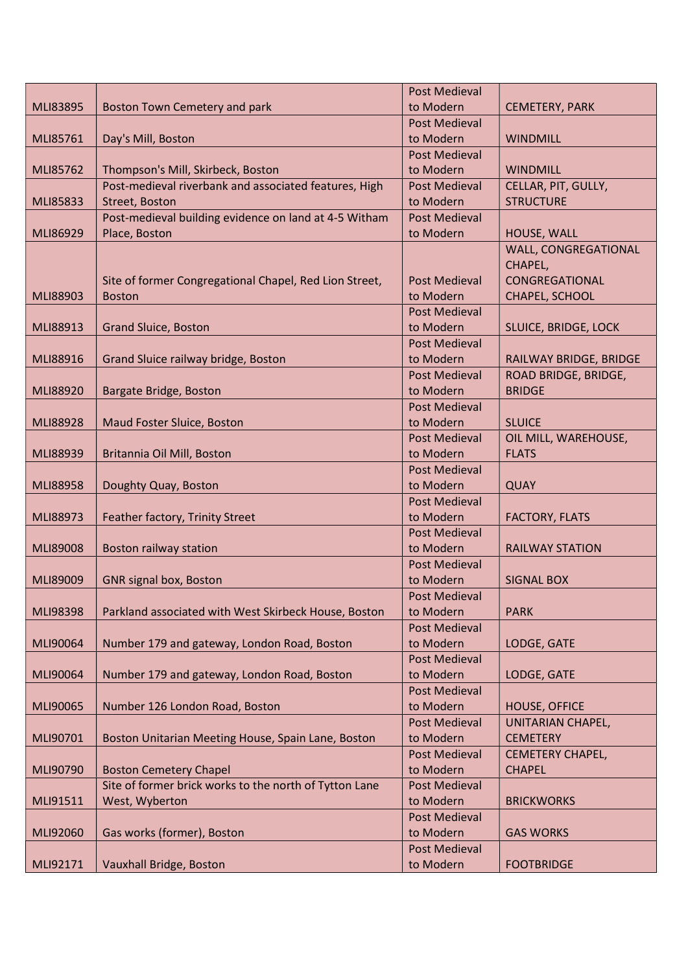|          |                                                        | <b>Post Medieval</b>              |                         |
|----------|--------------------------------------------------------|-----------------------------------|-------------------------|
| MLI83895 | Boston Town Cemetery and park                          | to Modern                         | <b>CEMETERY, PARK</b>   |
|          |                                                        | <b>Post Medieval</b>              |                         |
| MLI85761 | Day's Mill, Boston                                     | to Modern                         | <b>WINDMILL</b>         |
|          |                                                        | <b>Post Medieval</b>              |                         |
| MLI85762 | Thompson's Mill, Skirbeck, Boston                      | to Modern                         | <b>WINDMILL</b>         |
|          | Post-medieval riverbank and associated features, High  | <b>Post Medieval</b>              | CELLAR, PIT, GULLY,     |
| MLI85833 | Street, Boston                                         | to Modern                         | <b>STRUCTURE</b>        |
|          | Post-medieval building evidence on land at 4-5 Witham  | <b>Post Medieval</b>              |                         |
| MLI86929 | Place, Boston                                          | to Modern                         | HOUSE, WALL             |
|          |                                                        |                                   | WALL, CONGREGATIONAL    |
|          |                                                        |                                   | CHAPEL,                 |
|          | Site of former Congregational Chapel, Red Lion Street, | <b>Post Medieval</b>              | CONGREGATIONAL          |
| MLI88903 | <b>Boston</b>                                          | to Modern                         | CHAPEL, SCHOOL          |
|          |                                                        | <b>Post Medieval</b>              |                         |
| MLI88913 | <b>Grand Sluice, Boston</b>                            | to Modern                         | SLUICE, BRIDGE, LOCK    |
|          |                                                        | <b>Post Medieval</b>              |                         |
| MLI88916 | Grand Sluice railway bridge, Boston                    | to Modern                         | RAILWAY BRIDGE, BRIDGE  |
|          |                                                        | <b>Post Medieval</b>              | ROAD BRIDGE, BRIDGE,    |
| MLI88920 | Bargate Bridge, Boston                                 | to Modern                         | <b>BRIDGE</b>           |
|          |                                                        | <b>Post Medieval</b><br>to Modern | <b>SLUICE</b>           |
| MLI88928 | Maud Foster Sluice, Boston                             | Post Medieval                     | OIL MILL, WAREHOUSE,    |
| MLI88939 | Britannia Oil Mill, Boston                             | to Modern                         | <b>FLATS</b>            |
|          |                                                        | <b>Post Medieval</b>              |                         |
| MLI88958 | Doughty Quay, Boston                                   | to Modern                         | <b>QUAY</b>             |
|          |                                                        | <b>Post Medieval</b>              |                         |
| MLI88973 | Feather factory, Trinity Street                        | to Modern                         | <b>FACTORY, FLATS</b>   |
|          |                                                        | <b>Post Medieval</b>              |                         |
| MLI89008 | Boston railway station                                 | to Modern                         | <b>RAILWAY STATION</b>  |
|          |                                                        | <b>Post Medieval</b>              |                         |
| MLI89009 | <b>GNR signal box, Boston</b>                          | to Modern                         | <b>SIGNAL BOX</b>       |
|          |                                                        | <b>Post Medieval</b>              |                         |
| MLI98398 | Parkland associated with West Skirbeck House, Boston   | to Modern                         | <b>PARK</b>             |
|          |                                                        | <b>Post Medieval</b>              |                         |
| MLI90064 | Number 179 and gateway, London Road, Boston            | to Modern                         | LODGE, GATE             |
|          |                                                        | <b>Post Medieval</b>              |                         |
| MLI90064 | Number 179 and gateway, London Road, Boston            | to Modern                         | LODGE, GATE             |
|          |                                                        | <b>Post Medieval</b>              |                         |
| MLI90065 | Number 126 London Road, Boston                         | to Modern                         | <b>HOUSE, OFFICE</b>    |
|          |                                                        | <b>Post Medieval</b>              | UNITARIAN CHAPEL,       |
| MLI90701 | Boston Unitarian Meeting House, Spain Lane, Boston     | to Modern                         | <b>CEMETERY</b>         |
|          |                                                        | <b>Post Medieval</b>              | <b>CEMETERY CHAPEL,</b> |
| MLI90790 | <b>Boston Cemetery Chapel</b>                          | to Modern                         | <b>CHAPEL</b>           |
|          | Site of former brick works to the north of Tytton Lane | <b>Post Medieval</b>              |                         |
| MLI91511 | West, Wyberton                                         | to Modern                         | <b>BRICKWORKS</b>       |
|          |                                                        | <b>Post Medieval</b>              |                         |
| MLI92060 | Gas works (former), Boston                             | to Modern                         | <b>GAS WORKS</b>        |
|          |                                                        | <b>Post Medieval</b>              |                         |
| MLI92171 | Vauxhall Bridge, Boston                                | to Modern                         | <b>FOOTBRIDGE</b>       |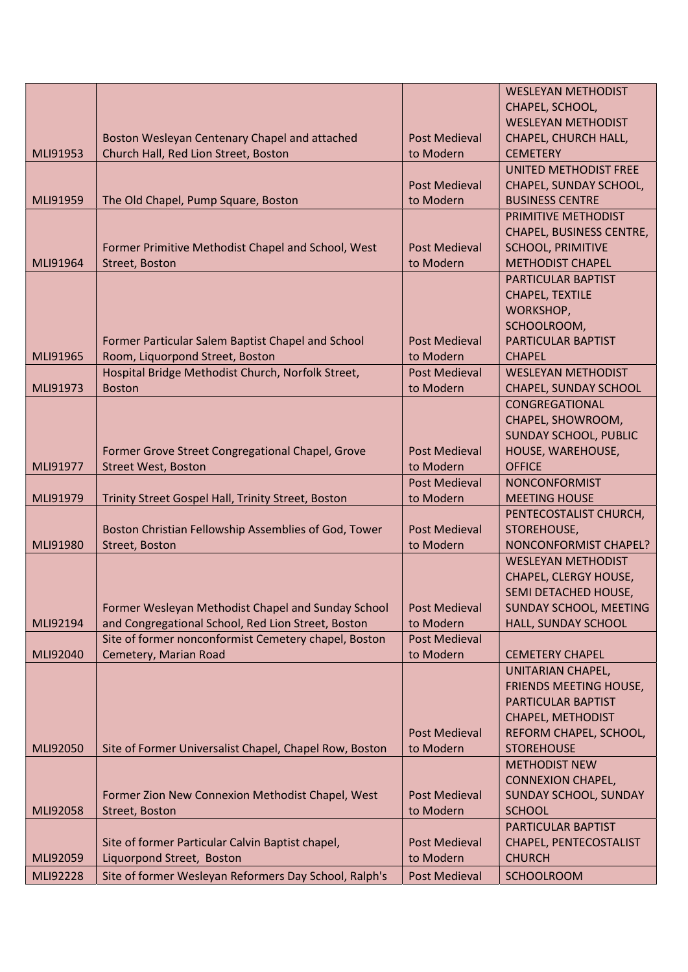|          |                                                        |                      | <b>WESLEYAN METHODIST</b>     |
|----------|--------------------------------------------------------|----------------------|-------------------------------|
|          |                                                        |                      | CHAPEL, SCHOOL,               |
|          |                                                        |                      | <b>WESLEYAN METHODIST</b>     |
|          | Boston Wesleyan Centenary Chapel and attached          | <b>Post Medieval</b> | CHAPEL, CHURCH HALL,          |
| MLI91953 | Church Hall, Red Lion Street, Boston                   | to Modern            | <b>CEMETERY</b>               |
|          |                                                        |                      | UNITED METHODIST FREE         |
|          |                                                        | <b>Post Medieval</b> | CHAPEL, SUNDAY SCHOOL,        |
| MLI91959 | The Old Chapel, Pump Square, Boston                    | to Modern            | <b>BUSINESS CENTRE</b>        |
|          |                                                        |                      | PRIMITIVE METHODIST           |
|          |                                                        |                      | CHAPEL, BUSINESS CENTRE,      |
|          | Former Primitive Methodist Chapel and School, West     | <b>Post Medieval</b> | <b>SCHOOL, PRIMITIVE</b>      |
| MLI91964 | Street, Boston                                         | to Modern            | <b>METHODIST CHAPEL</b>       |
|          |                                                        |                      | PARTICULAR BAPTIST            |
|          |                                                        |                      | CHAPEL, TEXTILE               |
|          |                                                        |                      | WORKSHOP,                     |
|          |                                                        |                      | SCHOOLROOM,                   |
|          | Former Particular Salem Baptist Chapel and School      | <b>Post Medieval</b> | PARTICULAR BAPTIST            |
| MLI91965 | Room, Liquorpond Street, Boston                        | to Modern            | <b>CHAPEL</b>                 |
|          | Hospital Bridge Methodist Church, Norfolk Street,      | <b>Post Medieval</b> | <b>WESLEYAN METHODIST</b>     |
| MLI91973 | <b>Boston</b>                                          | to Modern            | <b>CHAPEL, SUNDAY SCHOOL</b>  |
|          |                                                        |                      | CONGREGATIONAL                |
|          |                                                        |                      | CHAPEL, SHOWROOM,             |
|          |                                                        |                      | <b>SUNDAY SCHOOL, PUBLIC</b>  |
|          | Former Grove Street Congregational Chapel, Grove       | <b>Post Medieval</b> | HOUSE, WAREHOUSE,             |
| MLI91977 | <b>Street West, Boston</b>                             | to Modern            | <b>OFFICE</b>                 |
|          |                                                        | Post Medieval        | <b>NONCONFORMIST</b>          |
| MLI91979 | Trinity Street Gospel Hall, Trinity Street, Boston     | to Modern            | <b>MEETING HOUSE</b>          |
|          |                                                        |                      | PENTECOSTALIST CHURCH,        |
|          | Boston Christian Fellowship Assemblies of God, Tower   | <b>Post Medieval</b> | STOREHOUSE,                   |
| MLI91980 | <b>Street, Boston</b>                                  | to Modern            | NONCONFORMIST CHAPEL?         |
|          |                                                        |                      | <b>WESLEYAN METHODIST</b>     |
|          |                                                        |                      | CHAPEL, CLERGY HOUSE,         |
|          |                                                        |                      | SEMI DETACHED HOUSE,          |
|          | Former Wesleyan Methodist Chapel and Sunday School     | <b>Post Medieval</b> | <b>SUNDAY SCHOOL, MEETING</b> |
| MLI92194 | and Congregational School, Red Lion Street, Boston     | to Modern            | HALL, SUNDAY SCHOOL           |
|          | Site of former nonconformist Cemetery chapel, Boston   | <b>Post Medieval</b> |                               |
| MLI92040 | Cemetery, Marian Road                                  | to Modern            | <b>CEMETERY CHAPEL</b>        |
|          |                                                        |                      | UNITARIAN CHAPEL,             |
|          |                                                        |                      | FRIENDS MEETING HOUSE,        |
|          |                                                        |                      | PARTICULAR BAPTIST            |
|          |                                                        |                      | CHAPEL, METHODIST             |
|          |                                                        | <b>Post Medieval</b> | REFORM CHAPEL, SCHOOL,        |
| MLI92050 | Site of Former Universalist Chapel, Chapel Row, Boston | to Modern            | <b>STOREHOUSE</b>             |
|          |                                                        |                      | <b>METHODIST NEW</b>          |
|          |                                                        |                      | <b>CONNEXION CHAPEL,</b>      |
|          | Former Zion New Connexion Methodist Chapel, West       | <b>Post Medieval</b> | <b>SUNDAY SCHOOL, SUNDAY</b>  |
| MLI92058 | Street, Boston                                         | to Modern            | <b>SCHOOL</b>                 |
|          |                                                        |                      | PARTICULAR BAPTIST            |
|          | Site of former Particular Calvin Baptist chapel,       | <b>Post Medieval</b> | CHAPEL, PENTECOSTALIST        |
| MLI92059 | Liquorpond Street, Boston                              | to Modern            | <b>CHURCH</b>                 |
| MLI92228 | Site of former Wesleyan Reformers Day School, Ralph's  | <b>Post Medieval</b> | <b>SCHOOLROOM</b>             |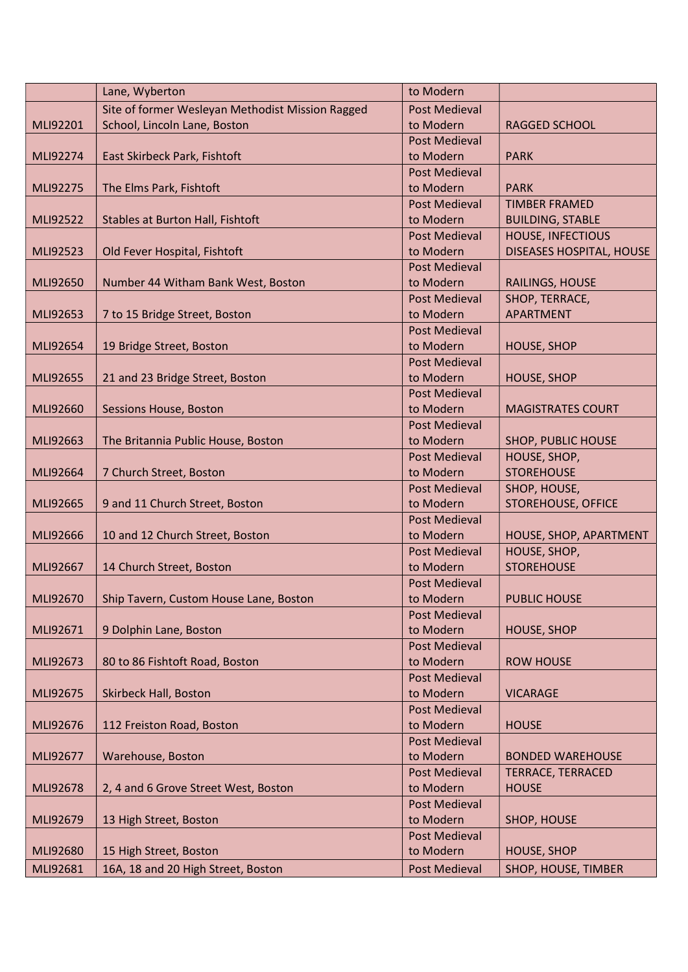|          | Lane, Wyberton                                   | to Modern            |                                 |
|----------|--------------------------------------------------|----------------------|---------------------------------|
|          | Site of former Wesleyan Methodist Mission Ragged | <b>Post Medieval</b> |                                 |
| MLI92201 | School, Lincoln Lane, Boston                     | to Modern            | <b>RAGGED SCHOOL</b>            |
|          |                                                  | <b>Post Medieval</b> |                                 |
| MLI92274 | East Skirbeck Park, Fishtoft                     | to Modern            | <b>PARK</b>                     |
|          |                                                  | <b>Post Medieval</b> |                                 |
| MLI92275 | The Elms Park, Fishtoft                          | to Modern            | <b>PARK</b>                     |
|          |                                                  | <b>Post Medieval</b> | <b>TIMBER FRAMED</b>            |
| MLI92522 | <b>Stables at Burton Hall, Fishtoft</b>          | to Modern            | <b>BUILDING, STABLE</b>         |
|          |                                                  | <b>Post Medieval</b> | <b>HOUSE, INFECTIOUS</b>        |
| MLI92523 | Old Fever Hospital, Fishtoft                     | to Modern            | <b>DISEASES HOSPITAL, HOUSE</b> |
|          |                                                  | <b>Post Medieval</b> |                                 |
| MLI92650 | Number 44 Witham Bank West, Boston               | to Modern            | RAILINGS, HOUSE                 |
|          |                                                  | <b>Post Medieval</b> | SHOP, TERRACE,                  |
| MLI92653 | 7 to 15 Bridge Street, Boston                    | to Modern            | <b>APARTMENT</b>                |
|          |                                                  | <b>Post Medieval</b> |                                 |
| MLI92654 | 19 Bridge Street, Boston                         | to Modern            | <b>HOUSE, SHOP</b>              |
|          |                                                  | <b>Post Medieval</b> |                                 |
| MLI92655 | 21 and 23 Bridge Street, Boston                  | to Modern            | <b>HOUSE, SHOP</b>              |
|          |                                                  | <b>Post Medieval</b> |                                 |
| MLI92660 | <b>Sessions House, Boston</b>                    | to Modern            | <b>MAGISTRATES COURT</b>        |
|          |                                                  | <b>Post Medieval</b> |                                 |
| MLI92663 | The Britannia Public House, Boston               | to Modern            | <b>SHOP, PUBLIC HOUSE</b>       |
|          |                                                  | Post Medieval        | HOUSE, SHOP,                    |
| MLI92664 | 7 Church Street, Boston                          | to Modern            | <b>STOREHOUSE</b>               |
|          |                                                  | <b>Post Medieval</b> | SHOP, HOUSE,                    |
| MLI92665 | 9 and 11 Church Street, Boston                   | to Modern            | <b>STOREHOUSE, OFFICE</b>       |
|          |                                                  | <b>Post Medieval</b> |                                 |
| MLI92666 | 10 and 12 Church Street, Boston                  | to Modern            | HOUSE, SHOP, APARTMENT          |
|          |                                                  | <b>Post Medieval</b> | HOUSE, SHOP,                    |
| MLI92667 | 14 Church Street, Boston                         | to Modern            | <b>STOREHOUSE</b>               |
|          |                                                  | <b>Post Medieval</b> |                                 |
| MLI92670 | Ship Tavern, Custom House Lane, Boston           | to Modern            | <b>PUBLIC HOUSE</b>             |
|          |                                                  | <b>Post Medieval</b> |                                 |
| MLI92671 | 9 Dolphin Lane, Boston                           | to Modern            | <b>HOUSE, SHOP</b>              |
|          |                                                  | <b>Post Medieval</b> |                                 |
| MLI92673 | 80 to 86 Fishtoft Road, Boston                   | to Modern            | <b>ROW HOUSE</b>                |
|          |                                                  | <b>Post Medieval</b> |                                 |
| MLI92675 | Skirbeck Hall, Boston                            | to Modern            | <b>VICARAGE</b>                 |
|          |                                                  | <b>Post Medieval</b> |                                 |
| MLI92676 | 112 Freiston Road, Boston                        | to Modern            | <b>HOUSE</b>                    |
|          |                                                  | <b>Post Medieval</b> |                                 |
| MLI92677 | Warehouse, Boston                                | to Modern            | <b>BONDED WAREHOUSE</b>         |
|          |                                                  | <b>Post Medieval</b> | TERRACE, TERRACED               |
| MLI92678 | 2, 4 and 6 Grove Street West, Boston             | to Modern            | <b>HOUSE</b>                    |
|          |                                                  | <b>Post Medieval</b> |                                 |
| MLI92679 | 13 High Street, Boston                           | to Modern            | SHOP, HOUSE                     |
|          |                                                  | <b>Post Medieval</b> |                                 |
| MLI92680 | 15 High Street, Boston                           | to Modern            | <b>HOUSE, SHOP</b>              |
| MLI92681 | 16A, 18 and 20 High Street, Boston               | <b>Post Medieval</b> | SHOP, HOUSE, TIMBER             |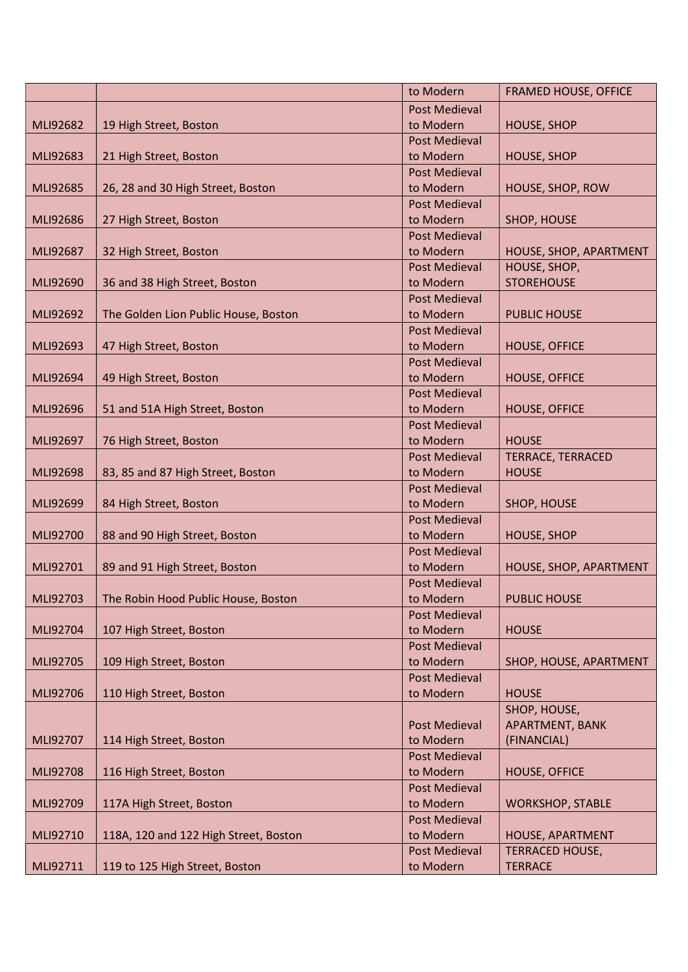|          |                                       | to Modern                         | <b>FRAMED HOUSE, OFFICE</b>    |
|----------|---------------------------------------|-----------------------------------|--------------------------------|
|          |                                       | <b>Post Medieval</b>              |                                |
| MLI92682 | 19 High Street, Boston                | to Modern                         | <b>HOUSE, SHOP</b>             |
|          |                                       | <b>Post Medieval</b>              |                                |
| MLI92683 | 21 High Street, Boston                | to Modern                         | <b>HOUSE, SHOP</b>             |
|          |                                       | <b>Post Medieval</b>              |                                |
| MLI92685 | 26, 28 and 30 High Street, Boston     | to Modern                         | HOUSE, SHOP, ROW               |
|          |                                       | <b>Post Medieval</b>              |                                |
| MLI92686 | 27 High Street, Boston                | to Modern                         | SHOP, HOUSE                    |
|          |                                       | <b>Post Medieval</b>              |                                |
| MLI92687 | 32 High Street, Boston                | to Modern                         | HOUSE, SHOP, APARTMENT         |
|          |                                       | <b>Post Medieval</b>              | HOUSE, SHOP,                   |
| MLI92690 | 36 and 38 High Street, Boston         | to Modern                         | <b>STOREHOUSE</b>              |
|          |                                       | <b>Post Medieval</b>              |                                |
| MLI92692 | The Golden Lion Public House, Boston  | to Modern                         | <b>PUBLIC HOUSE</b>            |
|          |                                       | <b>Post Medieval</b>              |                                |
| MLI92693 | 47 High Street, Boston                | to Modern                         | <b>HOUSE, OFFICE</b>           |
|          |                                       | <b>Post Medieval</b>              |                                |
| MLI92694 | 49 High Street, Boston                | to Modern                         | <b>HOUSE, OFFICE</b>           |
|          |                                       | <b>Post Medieval</b>              |                                |
| MLI92696 | 51 and 51A High Street, Boston        | to Modern                         | <b>HOUSE, OFFICE</b>           |
|          |                                       | <b>Post Medieval</b>              |                                |
| MLI92697 | 76 High Street, Boston                | to Modern                         | <b>HOUSE</b>                   |
|          |                                       | <b>Post Medieval</b>              | <b>TERRACE, TERRACED</b>       |
| MLI92698 | 83, 85 and 87 High Street, Boston     | to Modern                         | <b>HOUSE</b>                   |
|          |                                       | <b>Post Medieval</b>              |                                |
| MLI92699 | 84 High Street, Boston                | to Modern                         | SHOP, HOUSE                    |
|          |                                       | <b>Post Medieval</b>              |                                |
| MLI92700 | 88 and 90 High Street, Boston         | to Modern                         | <b>HOUSE, SHOP</b>             |
|          |                                       | <b>Post Medieval</b>              |                                |
| MLI92701 | 89 and 91 High Street, Boston         | to Modern                         | HOUSE, SHOP, APARTMENT         |
|          |                                       | <b>Post Medieval</b>              |                                |
| MLI92703 | The Robin Hood Public House, Boston   | to Modern                         | <b>PUBLIC HOUSE</b>            |
|          |                                       | <b>Post Medieval</b>              |                                |
| MLI92704 | 107 High Street, Boston               | to Modern                         | <b>HOUSE</b>                   |
|          |                                       | <b>Post Medieval</b>              |                                |
| MLI92705 | 109 High Street, Boston               | to Modern                         | SHOP, HOUSE, APARTMENT         |
|          |                                       | <b>Post Medieval</b>              |                                |
| MLI92706 | 110 High Street, Boston               | to Modern                         | <b>HOUSE</b>                   |
|          |                                       |                                   | SHOP, HOUSE,                   |
| MLI92707 | 114 High Street, Boston               | <b>Post Medieval</b><br>to Modern | APARTMENT, BANK<br>(FINANCIAL) |
|          |                                       | <b>Post Medieval</b>              |                                |
| MLI92708 | 116 High Street, Boston               | to Modern                         | <b>HOUSE, OFFICE</b>           |
|          |                                       | <b>Post Medieval</b>              |                                |
| MLI92709 | 117A High Street, Boston              | to Modern                         | <b>WORKSHOP, STABLE</b>        |
|          |                                       | <b>Post Medieval</b>              |                                |
| MLI92710 | 118A, 120 and 122 High Street, Boston | to Modern                         | HOUSE, APARTMENT               |
|          |                                       | <b>Post Medieval</b>              | <b>TERRACED HOUSE,</b>         |
| MLI92711 | 119 to 125 High Street, Boston        | to Modern                         | <b>TERRACE</b>                 |
|          |                                       |                                   |                                |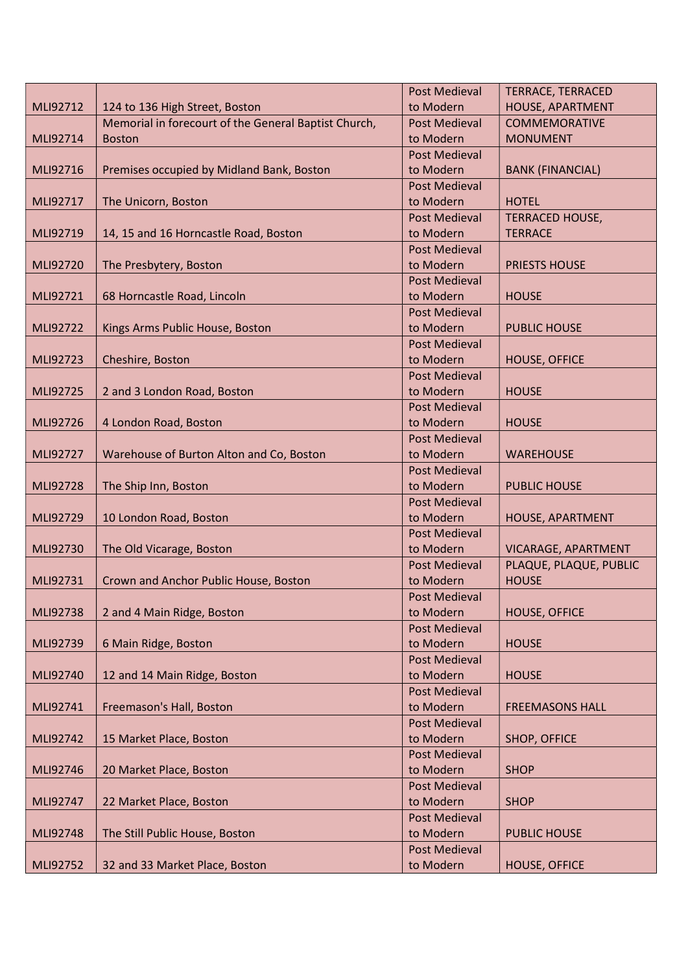|          |                                                      | <b>Post Medieval</b> | <b>TERRACE, TERRACED</b> |
|----------|------------------------------------------------------|----------------------|--------------------------|
| MLI92712 | 124 to 136 High Street, Boston                       | to Modern            | HOUSE, APARTMENT         |
|          | Memorial in forecourt of the General Baptist Church, | <b>Post Medieval</b> | <b>COMMEMORATIVE</b>     |
| MLI92714 | <b>Boston</b>                                        | to Modern            | <b>MONUMENT</b>          |
|          |                                                      | <b>Post Medieval</b> |                          |
| MLI92716 | Premises occupied by Midland Bank, Boston            | to Modern            | <b>BANK (FINANCIAL)</b>  |
|          |                                                      | <b>Post Medieval</b> |                          |
| MLI92717 | The Unicorn, Boston                                  | to Modern            | <b>HOTEL</b>             |
|          |                                                      | <b>Post Medieval</b> | <b>TERRACED HOUSE,</b>   |
| MLI92719 | 14, 15 and 16 Horncastle Road, Boston                | to Modern            | <b>TERRACE</b>           |
|          |                                                      | <b>Post Medieval</b> |                          |
| MLI92720 | The Presbytery, Boston                               | to Modern            | <b>PRIESTS HOUSE</b>     |
|          |                                                      | <b>Post Medieval</b> |                          |
| MLI92721 | 68 Horncastle Road, Lincoln                          | to Modern            | <b>HOUSE</b>             |
|          |                                                      | <b>Post Medieval</b> |                          |
| MLI92722 | Kings Arms Public House, Boston                      | to Modern            | <b>PUBLIC HOUSE</b>      |
|          |                                                      | <b>Post Medieval</b> |                          |
| MLI92723 | Cheshire, Boston                                     | to Modern            | <b>HOUSE, OFFICE</b>     |
|          |                                                      | <b>Post Medieval</b> |                          |
| MLI92725 | 2 and 3 London Road, Boston                          | to Modern            | <b>HOUSE</b>             |
|          |                                                      | <b>Post Medieval</b> |                          |
| MLI92726 | 4 London Road, Boston                                | to Modern            | <b>HOUSE</b>             |
|          |                                                      | <b>Post Medieval</b> |                          |
| MLI92727 | Warehouse of Burton Alton and Co, Boston             | to Modern            | <b>WAREHOUSE</b>         |
|          |                                                      | <b>Post Medieval</b> |                          |
| MLI92728 | The Ship Inn, Boston                                 | to Modern            | <b>PUBLIC HOUSE</b>      |
|          |                                                      | <b>Post Medieval</b> |                          |
| MLI92729 | 10 London Road, Boston                               | to Modern            | HOUSE, APARTMENT         |
|          |                                                      | <b>Post Medieval</b> |                          |
| MLI92730 | The Old Vicarage, Boston                             | to Modern            | VICARAGE, APARTMENT      |
|          |                                                      | <b>Post Medieval</b> | PLAQUE, PLAQUE, PUBLIC   |
| MLI92731 | Crown and Anchor Public House, Boston                | to Modern            | <b>HOUSE</b>             |
|          |                                                      | <b>Post Medieval</b> |                          |
| MLI92738 | 2 and 4 Main Ridge, Boston                           | to Modern            | <b>HOUSE, OFFICE</b>     |
|          |                                                      | <b>Post Medieval</b> |                          |
| MLI92739 | 6 Main Ridge, Boston                                 | to Modern            | <b>HOUSE</b>             |
|          |                                                      | <b>Post Medieval</b> |                          |
| MLI92740 | 12 and 14 Main Ridge, Boston                         | to Modern            | <b>HOUSE</b>             |
|          |                                                      | <b>Post Medieval</b> |                          |
| MLI92741 | Freemason's Hall, Boston                             | to Modern            | <b>FREEMASONS HALL</b>   |
|          |                                                      | <b>Post Medieval</b> |                          |
| MLI92742 | 15 Market Place, Boston                              | to Modern            | SHOP, OFFICE             |
|          |                                                      | <b>Post Medieval</b> |                          |
| MLI92746 | 20 Market Place, Boston                              | to Modern            | <b>SHOP</b>              |
|          |                                                      | <b>Post Medieval</b> |                          |
| MLI92747 | 22 Market Place, Boston                              | to Modern            | <b>SHOP</b>              |
|          |                                                      | <b>Post Medieval</b> |                          |
| MLI92748 | The Still Public House, Boston                       | to Modern            | <b>PUBLIC HOUSE</b>      |
|          |                                                      | <b>Post Medieval</b> |                          |
| MLI92752 | 32 and 33 Market Place, Boston                       | to Modern            | <b>HOUSE, OFFICE</b>     |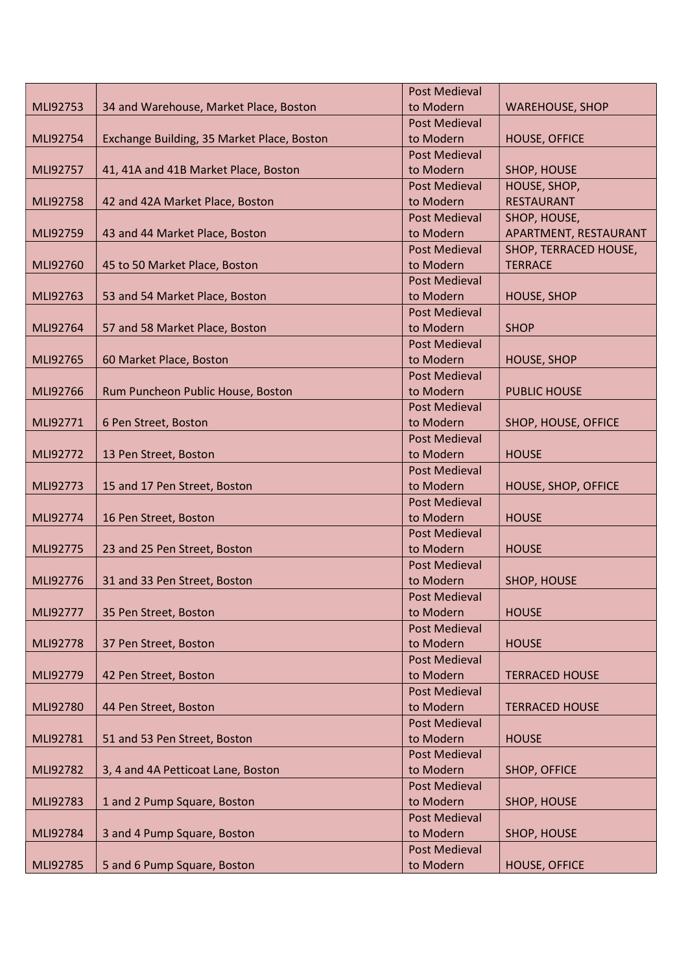|          |                                            | <b>Post Medieval</b>              |                        |
|----------|--------------------------------------------|-----------------------------------|------------------------|
| MLI92753 | 34 and Warehouse, Market Place, Boston     | to Modern                         | <b>WAREHOUSE, SHOP</b> |
|          |                                            | <b>Post Medieval</b>              |                        |
| MLI92754 | Exchange Building, 35 Market Place, Boston | to Modern                         | <b>HOUSE, OFFICE</b>   |
|          |                                            | <b>Post Medieval</b>              |                        |
| MLI92757 | 41, 41A and 41B Market Place, Boston       | to Modern                         | SHOP, HOUSE            |
|          |                                            | <b>Post Medieval</b>              | HOUSE, SHOP,           |
| MLI92758 | 42 and 42A Market Place, Boston            | to Modern                         | <b>RESTAURANT</b>      |
|          |                                            | <b>Post Medieval</b>              | SHOP, HOUSE,           |
| MLI92759 | 43 and 44 Market Place, Boston             | to Modern                         | APARTMENT, RESTAURANT  |
|          |                                            | <b>Post Medieval</b>              | SHOP, TERRACED HOUSE,  |
| MLI92760 | 45 to 50 Market Place, Boston              | to Modern                         | <b>TERRACE</b>         |
|          |                                            | <b>Post Medieval</b>              |                        |
| MLI92763 | 53 and 54 Market Place, Boston             | to Modern                         | <b>HOUSE, SHOP</b>     |
|          |                                            | <b>Post Medieval</b>              |                        |
| MLI92764 | 57 and 58 Market Place, Boston             | to Modern                         | <b>SHOP</b>            |
|          |                                            | <b>Post Medieval</b>              |                        |
| MLI92765 | 60 Market Place, Boston                    | to Modern                         | <b>HOUSE, SHOP</b>     |
|          |                                            | <b>Post Medieval</b>              |                        |
| MLI92766 | Rum Puncheon Public House, Boston          | to Modern                         | <b>PUBLIC HOUSE</b>    |
|          |                                            | <b>Post Medieval</b>              |                        |
| MLI92771 | 6 Pen Street, Boston                       | to Modern                         | SHOP, HOUSE, OFFICE    |
|          |                                            | <b>Post Medieval</b>              |                        |
| MLI92772 | 13 Pen Street, Boston                      | to Modern                         | <b>HOUSE</b>           |
|          |                                            | <b>Post Medieval</b>              |                        |
| MLI92773 | 15 and 17 Pen Street, Boston               | to Modern                         | HOUSE, SHOP, OFFICE    |
|          |                                            | <b>Post Medieval</b>              |                        |
| MLI92774 | 16 Pen Street, Boston                      | to Modern                         | <b>HOUSE</b>           |
| MLI92775 | 23 and 25 Pen Street, Boston               | <b>Post Medieval</b><br>to Modern | <b>HOUSE</b>           |
|          |                                            | <b>Post Medieval</b>              |                        |
| MLI92776 | 31 and 33 Pen Street, Boston               | to Modern                         | SHOP, HOUSE            |
|          |                                            | <b>Post Medieval</b>              |                        |
| MLI92777 | 35 Pen Street, Boston                      | to Modern                         | <b>HOUSE</b>           |
|          |                                            | <b>Post Medieval</b>              |                        |
| MLI92778 | 37 Pen Street, Boston                      | to Modern                         | <b>HOUSE</b>           |
|          |                                            | <b>Post Medieval</b>              |                        |
| MLI92779 | 42 Pen Street, Boston                      | to Modern                         | <b>TERRACED HOUSE</b>  |
|          |                                            | <b>Post Medieval</b>              |                        |
| MLI92780 | 44 Pen Street, Boston                      | to Modern                         | <b>TERRACED HOUSE</b>  |
|          |                                            | <b>Post Medieval</b>              |                        |
| MLI92781 | 51 and 53 Pen Street, Boston               | to Modern                         | <b>HOUSE</b>           |
|          |                                            | <b>Post Medieval</b>              |                        |
| MLI92782 | 3, 4 and 4A Petticoat Lane, Boston         | to Modern                         | SHOP, OFFICE           |
|          |                                            | <b>Post Medieval</b>              |                        |
| MLI92783 | 1 and 2 Pump Square, Boston                | to Modern                         | SHOP, HOUSE            |
|          |                                            | <b>Post Medieval</b>              |                        |
| MLI92784 | 3 and 4 Pump Square, Boston                | to Modern                         | <b>SHOP, HOUSE</b>     |
|          |                                            | <b>Post Medieval</b>              |                        |
| MLI92785 | 5 and 6 Pump Square, Boston                | to Modern                         | <b>HOUSE, OFFICE</b>   |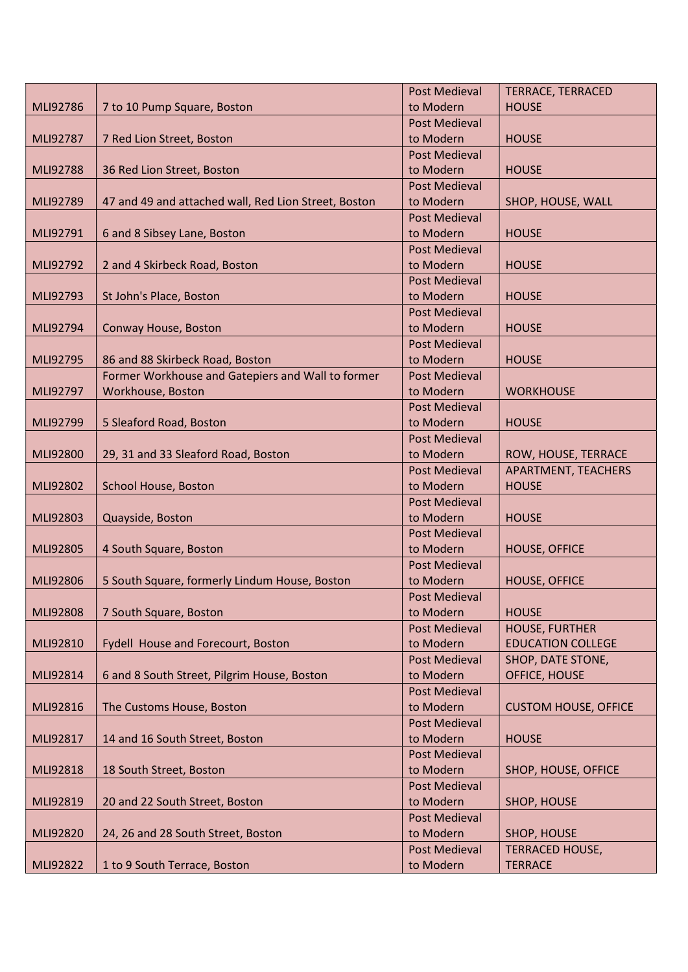|          |                                                      | <b>Post Medieval</b> | <b>TERRACE, TERRACED</b>    |
|----------|------------------------------------------------------|----------------------|-----------------------------|
| MLI92786 | 7 to 10 Pump Square, Boston                          | to Modern            | <b>HOUSE</b>                |
|          |                                                      | <b>Post Medieval</b> |                             |
| MLI92787 | 7 Red Lion Street, Boston                            | to Modern            | <b>HOUSE</b>                |
|          |                                                      | <b>Post Medieval</b> |                             |
| MLI92788 | 36 Red Lion Street, Boston                           | to Modern            | <b>HOUSE</b>                |
|          |                                                      | <b>Post Medieval</b> |                             |
| MLI92789 | 47 and 49 and attached wall, Red Lion Street, Boston | to Modern            | SHOP, HOUSE, WALL           |
|          |                                                      | <b>Post Medieval</b> |                             |
| MLI92791 | 6 and 8 Sibsey Lane, Boston                          | to Modern            | <b>HOUSE</b>                |
|          |                                                      | <b>Post Medieval</b> |                             |
| MLI92792 | 2 and 4 Skirbeck Road, Boston                        | to Modern            | <b>HOUSE</b>                |
|          |                                                      | <b>Post Medieval</b> |                             |
| MLI92793 | St John's Place, Boston                              | to Modern            | <b>HOUSE</b>                |
|          |                                                      | <b>Post Medieval</b> |                             |
| MLI92794 | Conway House, Boston                                 | to Modern            | <b>HOUSE</b>                |
|          |                                                      | <b>Post Medieval</b> |                             |
| MLI92795 | 86 and 88 Skirbeck Road, Boston                      | to Modern            | <b>HOUSE</b>                |
|          | Former Workhouse and Gatepiers and Wall to former    | <b>Post Medieval</b> |                             |
| MLI92797 | Workhouse, Boston                                    | to Modern            | <b>WORKHOUSE</b>            |
|          |                                                      | <b>Post Medieval</b> |                             |
| MLI92799 | 5 Sleaford Road, Boston                              | to Modern            | <b>HOUSE</b>                |
|          |                                                      | <b>Post Medieval</b> |                             |
| MLI92800 | 29, 31 and 33 Sleaford Road, Boston                  | to Modern            | ROW, HOUSE, TERRACE         |
|          |                                                      | <b>Post Medieval</b> | <b>APARTMENT, TEACHERS</b>  |
| MLI92802 | School House, Boston                                 | to Modern            | <b>HOUSE</b>                |
|          |                                                      | <b>Post Medieval</b> |                             |
| MLI92803 | Quayside, Boston                                     | to Modern            | <b>HOUSE</b>                |
|          |                                                      | <b>Post Medieval</b> |                             |
| MLI92805 | 4 South Square, Boston                               | to Modern            | <b>HOUSE, OFFICE</b>        |
|          |                                                      | <b>Post Medieval</b> |                             |
| MLI92806 | 5 South Square, formerly Lindum House, Boston        | to Modern            | <b>HOUSE, OFFICE</b>        |
|          |                                                      | <b>Post Medieval</b> |                             |
| MLI92808 | 7 South Square, Boston                               | to Modern            | <b>HOUSE</b>                |
|          |                                                      | <b>Post Medieval</b> | <b>HOUSE, FURTHER</b>       |
| MLI92810 | Fydell House and Forecourt, Boston                   | to Modern            | <b>EDUCATION COLLEGE</b>    |
|          |                                                      | <b>Post Medieval</b> | SHOP, DATE STONE,           |
| MLI92814 | 6 and 8 South Street, Pilgrim House, Boston          | to Modern            | OFFICE, HOUSE               |
|          |                                                      | <b>Post Medieval</b> |                             |
| MLI92816 | The Customs House, Boston                            | to Modern            | <b>CUSTOM HOUSE, OFFICE</b> |
|          |                                                      | <b>Post Medieval</b> |                             |
| MLI92817 | 14 and 16 South Street, Boston                       | to Modern            | <b>HOUSE</b>                |
|          |                                                      | <b>Post Medieval</b> |                             |
| MLI92818 | 18 South Street, Boston                              | to Modern            | SHOP, HOUSE, OFFICE         |
|          |                                                      | <b>Post Medieval</b> |                             |
| MLI92819 | 20 and 22 South Street, Boston                       | to Modern            | SHOP, HOUSE                 |
|          |                                                      | <b>Post Medieval</b> |                             |
| MLI92820 | 24, 26 and 28 South Street, Boston                   | to Modern            | SHOP, HOUSE                 |
|          |                                                      | <b>Post Medieval</b> | <b>TERRACED HOUSE,</b>      |
| MLI92822 | 1 to 9 South Terrace, Boston                         | to Modern            | <b>TERRACE</b>              |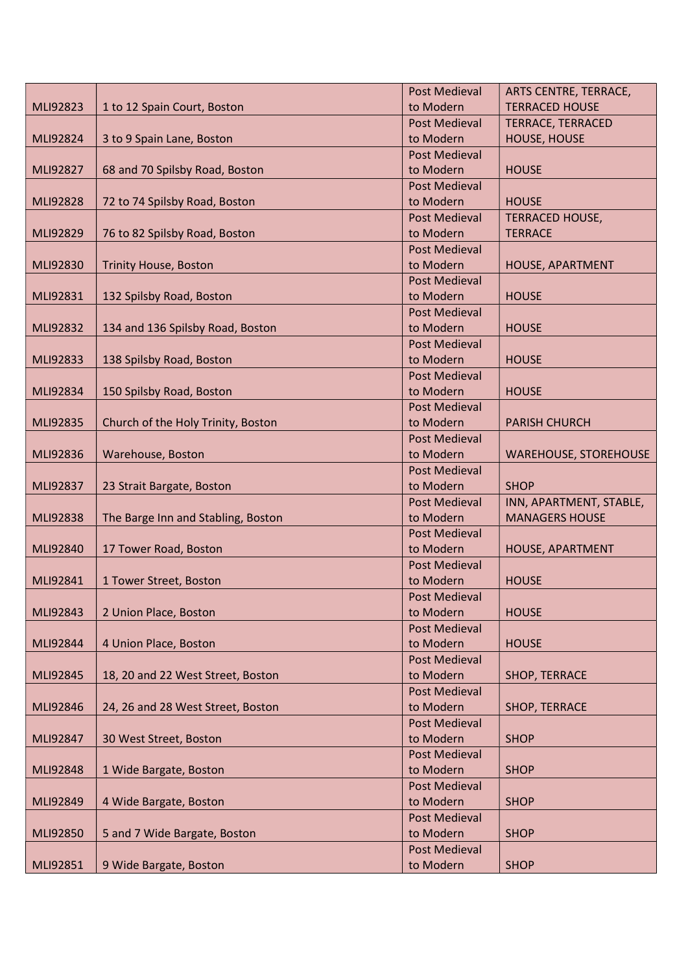|          |                                    | <b>Post Medieval</b>              | ARTS CENTRE, TERRACE,        |
|----------|------------------------------------|-----------------------------------|------------------------------|
| MLI92823 | 1 to 12 Spain Court, Boston        | to Modern                         | <b>TERRACED HOUSE</b>        |
|          |                                    | <b>Post Medieval</b>              | <b>TERRACE, TERRACED</b>     |
| MLI92824 | 3 to 9 Spain Lane, Boston          | to Modern                         | HOUSE, HOUSE                 |
|          |                                    | <b>Post Medieval</b>              |                              |
| MLI92827 | 68 and 70 Spilsby Road, Boston     | to Modern                         | <b>HOUSE</b>                 |
|          |                                    | <b>Post Medieval</b>              |                              |
| MLI92828 | 72 to 74 Spilsby Road, Boston      | to Modern                         | <b>HOUSE</b>                 |
|          |                                    | <b>Post Medieval</b>              | <b>TERRACED HOUSE,</b>       |
| MLI92829 | 76 to 82 Spilsby Road, Boston      | to Modern                         | <b>TERRACE</b>               |
|          |                                    | <b>Post Medieval</b>              |                              |
| MLI92830 | <b>Trinity House, Boston</b>       | to Modern                         | HOUSE, APARTMENT             |
|          |                                    | <b>Post Medieval</b>              |                              |
| MLI92831 | 132 Spilsby Road, Boston           | to Modern                         | <b>HOUSE</b>                 |
|          |                                    | <b>Post Medieval</b>              |                              |
| MLI92832 | 134 and 136 Spilsby Road, Boston   | to Modern                         | <b>HOUSE</b>                 |
|          |                                    | <b>Post Medieval</b>              |                              |
| MLI92833 | 138 Spilsby Road, Boston           | to Modern                         | <b>HOUSE</b>                 |
|          |                                    | <b>Post Medieval</b>              |                              |
| MLI92834 | 150 Spilsby Road, Boston           | to Modern                         | <b>HOUSE</b>                 |
|          |                                    | <b>Post Medieval</b>              |                              |
| MLI92835 | Church of the Holy Trinity, Boston | to Modern                         | <b>PARISH CHURCH</b>         |
|          |                                    | <b>Post Medieval</b>              |                              |
| MLI92836 | Warehouse, Boston                  | to Modern                         | <b>WAREHOUSE, STOREHOUSE</b> |
|          |                                    | <b>Post Medieval</b>              |                              |
| MLI92837 | 23 Strait Bargate, Boston          | to Modern                         | <b>SHOP</b>                  |
|          |                                    | <b>Post Medieval</b>              | INN, APARTMENT, STABLE,      |
| MLI92838 | The Barge Inn and Stabling, Boston | to Modern                         | <b>MANAGERS HOUSE</b>        |
|          |                                    | <b>Post Medieval</b>              |                              |
| MLI92840 | 17 Tower Road, Boston              | to Modern                         | HOUSE, APARTMENT             |
|          |                                    |                                   |                              |
|          |                                    | <b>Post Medieval</b>              |                              |
| MLI92841 | 1 Tower Street, Boston             | to Modern                         | <b>HOUSE</b>                 |
|          |                                    | <b>Post Medieval</b>              |                              |
| MLI92843 | 2 Union Place, Boston              | to Modern                         | <b>HOUSE</b>                 |
|          |                                    | <b>Post Medieval</b>              |                              |
| MLI92844 | 4 Union Place, Boston              | to Modern                         | <b>HOUSE</b>                 |
|          |                                    | <b>Post Medieval</b>              |                              |
| MLI92845 | 18, 20 and 22 West Street, Boston  | to Modern                         | SHOP, TERRACE                |
|          |                                    | <b>Post Medieval</b>              |                              |
| MLI92846 | 24, 26 and 28 West Street, Boston  | to Modern                         | SHOP, TERRACE                |
|          |                                    | <b>Post Medieval</b>              |                              |
| MLI92847 | 30 West Street, Boston             | to Modern                         | <b>SHOP</b>                  |
|          |                                    | <b>Post Medieval</b>              |                              |
| MLI92848 | 1 Wide Bargate, Boston             | to Modern                         | <b>SHOP</b>                  |
|          |                                    | <b>Post Medieval</b>              |                              |
| MLI92849 | 4 Wide Bargate, Boston             | to Modern                         | <b>SHOP</b>                  |
|          |                                    | <b>Post Medieval</b>              |                              |
| MLI92850 | 5 and 7 Wide Bargate, Boston       | to Modern                         | <b>SHOP</b>                  |
| MLI92851 | 9 Wide Bargate, Boston             | <b>Post Medieval</b><br>to Modern | <b>SHOP</b>                  |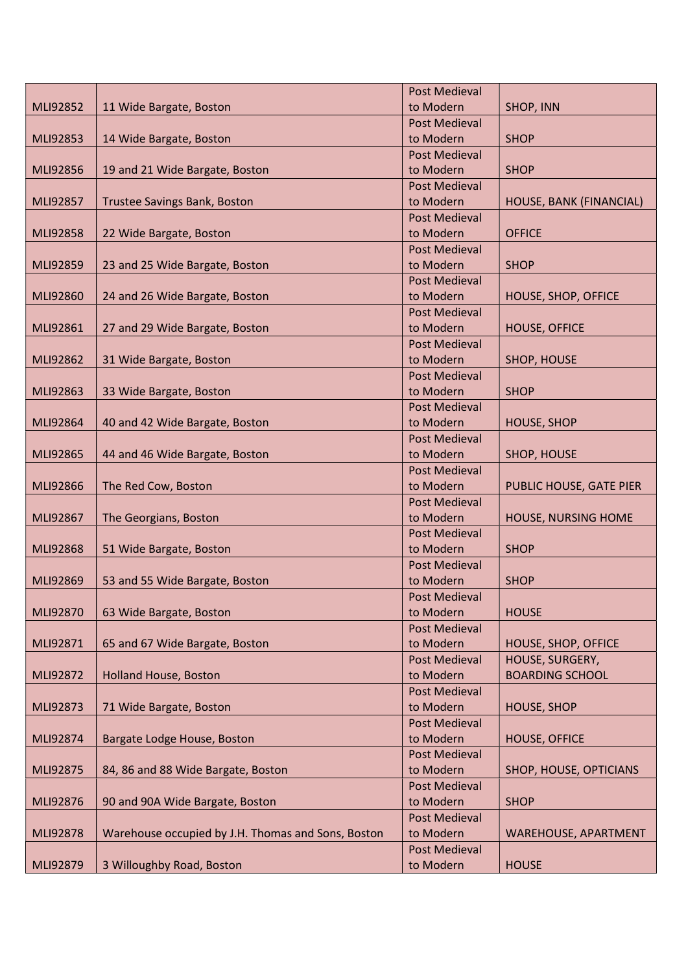|          |                                                    | <b>Post Medieval</b>              |                             |
|----------|----------------------------------------------------|-----------------------------------|-----------------------------|
| MLI92852 | 11 Wide Bargate, Boston                            | to Modern                         | SHOP, INN                   |
|          |                                                    | <b>Post Medieval</b>              |                             |
| MLI92853 | 14 Wide Bargate, Boston                            | to Modern                         | <b>SHOP</b>                 |
|          |                                                    | <b>Post Medieval</b>              |                             |
| MLI92856 | 19 and 21 Wide Bargate, Boston                     | to Modern                         | <b>SHOP</b>                 |
|          |                                                    | <b>Post Medieval</b>              |                             |
| MLI92857 | <b>Trustee Savings Bank, Boston</b>                | to Modern                         | HOUSE, BANK (FINANCIAL)     |
|          |                                                    | <b>Post Medieval</b>              |                             |
| MLI92858 | 22 Wide Bargate, Boston                            | to Modern                         | <b>OFFICE</b>               |
|          |                                                    | <b>Post Medieval</b>              |                             |
| MLI92859 | 23 and 25 Wide Bargate, Boston                     | to Modern                         | <b>SHOP</b>                 |
|          |                                                    | <b>Post Medieval</b>              |                             |
| MLI92860 | 24 and 26 Wide Bargate, Boston                     | to Modern                         | HOUSE, SHOP, OFFICE         |
|          |                                                    | <b>Post Medieval</b>              |                             |
| MLI92861 | 27 and 29 Wide Bargate, Boston                     | to Modern                         | <b>HOUSE, OFFICE</b>        |
|          |                                                    | <b>Post Medieval</b>              |                             |
| MLI92862 | 31 Wide Bargate, Boston                            | to Modern                         | SHOP, HOUSE                 |
|          |                                                    | <b>Post Medieval</b>              |                             |
| MLI92863 | 33 Wide Bargate, Boston                            | to Modern                         | <b>SHOP</b>                 |
|          |                                                    | <b>Post Medieval</b>              |                             |
| MLI92864 | 40 and 42 Wide Bargate, Boston                     | to Modern                         | <b>HOUSE, SHOP</b>          |
|          |                                                    | <b>Post Medieval</b>              |                             |
| MLI92865 | 44 and 46 Wide Bargate, Boston                     | to Modern                         | SHOP, HOUSE                 |
|          |                                                    | <b>Post Medieval</b>              |                             |
| MLI92866 | The Red Cow, Boston                                | to Modern                         | PUBLIC HOUSE, GATE PIER     |
|          |                                                    | <b>Post Medieval</b>              |                             |
| MLI92867 | The Georgians, Boston                              | to Modern                         | HOUSE, NURSING HOME         |
|          |                                                    | <b>Post Medieval</b>              |                             |
| MLI92868 | 51 Wide Bargate, Boston                            | to Modern                         | <b>SHOP</b>                 |
| MLI92869 |                                                    | <b>Post Medieval</b><br>to Modern | <b>SHOP</b>                 |
|          | 53 and 55 Wide Bargate, Boston                     | <b>Post Medieval</b>              |                             |
| MLI92870 | 63 Wide Bargate, Boston                            | to Modern                         | <b>HOUSE</b>                |
|          |                                                    | <b>Post Medieval</b>              |                             |
| MLI92871 | 65 and 67 Wide Bargate, Boston                     | to Modern                         | HOUSE, SHOP, OFFICE         |
|          |                                                    | <b>Post Medieval</b>              | HOUSE, SURGERY,             |
| MLI92872 | <b>Holland House, Boston</b>                       | to Modern                         | <b>BOARDING SCHOOL</b>      |
|          |                                                    | <b>Post Medieval</b>              |                             |
| MLI92873 | 71 Wide Bargate, Boston                            | to Modern                         | <b>HOUSE, SHOP</b>          |
|          |                                                    | <b>Post Medieval</b>              |                             |
| MLI92874 | Bargate Lodge House, Boston                        | to Modern                         | <b>HOUSE, OFFICE</b>        |
|          |                                                    | <b>Post Medieval</b>              |                             |
| MLI92875 | 84, 86 and 88 Wide Bargate, Boston                 | to Modern                         | SHOP, HOUSE, OPTICIANS      |
|          |                                                    | <b>Post Medieval</b>              |                             |
| MLI92876 | 90 and 90A Wide Bargate, Boston                    | to Modern                         | <b>SHOP</b>                 |
|          |                                                    | <b>Post Medieval</b>              |                             |
| MLI92878 | Warehouse occupied by J.H. Thomas and Sons, Boston | to Modern                         | <b>WAREHOUSE, APARTMENT</b> |
|          |                                                    | <b>Post Medieval</b>              |                             |
| MLI92879 | 3 Willoughby Road, Boston                          | to Modern                         | <b>HOUSE</b>                |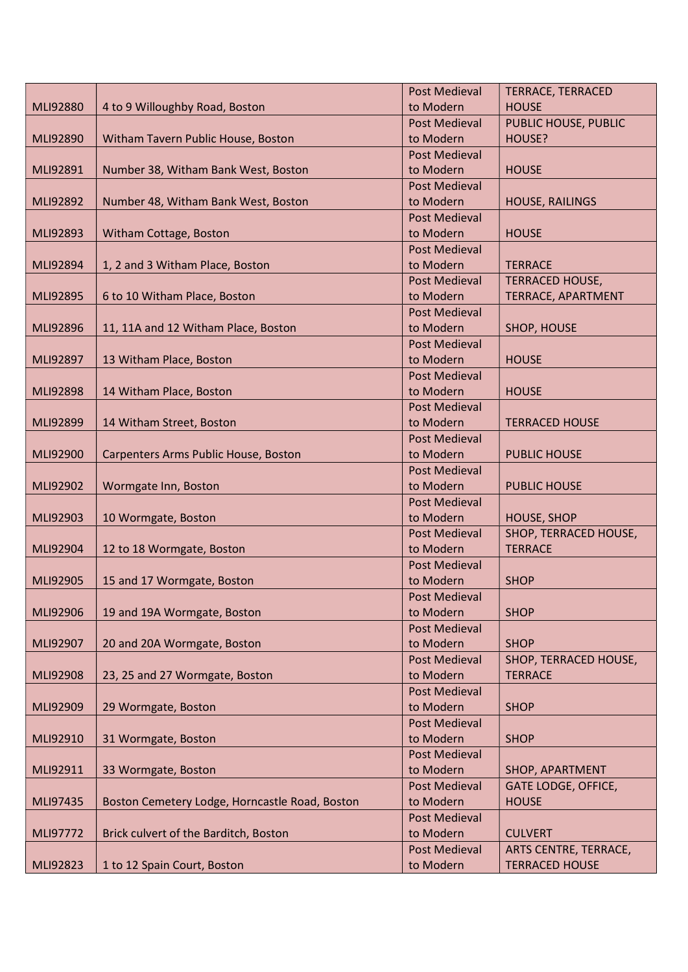|          |                                                | <b>Post Medieval</b> | <b>TERRACE, TERRACED</b>   |
|----------|------------------------------------------------|----------------------|----------------------------|
| MLI92880 | 4 to 9 Willoughby Road, Boston                 | to Modern            | <b>HOUSE</b>               |
|          |                                                | <b>Post Medieval</b> | PUBLIC HOUSE, PUBLIC       |
| MLI92890 | Witham Tavern Public House, Boston             | to Modern            | HOUSE?                     |
|          |                                                | <b>Post Medieval</b> |                            |
| MLI92891 | Number 38, Witham Bank West, Boston            | to Modern            | <b>HOUSE</b>               |
|          |                                                | <b>Post Medieval</b> |                            |
| MLI92892 | Number 48, Witham Bank West, Boston            | to Modern            | <b>HOUSE, RAILINGS</b>     |
|          |                                                | <b>Post Medieval</b> |                            |
| MLI92893 | Witham Cottage, Boston                         | to Modern            | <b>HOUSE</b>               |
|          |                                                | <b>Post Medieval</b> |                            |
| MLI92894 | 1, 2 and 3 Witham Place, Boston                | to Modern            | <b>TERRACE</b>             |
|          |                                                | <b>Post Medieval</b> | <b>TERRACED HOUSE,</b>     |
| MLI92895 | 6 to 10 Witham Place, Boston                   | to Modern            | TERRACE, APARTMENT         |
|          |                                                | <b>Post Medieval</b> |                            |
| MLI92896 | 11, 11A and 12 Witham Place, Boston            | to Modern            | SHOP, HOUSE                |
|          |                                                | <b>Post Medieval</b> |                            |
| MLI92897 | 13 Witham Place, Boston                        | to Modern            | <b>HOUSE</b>               |
|          |                                                | <b>Post Medieval</b> |                            |
| MLI92898 | 14 Witham Place, Boston                        | to Modern            | <b>HOUSE</b>               |
|          |                                                | <b>Post Medieval</b> |                            |
| MLI92899 | 14 Witham Street, Boston                       | to Modern            | <b>TERRACED HOUSE</b>      |
|          |                                                | <b>Post Medieval</b> |                            |
| MLI92900 | Carpenters Arms Public House, Boston           | to Modern            | <b>PUBLIC HOUSE</b>        |
|          |                                                | <b>Post Medieval</b> |                            |
| MLI92902 | Wormgate Inn, Boston                           | to Modern            | <b>PUBLIC HOUSE</b>        |
|          |                                                | <b>Post Medieval</b> |                            |
| MLI92903 | 10 Wormgate, Boston                            | to Modern            | <b>HOUSE, SHOP</b>         |
|          |                                                | <b>Post Medieval</b> | SHOP, TERRACED HOUSE,      |
| MLI92904 | 12 to 18 Wormgate, Boston                      | to Modern            | <b>TERRACE</b>             |
|          |                                                | <b>Post Medieval</b> |                            |
| MLI92905 | 15 and 17 Wormgate, Boston                     | to Modern            | <b>SHOP</b>                |
|          |                                                | Post Medieval        |                            |
| MLI92906 | 19 and 19A Wormgate, Boston                    | to Modern            | <b>SHOP</b>                |
|          |                                                | <b>Post Medieval</b> |                            |
| MLI92907 | 20 and 20A Wormgate, Boston                    | to Modern            | <b>SHOP</b>                |
|          |                                                | <b>Post Medieval</b> | SHOP, TERRACED HOUSE,      |
| MLI92908 | 23, 25 and 27 Wormgate, Boston                 | to Modern            | <b>TERRACE</b>             |
|          |                                                | <b>Post Medieval</b> |                            |
| MLI92909 | 29 Wormgate, Boston                            | to Modern            | <b>SHOP</b>                |
|          |                                                | <b>Post Medieval</b> |                            |
| MLI92910 | 31 Wormgate, Boston                            | to Modern            | <b>SHOP</b>                |
|          |                                                | <b>Post Medieval</b> |                            |
| MLI92911 | 33 Wormgate, Boston                            | to Modern            | SHOP, APARTMENT            |
|          |                                                | <b>Post Medieval</b> | <b>GATE LODGE, OFFICE,</b> |
| MLI97435 | Boston Cemetery Lodge, Horncastle Road, Boston | to Modern            | <b>HOUSE</b>               |
|          |                                                | <b>Post Medieval</b> |                            |
| MLI97772 | Brick culvert of the Barditch, Boston          | to Modern            | <b>CULVERT</b>             |
|          |                                                | <b>Post Medieval</b> | ARTS CENTRE, TERRACE,      |
| MLI92823 | 1 to 12 Spain Court, Boston                    | to Modern            | <b>TERRACED HOUSE</b>      |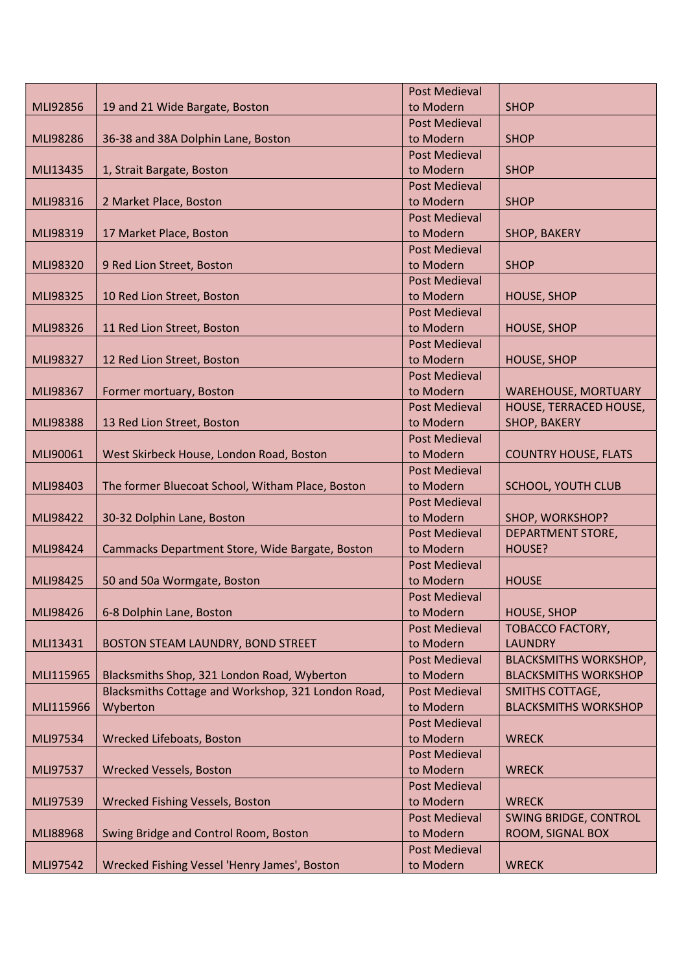|           |                                                    | <b>Post Medieval</b>              |                                           |
|-----------|----------------------------------------------------|-----------------------------------|-------------------------------------------|
| MLI92856  | 19 and 21 Wide Bargate, Boston                     | to Modern                         | <b>SHOP</b>                               |
|           |                                                    | <b>Post Medieval</b>              |                                           |
| MLI98286  | 36-38 and 38A Dolphin Lane, Boston                 | to Modern                         | <b>SHOP</b>                               |
|           |                                                    | <b>Post Medieval</b>              |                                           |
| MLI13435  | 1, Strait Bargate, Boston                          | to Modern                         | <b>SHOP</b>                               |
|           |                                                    | <b>Post Medieval</b>              |                                           |
| MLI98316  | 2 Market Place, Boston                             | to Modern                         | <b>SHOP</b>                               |
|           |                                                    | <b>Post Medieval</b>              |                                           |
| MLI98319  | 17 Market Place, Boston                            | to Modern                         | SHOP, BAKERY                              |
|           |                                                    | <b>Post Medieval</b>              |                                           |
| MLI98320  | 9 Red Lion Street, Boston                          | to Modern                         | <b>SHOP</b>                               |
|           |                                                    | <b>Post Medieval</b>              |                                           |
| MLI98325  | 10 Red Lion Street, Boston                         | to Modern                         | <b>HOUSE, SHOP</b>                        |
|           |                                                    | <b>Post Medieval</b>              |                                           |
| MLI98326  | 11 Red Lion Street, Boston                         | to Modern                         | <b>HOUSE, SHOP</b>                        |
|           |                                                    | <b>Post Medieval</b>              |                                           |
| MLI98327  | 12 Red Lion Street, Boston                         | to Modern                         | <b>HOUSE, SHOP</b>                        |
|           |                                                    | <b>Post Medieval</b>              |                                           |
| MLI98367  | Former mortuary, Boston                            | to Modern                         | <b>WAREHOUSE, MORTUARY</b>                |
|           |                                                    | <b>Post Medieval</b>              | HOUSE, TERRACED HOUSE,                    |
| MLI98388  | 13 Red Lion Street, Boston                         | to Modern                         | SHOP, BAKERY                              |
|           |                                                    | <b>Post Medieval</b>              |                                           |
| MLI90061  | West Skirbeck House, London Road, Boston           | to Modern                         | <b>COUNTRY HOUSE, FLATS</b>               |
|           |                                                    | <b>Post Medieval</b>              |                                           |
| MLI98403  | The former Bluecoat School, Witham Place, Boston   | to Modern                         | <b>SCHOOL, YOUTH CLUB</b>                 |
|           |                                                    | <b>Post Medieval</b>              |                                           |
| MLI98422  | 30-32 Dolphin Lane, Boston                         | to Modern                         | SHOP, WORKSHOP?                           |
|           |                                                    | <b>Post Medieval</b>              | DEPARTMENT STORE,                         |
| MLI98424  | Cammacks Department Store, Wide Bargate, Boston    | to Modern                         | HOUSE?                                    |
|           |                                                    | <b>Post Medieval</b>              |                                           |
| MLI98425  | 50 and 50a Wormgate, Boston                        | to Modern                         | <b>HOUSE</b>                              |
|           |                                                    | <b>Post Medieval</b>              |                                           |
| MLI98426  | 6-8 Dolphin Lane, Boston                           | to Modern                         | <b>HOUSE, SHOP</b>                        |
|           | BOSTON STEAM LAUNDRY, BOND STREET                  | <b>Post Medieval</b><br>to Modern | <b>TOBACCO FACTORY,</b><br><b>LAUNDRY</b> |
| MLI13431  |                                                    | <b>Post Medieval</b>              | <b>BLACKSMITHS WORKSHOP,</b>              |
| MLI115965 | Blacksmiths Shop, 321 London Road, Wyberton        | to Modern                         | <b>BLACKSMITHS WORKSHOP</b>               |
|           | Blacksmiths Cottage and Workshop, 321 London Road, | <b>Post Medieval</b>              | <b>SMITHS COTTAGE,</b>                    |
| MLI115966 | Wyberton                                           | to Modern                         | <b>BLACKSMITHS WORKSHOP</b>               |
|           |                                                    | <b>Post Medieval</b>              |                                           |
| MLI97534  | Wrecked Lifeboats, Boston                          | to Modern                         | <b>WRECK</b>                              |
|           |                                                    | <b>Post Medieval</b>              |                                           |
| MLI97537  | <b>Wrecked Vessels, Boston</b>                     | to Modern                         | <b>WRECK</b>                              |
|           |                                                    | <b>Post Medieval</b>              |                                           |
| MLI97539  | Wrecked Fishing Vessels, Boston                    | to Modern                         | <b>WRECK</b>                              |
|           |                                                    | <b>Post Medieval</b>              | <b>SWING BRIDGE, CONTROL</b>              |
| MLI88968  | Swing Bridge and Control Room, Boston              | to Modern                         | ROOM, SIGNAL BOX                          |
|           |                                                    | <b>Post Medieval</b>              |                                           |
| MLI97542  | Wrecked Fishing Vessel 'Henry James', Boston       | to Modern                         | <b>WRECK</b>                              |
|           |                                                    |                                   |                                           |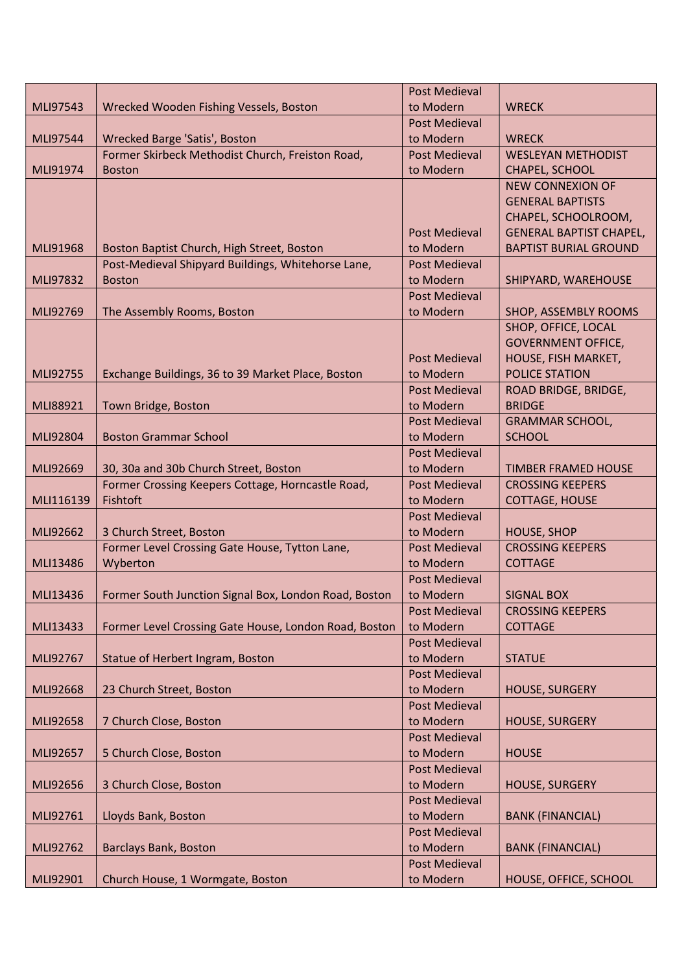|           |                                                       | <b>Post Medieval</b> |                                |
|-----------|-------------------------------------------------------|----------------------|--------------------------------|
| MLI97543  | Wrecked Wooden Fishing Vessels, Boston                | to Modern            | <b>WRECK</b>                   |
|           |                                                       | <b>Post Medieval</b> |                                |
| MLI97544  | Wrecked Barge 'Satis', Boston                         | to Modern            | <b>WRECK</b>                   |
|           | Former Skirbeck Methodist Church, Freiston Road,      | <b>Post Medieval</b> | <b>WESLEYAN METHODIST</b>      |
| MLI91974  | <b>Boston</b>                                         | to Modern            | CHAPEL, SCHOOL                 |
|           |                                                       |                      | <b>NEW CONNEXION OF</b>        |
|           |                                                       |                      | <b>GENERAL BAPTISTS</b>        |
|           |                                                       |                      | CHAPEL, SCHOOLROOM,            |
|           |                                                       | <b>Post Medieval</b> | <b>GENERAL BAPTIST CHAPEL,</b> |
| MLI91968  | Boston Baptist Church, High Street, Boston            | to Modern            | <b>BAPTIST BURIAL GROUND</b>   |
|           | Post-Medieval Shipyard Buildings, Whitehorse Lane,    | <b>Post Medieval</b> |                                |
| MLI97832  | <b>Boston</b>                                         | to Modern            | SHIPYARD, WAREHOUSE            |
|           |                                                       | <b>Post Medieval</b> |                                |
| MLI92769  | The Assembly Rooms, Boston                            | to Modern            | SHOP, ASSEMBLY ROOMS           |
|           |                                                       |                      | SHOP, OFFICE, LOCAL            |
|           |                                                       |                      | <b>GOVERNMENT OFFICE,</b>      |
|           |                                                       | <b>Post Medieval</b> | HOUSE, FISH MARKET,            |
| MLI92755  | Exchange Buildings, 36 to 39 Market Place, Boston     | to Modern            | <b>POLICE STATION</b>          |
|           |                                                       | <b>Post Medieval</b> | ROAD BRIDGE, BRIDGE,           |
| MLI88921  | Town Bridge, Boston                                   | to Modern            | <b>BRIDGE</b>                  |
|           |                                                       | <b>Post Medieval</b> | <b>GRAMMAR SCHOOL,</b>         |
| MLI92804  | <b>Boston Grammar School</b>                          | to Modern            | <b>SCHOOL</b>                  |
|           |                                                       | <b>Post Medieval</b> |                                |
| MLI92669  | 30, 30a and 30b Church Street, Boston                 | to Modern            | <b>TIMBER FRAMED HOUSE</b>     |
|           | Former Crossing Keepers Cottage, Horncastle Road,     | <b>Post Medieval</b> | <b>CROSSING KEEPERS</b>        |
| MLI116139 | Fishtoft                                              | to Modern            | <b>COTTAGE, HOUSE</b>          |
|           |                                                       | <b>Post Medieval</b> |                                |
| MLI92662  | 3 Church Street, Boston                               | to Modern            | <b>HOUSE, SHOP</b>             |
|           | Former Level Crossing Gate House, Tytton Lane,        | Post Medieval        | <b>CROSSING KEEPERS</b>        |
| MLI13486  | Wyberton                                              | to Modern            | <b>COTTAGE</b>                 |
|           |                                                       | <b>Post Medieval</b> |                                |
| MLI13436  | Former South Junction Signal Box, London Road, Boston | to Modern            | <b>SIGNAL BOX</b>              |
|           |                                                       | <b>Post Medieval</b> | <b>CROSSING KEEPERS</b>        |
| MLI13433  | Former Level Crossing Gate House, London Road, Boston | to Modern            | <b>COTTAGE</b>                 |
|           |                                                       | <b>Post Medieval</b> |                                |
| MLI92767  | Statue of Herbert Ingram, Boston                      | to Modern            | <b>STATUE</b>                  |
|           |                                                       | <b>Post Medieval</b> |                                |
| MLI92668  | 23 Church Street, Boston                              | to Modern            | HOUSE, SURGERY                 |
|           |                                                       | <b>Post Medieval</b> |                                |
| MLI92658  | 7 Church Close, Boston                                | to Modern            | HOUSE, SURGERY                 |
|           |                                                       | <b>Post Medieval</b> |                                |
| MLI92657  | 5 Church Close, Boston                                | to Modern            | <b>HOUSE</b>                   |
|           |                                                       | <b>Post Medieval</b> |                                |
| MLI92656  | 3 Church Close, Boston                                | to Modern            | HOUSE, SURGERY                 |
|           |                                                       | <b>Post Medieval</b> |                                |
| MLI92761  | Lloyds Bank, Boston                                   | to Modern            | <b>BANK (FINANCIAL)</b>        |
|           |                                                       | <b>Post Medieval</b> |                                |
| MLI92762  | <b>Barclays Bank, Boston</b>                          | to Modern            | <b>BANK (FINANCIAL)</b>        |
|           |                                                       | <b>Post Medieval</b> |                                |
| MLI92901  | Church House, 1 Wormgate, Boston                      | to Modern            | HOUSE, OFFICE, SCHOOL          |